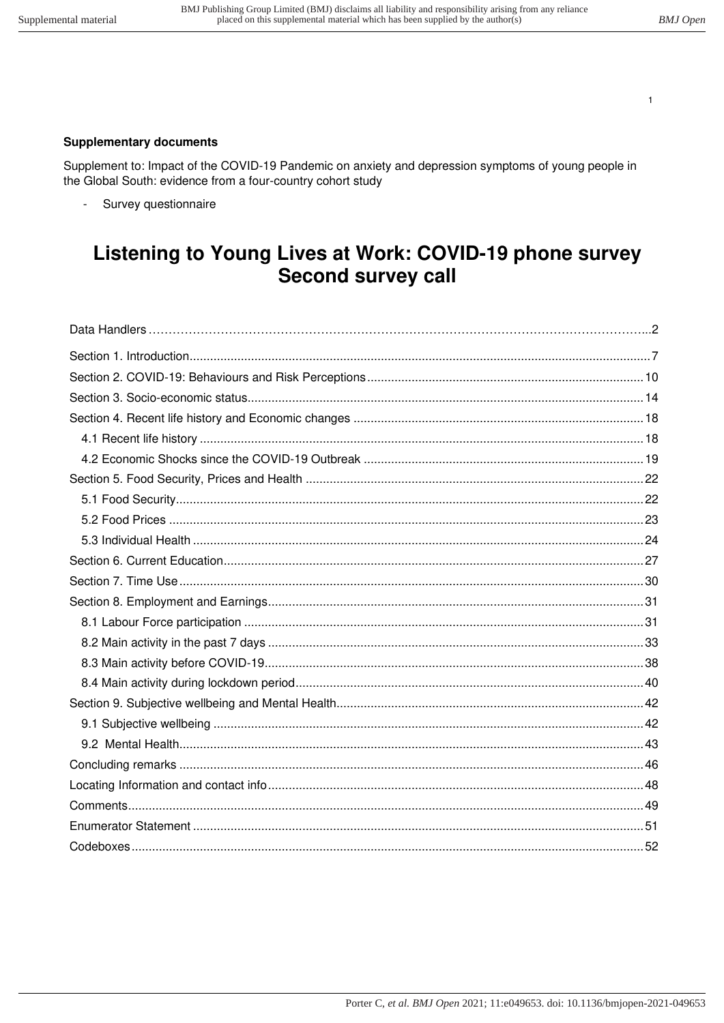$\overline{1}$ 

# **Supplementary documents**

Supplement to: Impact of the COVID-19 Pandemic on anxiety and depression symptoms of young people in the Global South: evidence from a four-country cohort study

 $\omega$ Survey questionnaire

# Listening to Young Lives at Work: COVID-19 phone survey **Second survey call**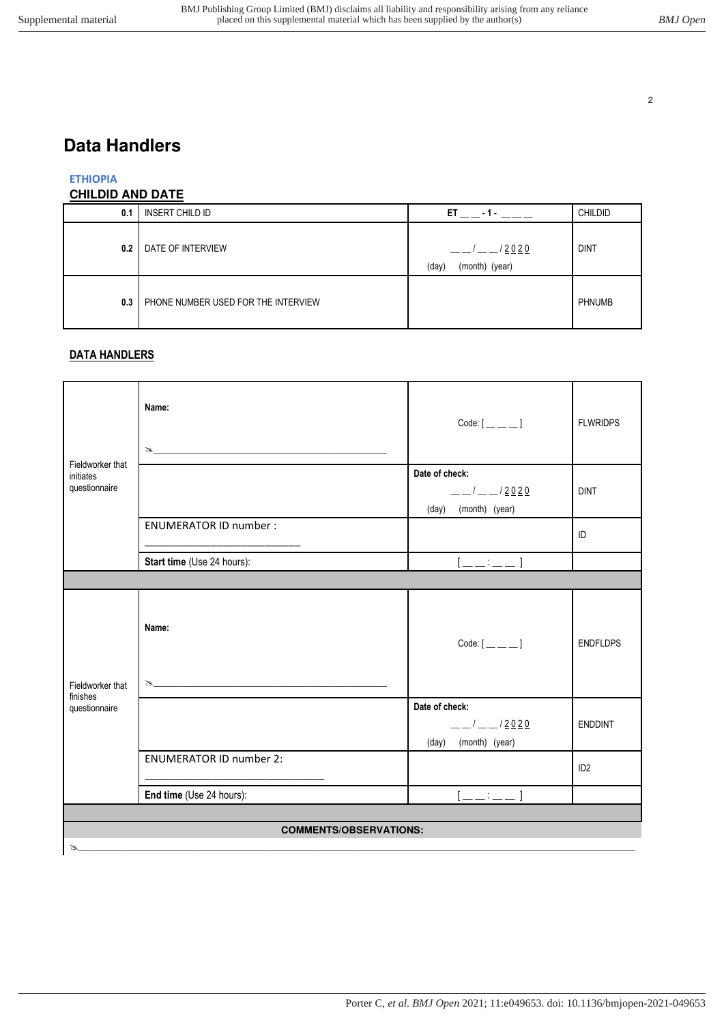# <span id="page-1-0"></span>**Data Handlers**

# **ETHIOPIA**

# **CHILDID AND DATE**

| 0.1 | <b>INSERT CHILD ID</b>              | ET.<br>$-1-$                            | <b>CHILDID</b> |
|-----|-------------------------------------|-----------------------------------------|----------------|
| 0.2 | DATE OF INTERVIEW                   | <u>/2020</u><br>(month) (year)<br>(day) | <b>DINT</b>    |
| 0.3 | PHONE NUMBER USED FOR THE INTERVIEW |                                         | <b>PHNUMB</b>  |

# **DATA HANDLERS**

|                                                | Name:<br>$\begin{picture}(150,10) \put(0,0){\vector(1,0){100}} \put(15,0){\vector(1,0){100}} \put(15,0){\vector(1,0){100}} \put(15,0){\vector(1,0){100}} \put(15,0){\vector(1,0){100}} \put(15,0){\vector(1,0){100}} \put(15,0){\vector(1,0){100}} \put(15,0){\vector(1,0){100}} \put(15,0){\vector(1,0){100}} \put(15,0){\vector(1,0){100}} \put(15,0){\vector(1,0){100}}$ |                                                               | <b>FLWRIDPS</b> |  |
|------------------------------------------------|-----------------------------------------------------------------------------------------------------------------------------------------------------------------------------------------------------------------------------------------------------------------------------------------------------------------------------------------------------------------------------|---------------------------------------------------------------|-----------------|--|
| Fieldworker that<br>initiates<br>questionnaire |                                                                                                                                                                                                                                                                                                                                                                             | Date of check:<br>$-1$ $-1$ $2020$<br>(month) (year)<br>(day) | <b>DINT</b>     |  |
|                                                | <b>ENUMERATOR ID number:</b>                                                                                                                                                                                                                                                                                                                                                |                                                               | ID              |  |
|                                                | Start time (Use 24 hours):                                                                                                                                                                                                                                                                                                                                                  | $[$ __:__]                                                    |                 |  |
|                                                |                                                                                                                                                                                                                                                                                                                                                                             |                                                               |                 |  |
| Fieldworker that                               | Name:<br>$\mathbb{Z}$ , and the contract of the contract of $\mathbb{Z}$                                                                                                                                                                                                                                                                                                    |                                                               | <b>ENDFLDPS</b> |  |
| finishes<br>questionnaire                      |                                                                                                                                                                                                                                                                                                                                                                             | Date of check:<br>$-1$ $-1$ $2020$<br>(month) (year)<br>(day) | <b>ENDDINT</b>  |  |
|                                                | <b>ENUMERATOR ID number 2:</b>                                                                                                                                                                                                                                                                                                                                              |                                                               | ID <sub>2</sub> |  |
|                                                | End time (Use 24 hours):                                                                                                                                                                                                                                                                                                                                                    | $[;]$                                                         |                 |  |
|                                                |                                                                                                                                                                                                                                                                                                                                                                             |                                                               |                 |  |
|                                                | <b>COMMENTS/OBSERVATIONS:</b>                                                                                                                                                                                                                                                                                                                                               |                                                               |                 |  |
| B                                              |                                                                                                                                                                                                                                                                                                                                                                             |                                                               |                 |  |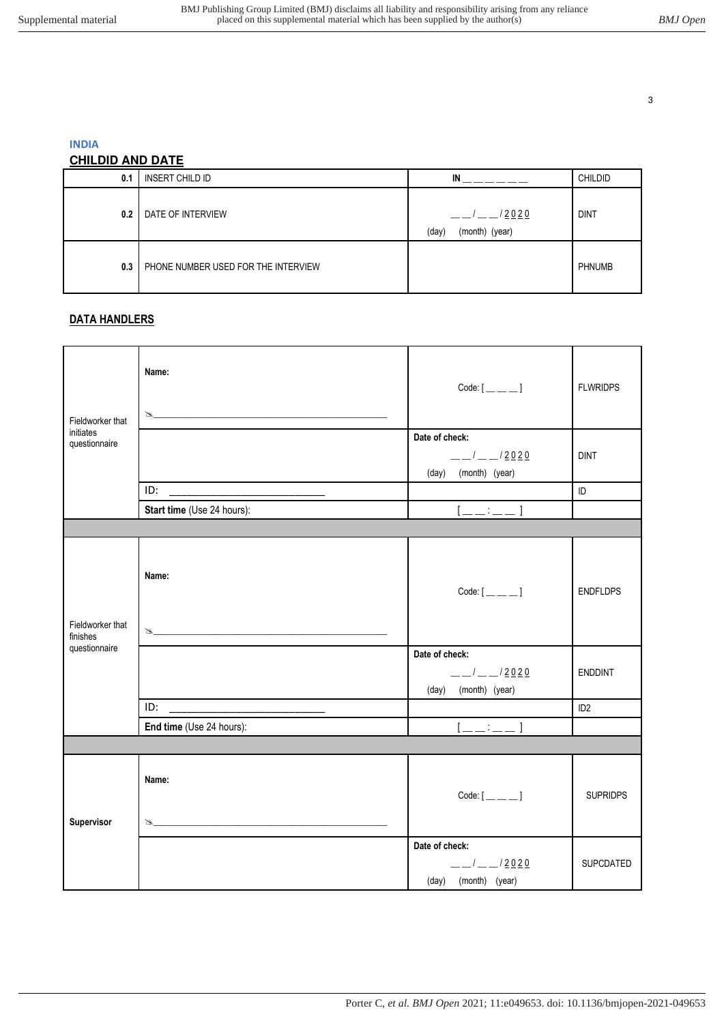**INDIA** 

# **CHILDID AND DATE**

| 0.1 | <b>INSERT CHILD ID</b>              | IN                               | <b>CHILDID</b> |
|-----|-------------------------------------|----------------------------------|----------------|
| 0.2 | DATE OF INTERVIEW                   | /2020<br>(month) (year)<br>(day) | <b>DINT</b>    |
| 0.3 | PHONE NUMBER USED FOR THE INTERVIEW |                                  | <b>PHNUMB</b>  |

## **DATA HANDLERS**

| Fieldworker that             | Name:<br>$\mathbb Z$       | $Code:[\_\_\_\_\_]\]$                                              | <b>FLWRIDPS</b> |
|------------------------------|----------------------------|--------------------------------------------------------------------|-----------------|
| initiates<br>questionnaire   |                            | Date of check:                                                     |                 |
|                              |                            | $-1$ $-1$ $2020$<br>(month) (year)<br>(day)                        | <b>DINT</b>     |
|                              | ID:                        |                                                                    | ID              |
|                              | Start time (Use 24 hours): | $[]$                                                               |                 |
|                              |                            |                                                                    |                 |
| Fieldworker that<br>finishes | Name:<br>$\mathbb Z$       | $Code:[\_\_\_\_\_]\$                                               | <b>ENDFLDPS</b> |
| questionnaire                |                            | Date of check:<br>$-1$ $-1$ $-1$ $2020$<br>(month) (year)<br>(day) | <b>ENDDINT</b>  |
|                              |                            |                                                                    | ID <sub>2</sub> |
|                              | End time (Use 24 hours):   | $[$                                                                |                 |
|                              |                            |                                                                    |                 |
| Supervisor                   | Name:<br>$\mathbb Z$       |                                                                    | <b>SUPRIDPS</b> |
|                              |                            | Date of check:                                                     |                 |
|                              |                            | $-1$ $-1$ $2020$<br>(month) (year)<br>(day)                        | SUPCDATED       |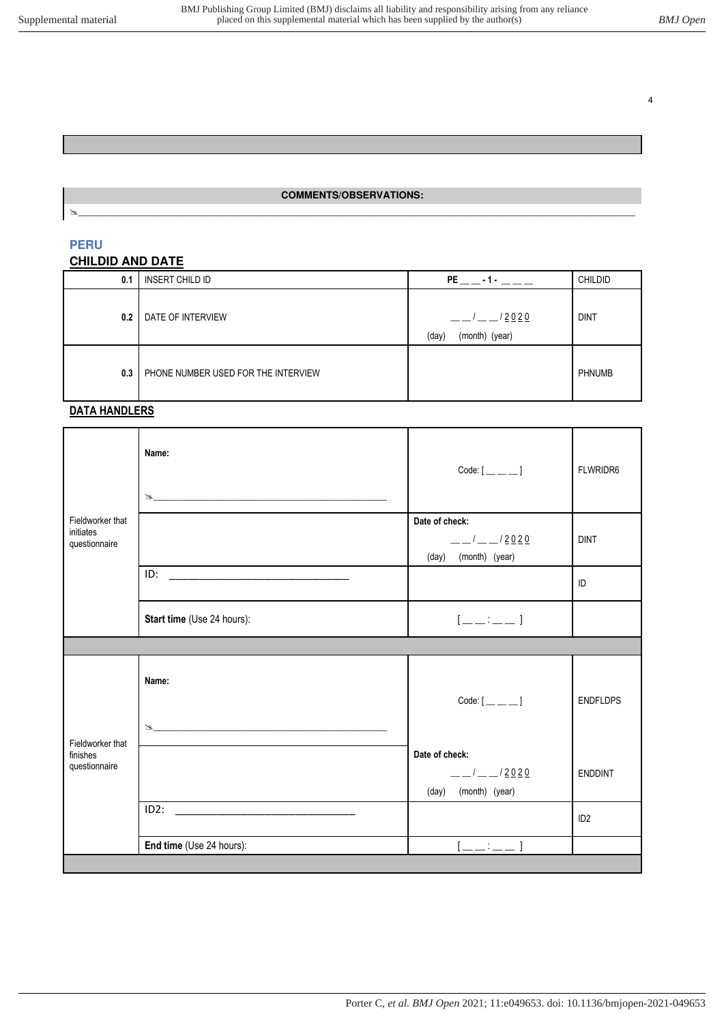### **COMMENTS/OBSERVATIONS:**   $\mathbf{A}$  , and the set of the set of the set of the set of the set of the set of the set of the set of the set of the set of the set of the set of the set of the set of the set of the set of the set of the set of the set

#### **PERU**

### **CHILDID AND DATE**

| 0.1 | INSERT CHILD ID                     | <b>PE</b><br>$-1-$               | <b>CHILDID</b> |
|-----|-------------------------------------|----------------------------------|----------------|
| 0.2 | DATE OF INTERVIEW                   | /2020<br>(month) (year)<br>(day) | <b>DINT</b>    |
| 0.3 | PHONE NUMBER USED FOR THE INTERVIEW |                                  | <b>PHNUMB</b>  |

### **DATA HANDLERS**

| FLWRIDR6        |
|-----------------|
|                 |
|                 |
|                 |
|                 |
| <b>ENDFLDPS</b> |
|                 |
| <b>ENDDINT</b>  |
|                 |
|                 |
|                 |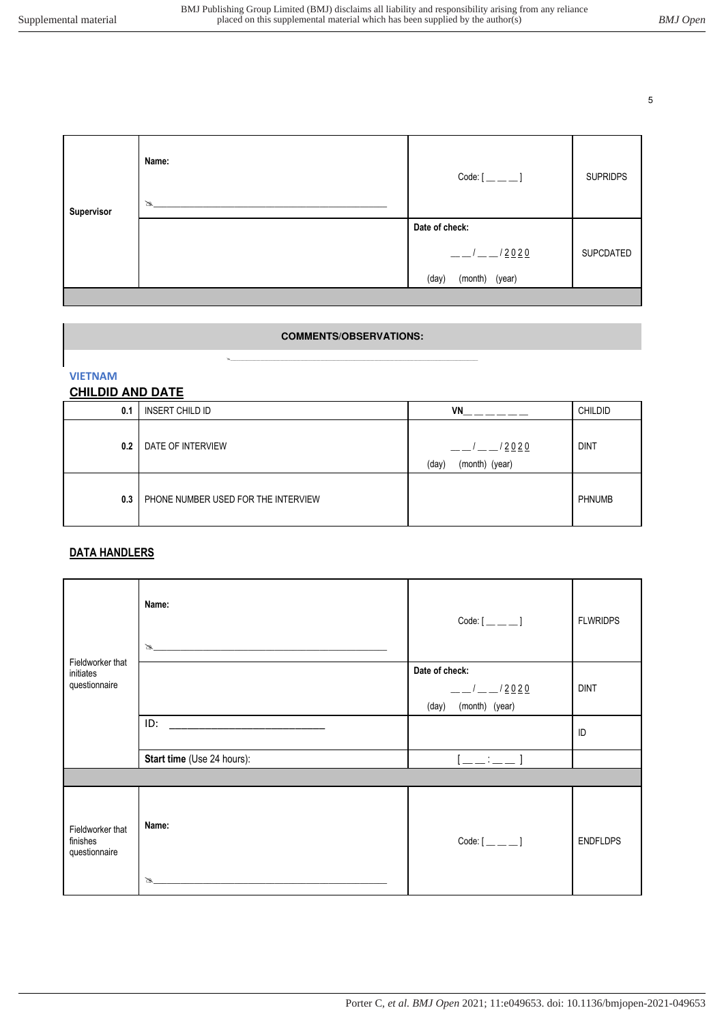| Supervisor | Name:<br>$\mathbb{Z}$ | $Code:[\_\_\_\_\_]\$    | <b>SUPRIDPS</b> |
|------------|-----------------------|-------------------------|-----------------|
|            |                       | Date of check:          |                 |
|            |                       | /2020<br>$\overline{1}$ | SUPCDATED       |
|            |                       | (month) (year)<br>(day) |                 |
|            |                       |                         |                 |

# **COMMENTS/OBSERVATIONS: \_\_\_\_\_\_\_\_\_\_\_\_\_\_\_\_\_\_\_\_\_\_\_\_\_\_\_\_\_\_\_\_\_\_\_\_\_\_\_\_\_\_\_\_\_\_\_\_\_\_\_\_\_\_\_\_\_\_\_\_\_\_\_\_\_\_\_\_\_\_\_\_\_\_\_\_\_\_\_\_\_\_\_\_\_\_\_\_\_\_\_\_\_\_\_\_\_\_\_\_\_\_\_\_\_\_\_\_\_\_\_\_\_\_\_\_\_\_\_\_\_\_\_\_**

**VIETNAM** 

#### **CHILDID AND DATE**

| 0.1 | INSERT CHILD ID                     | <b>VN</b>                        | <b>CHILDID</b> |
|-----|-------------------------------------|----------------------------------|----------------|
| 0.2 | DATE OF INTERVIEW                   | /2020<br>(month) (year)<br>(day) | <b>DINT</b>    |
| 0.3 | PHONE NUMBER USED FOR THE INTERVIEW |                                  | <b>PHNUMB</b>  |

# **DATA HANDLERS**

|                                               | Name:<br>$\mathbb{Z}$ , and the contract of $\mathbb{Z}$ , and $\mathbb{Z}$ | Code: $[$ <sub>__</sub> __ __ ] | <b>FLWRIDPS</b> |
|-----------------------------------------------|-----------------------------------------------------------------------------|---------------------------------|-----------------|
| Fieldworker that<br>initiates                 |                                                                             | Date of check:                  |                 |
| questionnaire                                 |                                                                             | $\frac{1}{2}$ $\frac{2020}{2}$  | <b>DINT</b>     |
|                                               |                                                                             | (month) (year)<br>(day)         |                 |
|                                               | ID:                                                                         |                                 | ID              |
|                                               | Start time (Use 24 hours):                                                  | $1 - 1 - 1 - 1$                 |                 |
|                                               |                                                                             |                                 |                 |
| Fieldworker that<br>finishes<br>questionnaire | Name:                                                                       |                                 | <b>ENDFLDPS</b> |
|                                               | B                                                                           |                                 |                 |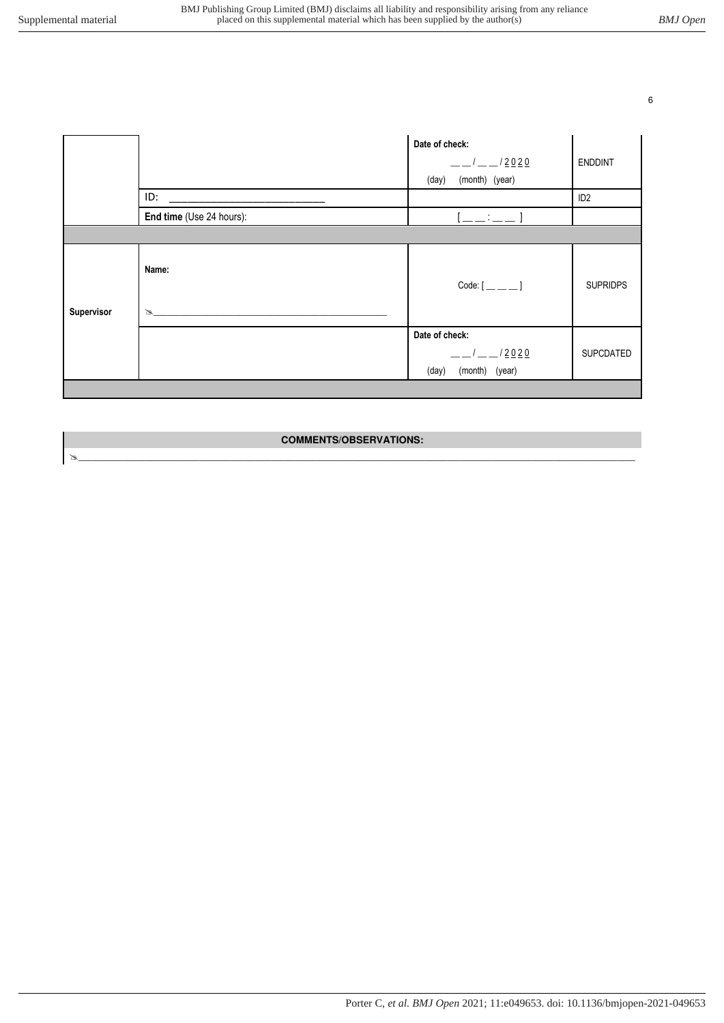|            |                          | Date of check:<br>$-12020$<br>(month) (year)<br>(day)    | <b>ENDDINT</b>   |
|------------|--------------------------|----------------------------------------------------------|------------------|
|            | ID:                      |                                                          | ID <sub>2</sub>  |
|            | End time (Use 24 hours): | $[$                                                      |                  |
|            |                          |                                                          |                  |
| Supervisor | Name:<br>B               |                                                          | <b>SUPRIDPS</b>  |
|            |                          | Date of check:<br>$-12020$<br>(month)<br>(year)<br>(day) | <b>SUPCDATED</b> |
|            |                          |                                                          |                  |

### **COMMENTS/OBSERVATIONS:**   $\mathbf{A}$  , and the set of the set of the set of the set of the set of the set of the set of the set of the set of the set of the set of the set of the set of the set of the set of the set of the set of the set of the set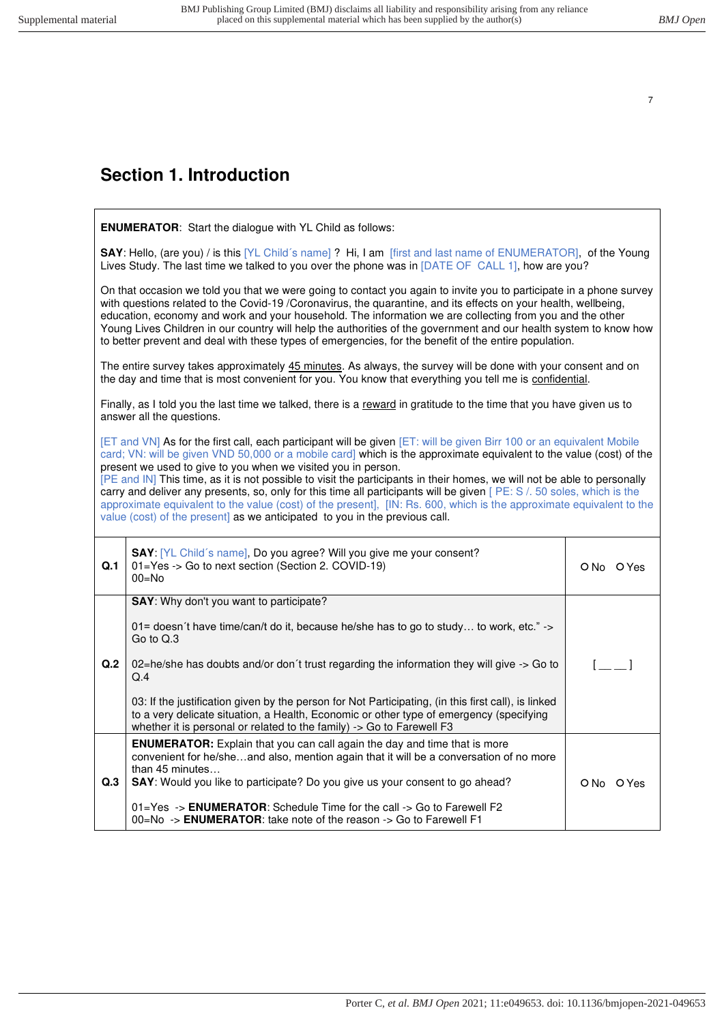# <span id="page-6-0"></span>**Section 1. Introduction**

|     | <b>ENUMERATOR:</b> Start the dialogue with YL Child as follows:                                                                                                                                                                                                                                                                                                                                                                                                                                                                                                                                                                                                                                                                                                            |                                       |  |  |
|-----|----------------------------------------------------------------------------------------------------------------------------------------------------------------------------------------------------------------------------------------------------------------------------------------------------------------------------------------------------------------------------------------------------------------------------------------------------------------------------------------------------------------------------------------------------------------------------------------------------------------------------------------------------------------------------------------------------------------------------------------------------------------------------|---------------------------------------|--|--|
|     | SAY: Hello, (are you) / is this [YL Child's name] ? Hi, I am [first and last name of ENUMERATOR], of the Young<br>Lives Study. The last time we talked to you over the phone was in [DATE OF CALL 1], how are you?                                                                                                                                                                                                                                                                                                                                                                                                                                                                                                                                                         |                                       |  |  |
|     | On that occasion we told you that we were going to contact you again to invite you to participate in a phone survey<br>with questions related to the Covid-19 /Coronavirus, the quarantine, and its effects on your health, wellbeing,<br>education, economy and work and your household. The information we are collecting from you and the other<br>Young Lives Children in our country will help the authorities of the government and our health system to know how<br>to better prevent and deal with these types of emergencies, for the benefit of the entire population.                                                                                                                                                                                           |                                       |  |  |
|     | The entire survey takes approximately 45 minutes. As always, the survey will be done with your consent and on<br>the day and time that is most convenient for you. You know that everything you tell me is confidential.                                                                                                                                                                                                                                                                                                                                                                                                                                                                                                                                                   |                                       |  |  |
|     | Finally, as I told you the last time we talked, there is a reward in gratitude to the time that you have given us to<br>answer all the questions.                                                                                                                                                                                                                                                                                                                                                                                                                                                                                                                                                                                                                          |                                       |  |  |
|     | [ET and VN] As for the first call, each participant will be given [ET: will be given Birr 100 or an equivalent Mobile<br>card; VN: will be given VND 50,000 or a mobile card] which is the approximate equivalent to the value (cost) of the<br>present we used to give to you when we visited you in person.<br>[PE and IN] This time, as it is not possible to visit the participants in their homes, we will not be able to personally<br>carry and deliver any presents, so, only for this time all participants will be given [PE: S /. 50 soles, which is the<br>approximate equivalent to the value (cost) of the present], [IN: Rs. 600, which is the approximate equivalent to the<br>value (cost) of the present] as we anticipated to you in the previous call. |                                       |  |  |
| Q.1 | SAY: [YL Child's name], Do you agree? Will you give me your consent?<br>01=Yes -> Go to next section (Section 2. COVID-19)<br>$00 = No$                                                                                                                                                                                                                                                                                                                                                                                                                                                                                                                                                                                                                                    | ONo OYes                              |  |  |
|     | SAY: Why don't you want to participate?                                                                                                                                                                                                                                                                                                                                                                                                                                                                                                                                                                                                                                                                                                                                    |                                       |  |  |
|     | 01= doesn't have time/can/t do it, because he/she has to go to study to work, etc." $\rightarrow$<br>Go to Q.3                                                                                                                                                                                                                                                                                                                                                                                                                                                                                                                                                                                                                                                             |                                       |  |  |
| Q.2 | 02=he/she has doubts and/or don't trust regarding the information they will give -> Go to<br>Q.4                                                                                                                                                                                                                                                                                                                                                                                                                                                                                                                                                                                                                                                                           | $\begin{bmatrix} 1 & 1 \end{bmatrix}$ |  |  |
|     | 03: If the justification given by the person for Not Participating, (in this first call), is linked<br>to a very delicate situation, a Health, Economic or other type of emergency (specifying<br>whether it is personal or related to the family) -> Go to Farewell F3                                                                                                                                                                                                                                                                                                                                                                                                                                                                                                    |                                       |  |  |
| Q.3 | <b>ENUMERATOR:</b> Explain that you can call again the day and time that is more<br>convenient for he/sheand also, mention again that it will be a conversation of no more<br>than 45 minutes<br>SAY: Would you like to participate? Do you give us your consent to go ahead?<br>01=Yes -> ENUMERATOR: Schedule Time for the call -> Go to Farewell F2                                                                                                                                                                                                                                                                                                                                                                                                                     | ONo OYes                              |  |  |
|     | 00=No -> ENUMERATOR: take note of the reason -> Go to Farewell F1                                                                                                                                                                                                                                                                                                                                                                                                                                                                                                                                                                                                                                                                                                          |                                       |  |  |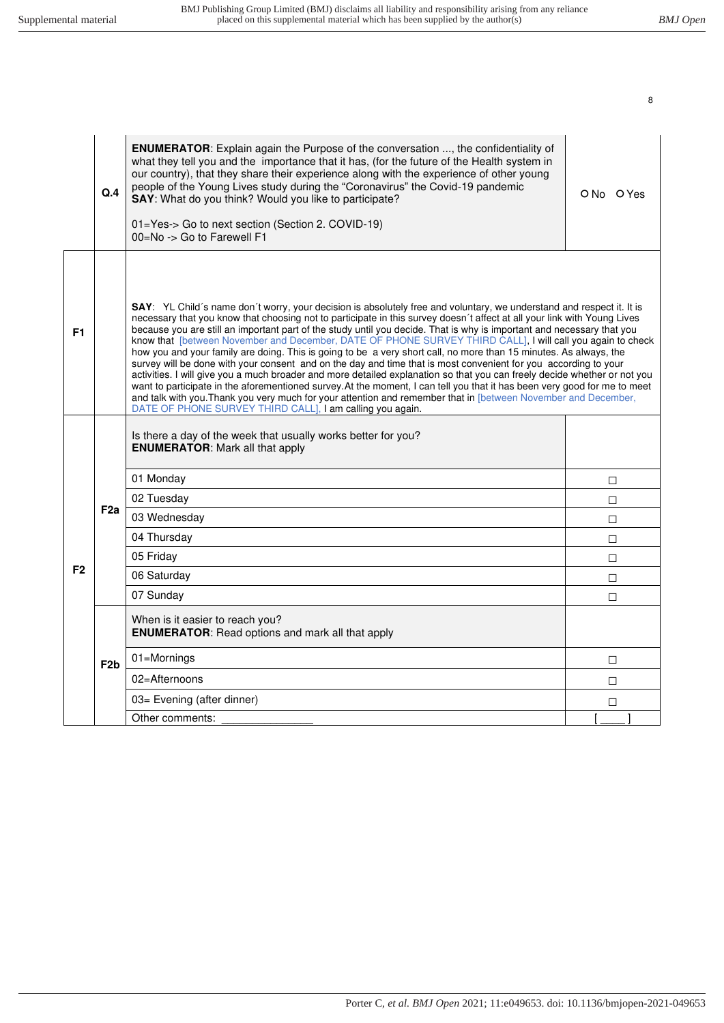|                | Q.4              | <b>ENUMERATOR:</b> Explain again the Purpose of the conversation , the confidentiality of<br>what they tell you and the importance that it has, (for the future of the Health system in<br>our country), that they share their experience along with the experience of other young<br>people of the Young Lives study during the "Coronavirus" the Covid-19 pandemic<br>SAY: What do you think? Would you like to participate?<br>01=Yes-> Go to next section (Section 2. COVID-19)<br>00=No -> Go to Farewell F1                                                                                                                                                                                                                                                                                                                                                                                                                                                                                                                                                                                                                                                          | ON <sub>0</sub> OYes |
|----------------|------------------|----------------------------------------------------------------------------------------------------------------------------------------------------------------------------------------------------------------------------------------------------------------------------------------------------------------------------------------------------------------------------------------------------------------------------------------------------------------------------------------------------------------------------------------------------------------------------------------------------------------------------------------------------------------------------------------------------------------------------------------------------------------------------------------------------------------------------------------------------------------------------------------------------------------------------------------------------------------------------------------------------------------------------------------------------------------------------------------------------------------------------------------------------------------------------|----------------------|
| F <sub>1</sub> |                  | SAY: YL Child's name don't worry, your decision is absolutely free and voluntary, we understand and respect it. It is<br>necessary that you know that choosing not to participate in this survey doesn't affect at all your link with Young Lives<br>because you are still an important part of the study until you decide. That is why is important and necessary that you<br>know that [between November and December, DATE OF PHONE SURVEY THIRD CALL], I will call you again to check<br>how you and your family are doing. This is going to be a very short call, no more than 15 minutes. As always, the<br>survey will be done with your consent and on the day and time that is most convenient for you according to your<br>activities. I will give you a much broader and more detailed explanation so that you can freely decide whether or not you<br>want to participate in the aforementioned survey. At the moment, I can tell you that it has been very good for me to meet<br>and talk with you. Thank you very much for your attention and remember that in [between November and December,<br>DATE OF PHONE SURVEY THIRD CALL], I am calling you again. |                      |
|                |                  | Is there a day of the week that usually works better for you?<br><b>ENUMERATOR: Mark all that apply</b>                                                                                                                                                                                                                                                                                                                                                                                                                                                                                                                                                                                                                                                                                                                                                                                                                                                                                                                                                                                                                                                                    |                      |
|                |                  | 01 Monday                                                                                                                                                                                                                                                                                                                                                                                                                                                                                                                                                                                                                                                                                                                                                                                                                                                                                                                                                                                                                                                                                                                                                                  | $\Box$               |
|                |                  | 02 Tuesday                                                                                                                                                                                                                                                                                                                                                                                                                                                                                                                                                                                                                                                                                                                                                                                                                                                                                                                                                                                                                                                                                                                                                                 | $\Box$               |
|                | F <sub>2a</sub>  | 03 Wednesday                                                                                                                                                                                                                                                                                                                                                                                                                                                                                                                                                                                                                                                                                                                                                                                                                                                                                                                                                                                                                                                                                                                                                               | $\Box$               |
|                |                  | 04 Thursday                                                                                                                                                                                                                                                                                                                                                                                                                                                                                                                                                                                                                                                                                                                                                                                                                                                                                                                                                                                                                                                                                                                                                                | $\Box$               |
|                |                  | 05 Friday                                                                                                                                                                                                                                                                                                                                                                                                                                                                                                                                                                                                                                                                                                                                                                                                                                                                                                                                                                                                                                                                                                                                                                  | $\Box$               |
| F <sub>2</sub> |                  | 06 Saturday                                                                                                                                                                                                                                                                                                                                                                                                                                                                                                                                                                                                                                                                                                                                                                                                                                                                                                                                                                                                                                                                                                                                                                | $\Box$               |
|                |                  | 07 Sunday                                                                                                                                                                                                                                                                                                                                                                                                                                                                                                                                                                                                                                                                                                                                                                                                                                                                                                                                                                                                                                                                                                                                                                  | $\Box$               |
|                |                  | When is it easier to reach you?<br><b>ENUMERATOR:</b> Read options and mark all that apply                                                                                                                                                                                                                                                                                                                                                                                                                                                                                                                                                                                                                                                                                                                                                                                                                                                                                                                                                                                                                                                                                 |                      |
|                | F <sub>2</sub> b | 01=Mornings                                                                                                                                                                                                                                                                                                                                                                                                                                                                                                                                                                                                                                                                                                                                                                                                                                                                                                                                                                                                                                                                                                                                                                | $\Box$               |
|                |                  | 02=Afternoons                                                                                                                                                                                                                                                                                                                                                                                                                                                                                                                                                                                                                                                                                                                                                                                                                                                                                                                                                                                                                                                                                                                                                              | П                    |
|                |                  | 03= Evening (after dinner)                                                                                                                                                                                                                                                                                                                                                                                                                                                                                                                                                                                                                                                                                                                                                                                                                                                                                                                                                                                                                                                                                                                                                 | $\Box$               |
|                |                  | Other comments:                                                                                                                                                                                                                                                                                                                                                                                                                                                                                                                                                                                                                                                                                                                                                                                                                                                                                                                                                                                                                                                                                                                                                            |                      |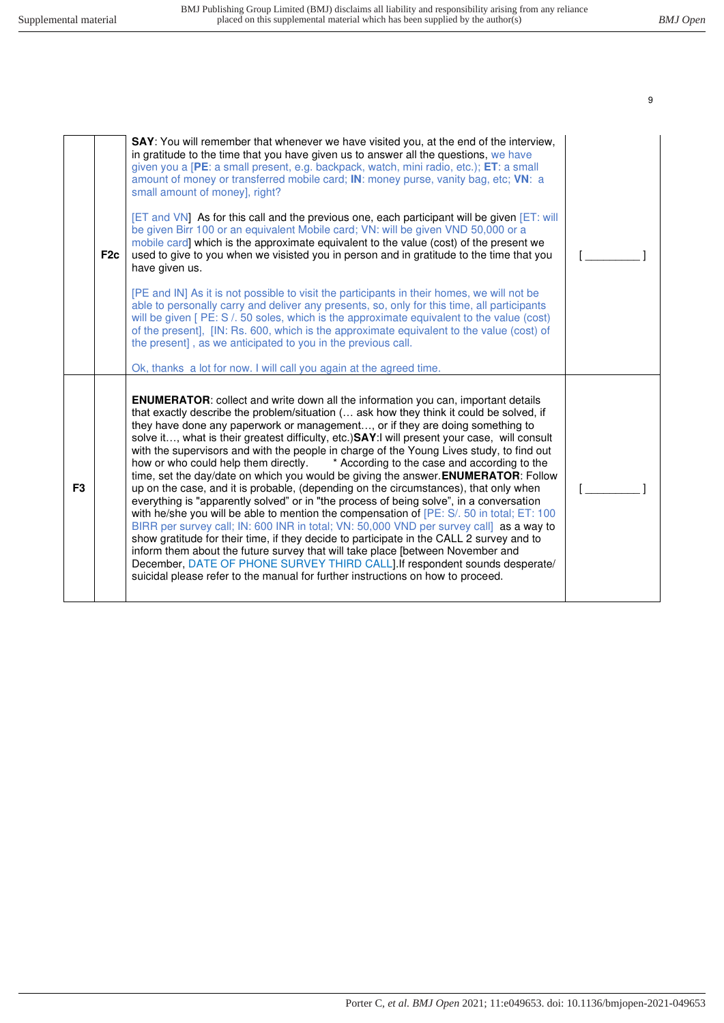|                | F <sub>2c</sub> | SAY: You will remember that whenever we have visited you, at the end of the interview,<br>in gratitude to the time that you have given us to answer all the questions, we have<br>given you a [PE: a small present, e.g. backpack, watch, mini radio, etc.); ET: a small<br>amount of money or transferred mobile card; IN: money purse, vanity bag, etc; VN: a<br>small amount of money], right?<br>[ET and VN] As for this call and the previous one, each participant will be given [ET: will<br>be given Birr 100 or an equivalent Mobile card; VN: will be given VND 50,000 or a<br>mobile card] which is the approximate equivalent to the value (cost) of the present we<br>used to give to you when we visisted you in person and in gratitude to the time that you<br>have given us.<br>[PE and IN] As it is not possible to visit the participants in their homes, we will not be<br>able to personally carry and deliver any presents, so, only for this time, all participants<br>will be given [PE: S /. 50 soles, which is the approximate equivalent to the value (cost)<br>of the present], [IN: Rs. 600, which is the approximate equivalent to the value (cost) of<br>the present], as we anticipated to you in the previous call.<br>Ok, thanks a lot for now. I will call you again at the agreed time.                                                 |  |
|----------------|-----------------|-----------------------------------------------------------------------------------------------------------------------------------------------------------------------------------------------------------------------------------------------------------------------------------------------------------------------------------------------------------------------------------------------------------------------------------------------------------------------------------------------------------------------------------------------------------------------------------------------------------------------------------------------------------------------------------------------------------------------------------------------------------------------------------------------------------------------------------------------------------------------------------------------------------------------------------------------------------------------------------------------------------------------------------------------------------------------------------------------------------------------------------------------------------------------------------------------------------------------------------------------------------------------------------------------------------------------------------------------------------------------------|--|
| F <sub>3</sub> |                 | <b>ENUMERATOR:</b> collect and write down all the information you can, important details<br>that exactly describe the problem/situation ( ask how they think it could be solved, if<br>they have done any paperwork or management, or if they are doing something to<br>solve it, what is their greatest difficulty, etc.) SAY: I will present your case, will consult<br>with the supervisors and with the people in charge of the Young Lives study, to find out<br>* According to the case and according to the<br>how or who could help them directly.<br>time, set the day/date on which you would be giving the answer. ENUMERATOR: Follow<br>up on the case, and it is probable, (depending on the circumstances), that only when<br>everything is "apparently solved" or in "the process of being solve", in a conversation<br>with he/she you will be able to mention the compensation of [PE: S/. 50 in total; ET: 100<br>BIRR per survey call; IN: 600 INR in total; VN: 50,000 VND per survey call] as a way to<br>show gratitude for their time, if they decide to participate in the CALL 2 survey and to<br>inform them about the future survey that will take place [between November and<br>December, DATE OF PHONE SURVEY THIRD CALL]. If respondent sounds desperate/<br>suicidal please refer to the manual for further instructions on how to proceed. |  |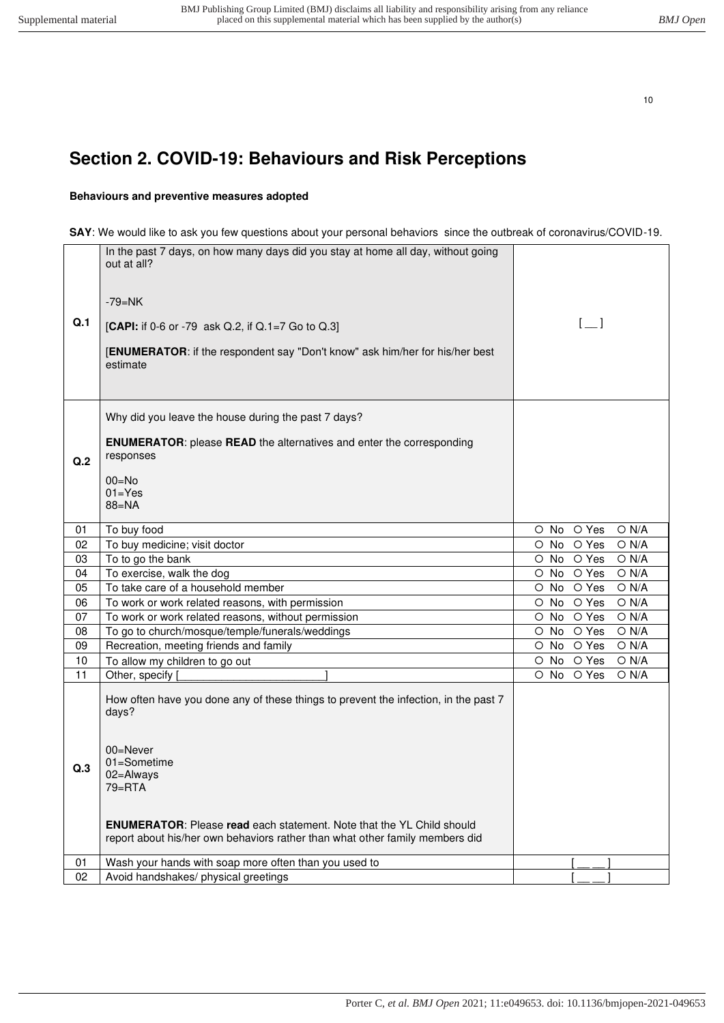# <span id="page-9-0"></span>**Section 2. COVID-19: Behaviours and Risk Perceptions**

#### **Behaviours and preventive measures adopted**

#### **SAY**: We would like to ask you few questions about your personal behaviors since the outbreak of coronavirus/COVID-19.

| Q.1 | In the past 7 days, on how many days did you stay at home all day, without going<br>out at all?<br>-79=NK<br>[CAPI: if 0-6 or -79 ask Q.2, if Q.1=7 Go to Q.3]<br>[ENUMERATOR: if the respondent say "Don't know" ask him/her for his/her best<br>estimate                                                         | $[-]$                             |
|-----|--------------------------------------------------------------------------------------------------------------------------------------------------------------------------------------------------------------------------------------------------------------------------------------------------------------------|-----------------------------------|
| Q.2 | Why did you leave the house during the past 7 days?<br><b>ENUMERATOR:</b> please <b>READ</b> the alternatives and enter the corresponding<br>responses<br>$00 = No$<br>$01 = Yes$<br>$88 = NA$                                                                                                                     |                                   |
| 01  | To buy food                                                                                                                                                                                                                                                                                                        | O Yes<br>O N/A<br>O No            |
| 02  | To buy medicine; visit doctor                                                                                                                                                                                                                                                                                      | O Yes<br>O N/A<br>O No            |
| 03  | To to go the bank                                                                                                                                                                                                                                                                                                  | O Yes<br>O N/A<br>O No            |
| 04  | To exercise, walk the dog                                                                                                                                                                                                                                                                                          | O Yes<br>O N/A<br>O No            |
| 05  | To take care of a household member                                                                                                                                                                                                                                                                                 | O Yes<br>$\circ$ No<br>$O$ N/A    |
| 06  | To work or work related reasons, with permission                                                                                                                                                                                                                                                                   | O Yes<br>$O$ N/A<br>No<br>$\circ$ |
| 07  | To work or work related reasons, without permission                                                                                                                                                                                                                                                                | O Yes<br>$O$ N/A<br>O No          |
| 08  | To go to church/mosque/temple/funerals/weddings                                                                                                                                                                                                                                                                    | O Yes<br>O N/A<br>O No            |
| 09  | Recreation, meeting friends and family                                                                                                                                                                                                                                                                             | O Yes<br>O N/A<br>O No            |
| 10  | To allow my children to go out                                                                                                                                                                                                                                                                                     | O Yes<br>O N/A<br>O No            |
| 11  | Other, specify                                                                                                                                                                                                                                                                                                     | O Yes<br>$\circ$ No<br>O N/A      |
| Q.3 | How often have you done any of these things to prevent the infection, in the past 7<br>days?<br>$00 =$ Never<br>01=Sometime<br>02=Always<br>79=RTA<br><b>ENUMERATOR:</b> Please read each statement. Note that the YL Child should<br>report about his/her own behaviors rather than what other family members did |                                   |
| 01  | Wash your hands with soap more often than you used to                                                                                                                                                                                                                                                              |                                   |
| 02  | Avoid handshakes/ physical greetings                                                                                                                                                                                                                                                                               |                                   |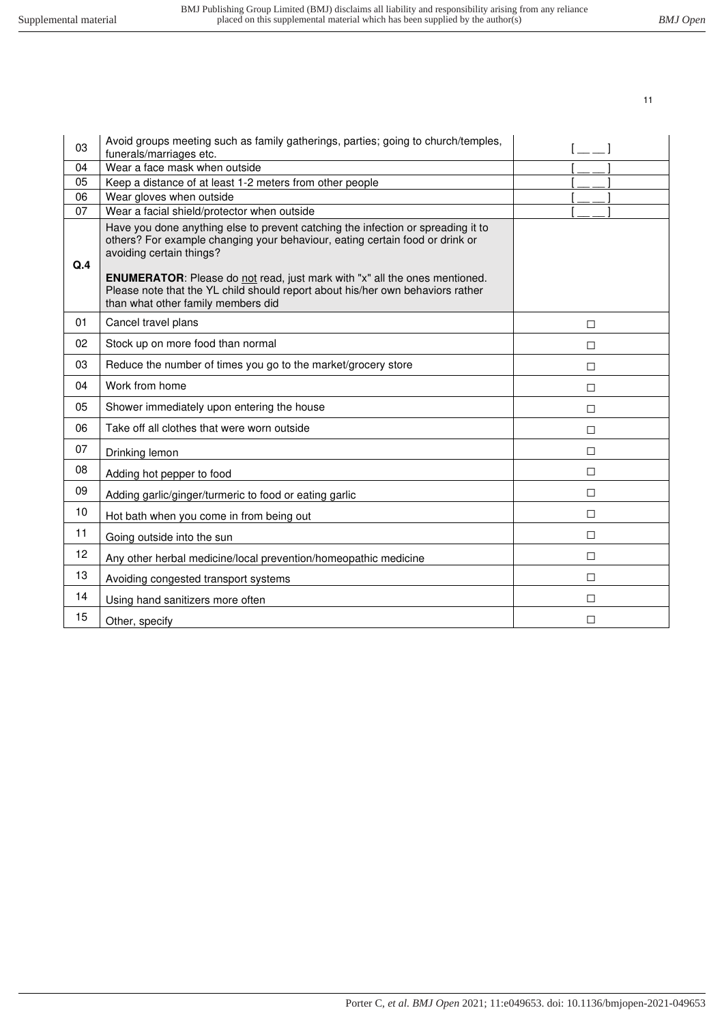| 03  | Avoid groups meeting such as family gatherings, parties; going to church/temples,<br>funerals/marriages etc.                                                                                                                                                                      |        |
|-----|-----------------------------------------------------------------------------------------------------------------------------------------------------------------------------------------------------------------------------------------------------------------------------------|--------|
| 04  | Wear a face mask when outside                                                                                                                                                                                                                                                     |        |
| 05  | Keep a distance of at least 1-2 meters from other people                                                                                                                                                                                                                          |        |
| 06  | Wear gloves when outside                                                                                                                                                                                                                                                          |        |
| 07  | Wear a facial shield/protector when outside                                                                                                                                                                                                                                       |        |
| Q.4 | Have you done anything else to prevent catching the infection or spreading it to<br>others? For example changing your behaviour, eating certain food or drink or<br>avoiding certain things?<br><b>ENUMERATOR:</b> Please do not read, just mark with "x" all the ones mentioned. |        |
|     | Please note that the YL child should report about his/her own behaviors rather<br>than what other family members did                                                                                                                                                              |        |
| 01  | Cancel travel plans                                                                                                                                                                                                                                                               | $\Box$ |
| 02  | Stock up on more food than normal                                                                                                                                                                                                                                                 | П      |
| 03  | Reduce the number of times you go to the market/grocery store                                                                                                                                                                                                                     | П      |
| 04  | Work from home                                                                                                                                                                                                                                                                    | $\Box$ |
| 05  | Shower immediately upon entering the house                                                                                                                                                                                                                                        | □      |
| 06  | Take off all clothes that were worn outside                                                                                                                                                                                                                                       | $\Box$ |
| 07  | Drinking lemon                                                                                                                                                                                                                                                                    | $\Box$ |
| 08  | Adding hot pepper to food                                                                                                                                                                                                                                                         | П      |
| 09  | Adding garlic/ginger/turmeric to food or eating garlic                                                                                                                                                                                                                            | $\Box$ |
| 10  | Hot bath when you come in from being out                                                                                                                                                                                                                                          | $\Box$ |
| 11  | Going outside into the sun                                                                                                                                                                                                                                                        | $\Box$ |
| 12  | Any other herbal medicine/local prevention/homeopathic medicine                                                                                                                                                                                                                   | П      |
| 13  | Avoiding congested transport systems                                                                                                                                                                                                                                              | $\Box$ |
| 14  | Using hand sanitizers more often                                                                                                                                                                                                                                                  | $\Box$ |
| 15  | Other, specify                                                                                                                                                                                                                                                                    | П      |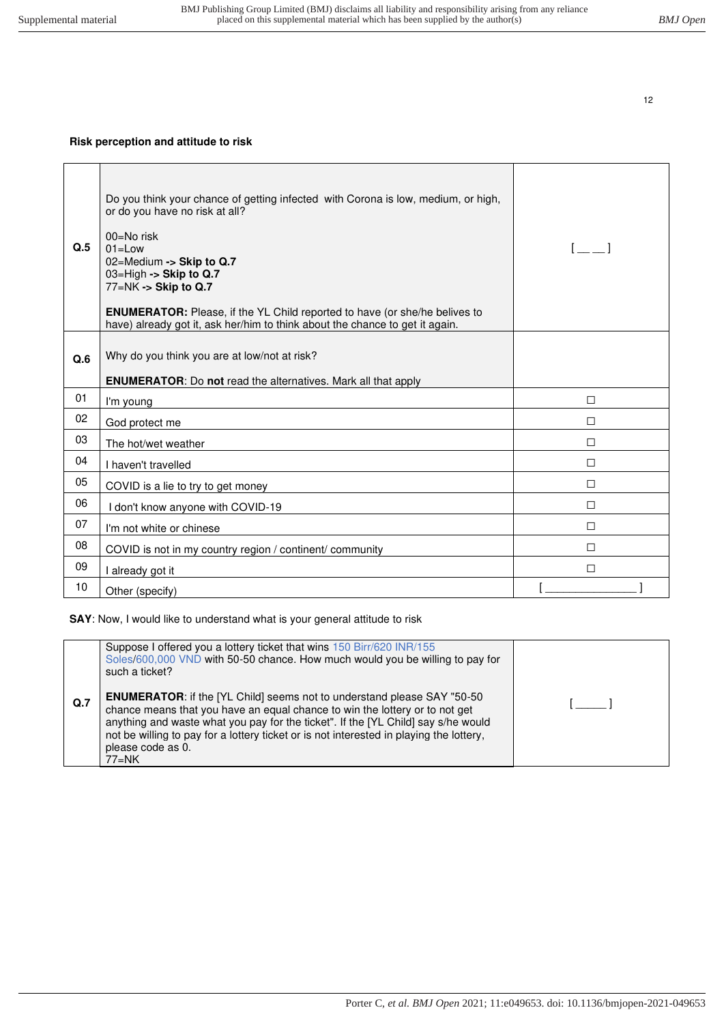### **Risk perception and attitude to risk**

| Q.5 | Do you think your chance of getting infected with Corona is low, medium, or high,<br>or do you have no risk at all?<br>$00 = No$ risk<br>$01 = Low$<br>02=Medium -> Skip to Q.7<br>03=High -> Skip to Q.7<br>77=NK -> Skip to Q.7<br><b>ENUMERATOR:</b> Please, if the YL Child reported to have (or she/he belives to<br>have) already got it, ask her/him to think about the chance to get it again. | $\mathbf{L}$ |
|-----|--------------------------------------------------------------------------------------------------------------------------------------------------------------------------------------------------------------------------------------------------------------------------------------------------------------------------------------------------------------------------------------------------------|--------------|
| Q.6 | Why do you think you are at low/not at risk?<br><b>ENUMERATOR:</b> Do not read the alternatives. Mark all that apply                                                                                                                                                                                                                                                                                   |              |
| 01  | I'm young                                                                                                                                                                                                                                                                                                                                                                                              | П            |
| 02  | God protect me                                                                                                                                                                                                                                                                                                                                                                                         | □            |
| 03  | The hot/wet weather                                                                                                                                                                                                                                                                                                                                                                                    | $\Box$       |
| 04  | I haven't travelled                                                                                                                                                                                                                                                                                                                                                                                    | $\Box$       |
| 05  | COVID is a lie to try to get money                                                                                                                                                                                                                                                                                                                                                                     | П            |
| 06  | I don't know anyone with COVID-19                                                                                                                                                                                                                                                                                                                                                                      | П            |
| 07  | I'm not white or chinese                                                                                                                                                                                                                                                                                                                                                                               | $\Box$       |
| 08  | COVID is not in my country region / continent/ community                                                                                                                                                                                                                                                                                                                                               | $\Box$       |
| 09  | I already got it                                                                                                                                                                                                                                                                                                                                                                                       | П            |
| 10  | Other (specify)                                                                                                                                                                                                                                                                                                                                                                                        |              |

**SAY**: Now, I would like to understand what is your general attitude to risk

|                | Suppose I offered you a lottery ticket that wins 150 Birr/620 INR/155<br>Soles/600,000 VND with 50-50 chance. How much would you be willing to pay for<br>such a ticket?                                                                                                                                                                                                      |  |
|----------------|-------------------------------------------------------------------------------------------------------------------------------------------------------------------------------------------------------------------------------------------------------------------------------------------------------------------------------------------------------------------------------|--|
| Q <sub>1</sub> | <b>ENUMERATOR:</b> if the [YL Child] seems not to understand please SAY "50-50<br>chance means that you have an equal chance to win the lottery or to not get<br>anything and waste what you pay for the ticket". If the [YL Child] say s/he would<br>not be willing to pay for a lottery ticket or is not interested in playing the lottery,<br>please code as 0.<br>$77=NK$ |  |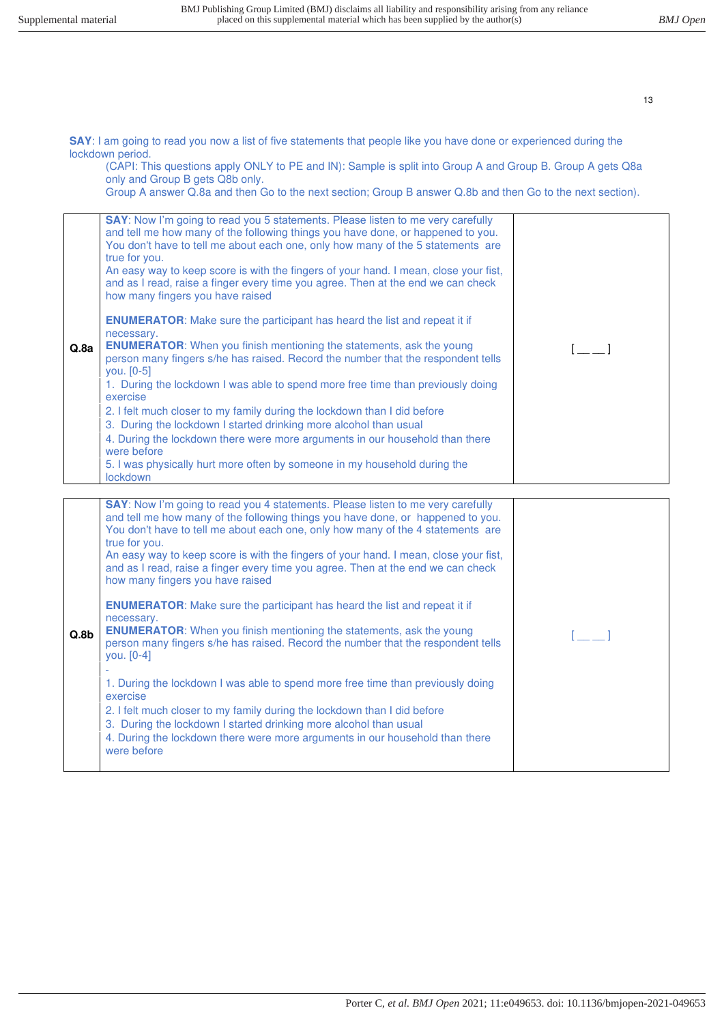**SAY**: I am going to read you now a list of five statements that people like you have done or experienced during the lockdown period.

(CAPI: This questions apply ONLY to PE and IN): Sample is split into Group A and Group B. Group A gets Q8a only and Group B gets Q8b only.

Group A answer Q.8a and then Go to the next section; Group B answer Q.8b and then Go to the next section).

| Q.8a             | SAY: Now I'm going to read you 5 statements. Please listen to me very carefully<br>and tell me how many of the following things you have done, or happened to you.<br>You don't have to tell me about each one, only how many of the 5 statements are<br>true for you.<br>An easy way to keep score is with the fingers of your hand. I mean, close your fist,<br>and as I read, raise a finger every time you agree. Then at the end we can check<br>how many fingers you have raised<br><b>ENUMERATOR:</b> Make sure the participant has heard the list and repeat it if<br>necessary.<br><b>ENUMERATOR:</b> When you finish mentioning the statements, ask the young<br>person many fingers s/he has raised. Record the number that the respondent tells<br>you. $[0-5]$<br>1. During the lockdown I was able to spend more free time than previously doing<br>exercise<br>2. I felt much closer to my family during the lockdown than I did before<br>3. During the lockdown I started drinking more alcohol than usual<br>4. During the lockdown there were more arguments in our household than there<br>were before<br>5. I was physically hurt more often by someone in my household during the<br>lockdown | $\begin{bmatrix} 1 & 1 \end{bmatrix}$ |
|------------------|---------------------------------------------------------------------------------------------------------------------------------------------------------------------------------------------------------------------------------------------------------------------------------------------------------------------------------------------------------------------------------------------------------------------------------------------------------------------------------------------------------------------------------------------------------------------------------------------------------------------------------------------------------------------------------------------------------------------------------------------------------------------------------------------------------------------------------------------------------------------------------------------------------------------------------------------------------------------------------------------------------------------------------------------------------------------------------------------------------------------------------------------------------------------------------------------------------------------|---------------------------------------|
| Q.8 <sub>b</sub> | SAY: Now I'm going to read you 4 statements. Please listen to me very carefully<br>and tell me how many of the following things you have done, or happened to you.<br>You don't have to tell me about each one, only how many of the 4 statements are<br>true for you.<br>An easy way to keep score is with the fingers of your hand. I mean, close your fist,<br>and as I read, raise a finger every time you agree. Then at the end we can check<br>how many fingers you have raised<br><b>ENUMERATOR:</b> Make sure the participant has heard the list and repeat it if<br>necessary.<br><b>ENUMERATOR:</b> When you finish mentioning the statements, ask the young<br>person many fingers s/he has raised. Record the number that the respondent tells<br>you. [0-4]<br>1. During the lockdown I was able to spend more free time than previously doing<br>exercise<br>2. I felt much closer to my family during the lockdown than I did before<br>3. During the lockdown I started drinking more alcohol than usual<br>4. During the lockdown there were more arguments in our household than there<br>were before                                                                                            |                                       |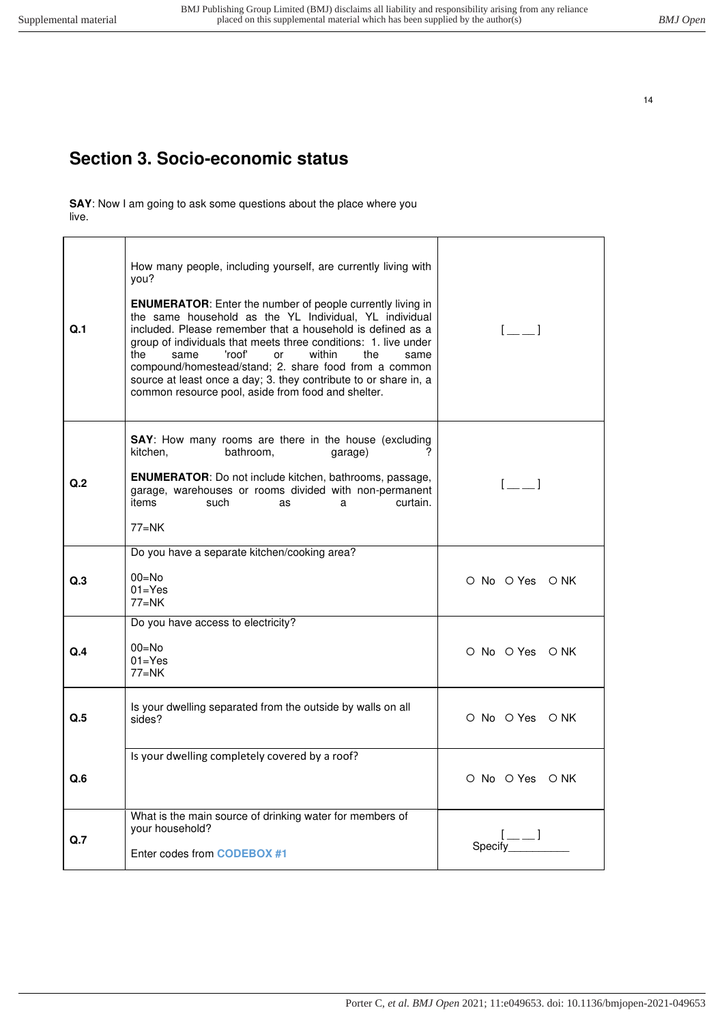# <span id="page-13-0"></span>**Section 3. Socio-economic status**

**SAY**: Now I am going to ask some questions about the place where you live.

| Q.1 | How many people, including yourself, are currently living with<br>you?<br><b>ENUMERATOR:</b> Enter the number of people currently living in<br>the same household as the YL Individual, YL individual<br>included. Please remember that a household is defined as a<br>group of individuals that meets three conditions: 1. live under<br>'roof'<br>within<br>the<br>same<br>or<br>the<br>same<br>compound/homestead/stand; 2. share food from a common<br>source at least once a day; 3. they contribute to or share in, a<br>common resource pool, aside from food and shelter. | $[-]$           |
|-----|-----------------------------------------------------------------------------------------------------------------------------------------------------------------------------------------------------------------------------------------------------------------------------------------------------------------------------------------------------------------------------------------------------------------------------------------------------------------------------------------------------------------------------------------------------------------------------------|-----------------|
| Q.2 | <b>SAY:</b> How many rooms are there in the house (excluding<br>kitchen.<br>bathroom,<br>garage)<br><b>ENUMERATOR:</b> Do not include kitchen, bathrooms, passage,<br>garage, warehouses or rooms divided with non-permanent<br>items<br>such<br>curtain.<br>as<br>a<br>$77=NK$                                                                                                                                                                                                                                                                                                   | $[-]$           |
| Q.3 | Do you have a separate kitchen/cooking area?<br>$00 = No$<br>$01 = Yes$<br>$77=NK$                                                                                                                                                                                                                                                                                                                                                                                                                                                                                                | O No O Yes O NK |
| Q.4 | Do you have access to electricity?<br>$00=No$<br>$01 = Yes$<br>$77=NK$                                                                                                                                                                                                                                                                                                                                                                                                                                                                                                            | O No O Yes O NK |
| Q.5 | Is your dwelling separated from the outside by walls on all<br>sides?                                                                                                                                                                                                                                                                                                                                                                                                                                                                                                             | O No O Yes O NK |
| Q.6 | Is your dwelling completely covered by a roof?                                                                                                                                                                                                                                                                                                                                                                                                                                                                                                                                    | O No O Yes O NK |
| Q.7 | What is the main source of drinking water for members of<br>your household?<br>Enter codes from <b>CODEBOX</b> #1                                                                                                                                                                                                                                                                                                                                                                                                                                                                 | Specify         |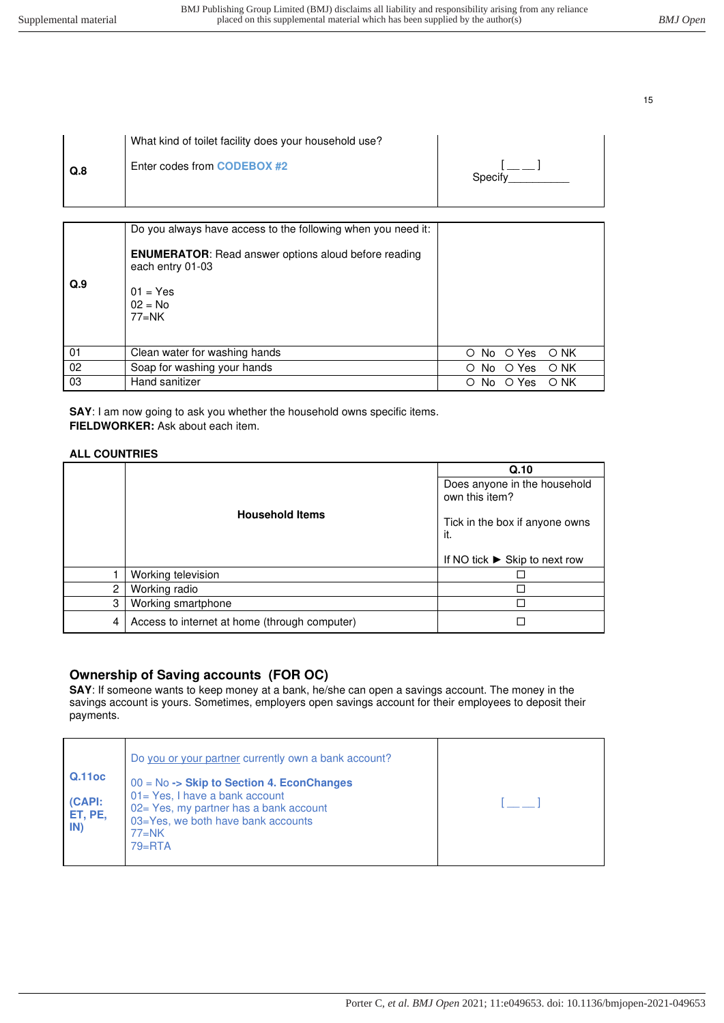| Q.8<br>Specify | What kind of toilet facility does your household use? |  |
|----------------|-------------------------------------------------------|--|
|                | Enter codes from <b>CODEBOX</b> #2                    |  |

| Q.9 | Do you always have access to the following when you need it:<br><b>ENUMERATOR:</b> Read answer options aloud before reading<br>each entry 01-03<br>$01 = Yes$<br>$02 = No$<br>$77=NK$ |   |     |       |      |
|-----|---------------------------------------------------------------------------------------------------------------------------------------------------------------------------------------|---|-----|-------|------|
| 01  | Clean water for washing hands                                                                                                                                                         | O | No  | O Yes | O NK |
| 02  | Soap for washing your hands                                                                                                                                                           | O | No. | O Yes | O NK |
| 03  | Hand sanitizer                                                                                                                                                                        | O | No. | O Yes | O NK |

**SAY**: I am now going to ask you whether the household owns specific items. **FIELDWORKER:** Ask about each item.

#### **ALL COUNTRIES**

|                |                                               | Q.10                                           |
|----------------|-----------------------------------------------|------------------------------------------------|
|                |                                               | Does anyone in the household<br>own this item? |
|                | <b>Household Items</b>                        | Tick in the box if anyone owns<br>it.          |
|                |                                               | If NO tick $\triangleright$ Skip to next row   |
|                | Working television                            |                                                |
| $\overline{2}$ | Working radio                                 |                                                |
| 3              | Working smartphone                            |                                                |
| 4              | Access to internet at home (through computer) |                                                |

## **Ownership of Saving accounts (FOR OC)**

**SAY**: If someone wants to keep money at a bank, he/she can open a savings account. The money in the savings account is yours. Sometimes, employers open savings account for their employees to deposit their payments.

|                                    | Do you or your partner currently own a bank account?                                                                                                                               |  |
|------------------------------------|------------------------------------------------------------------------------------------------------------------------------------------------------------------------------------|--|
| Q.11oc<br>(CAPI:<br>ET, PE,<br>IN) | $00 = No \rightarrow$ Skip to Section 4. EconChanges<br>01= Yes, I have a bank account<br>02 = Yes, my partner has a bank account<br>03=Yes, we both have bank accounts<br>$77=NK$ |  |
|                                    | $79 = RTA$                                                                                                                                                                         |  |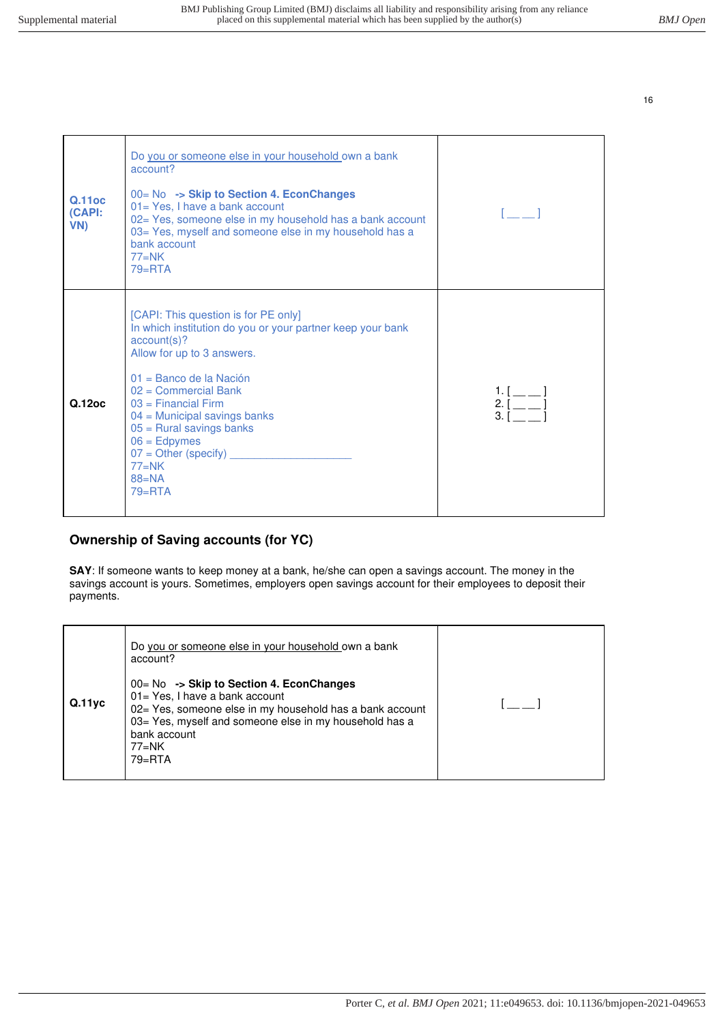| <b>Q.11oc</b><br>(CAPI:<br>VN) | Do you or someone else in your household own a bank<br>account?<br>00= No -> Skip to Section 4. EconChanges<br>01 = Yes, I have a bank account<br>02= Yes, someone else in my household has a bank account<br>03= Yes, myself and someone else in my household has a<br>bank account<br>$77=NK$<br>$79 = RTA$                                         |                                                                           |
|--------------------------------|-------------------------------------------------------------------------------------------------------------------------------------------------------------------------------------------------------------------------------------------------------------------------------------------------------------------------------------------------------|---------------------------------------------------------------------------|
| Q.12oc                         | [CAPI: This question is for PE only]<br>In which institution do you or your partner keep your bank<br>account(s)?<br>Allow for up to 3 answers.<br>01 = Banco de la Nación<br>$02$ = Commercial Bank<br>$03$ = Financial Firm<br>$04$ = Municipal savings banks<br>$05$ = Rural savings banks<br>$06 =$ Edpymes<br>$77=NK$<br>$88 = NA$<br>$79 = RTA$ | 1. $[$ _ _ _<br>$2.\overline{1}$ =<br>$3.\overline{1}$ <sup>-------</sup> |

## **Ownership of Saving accounts (for YC)**

**SAY**: If someone wants to keep money at a bank, he/she can open a savings account. The money in the savings account is yours. Sometimes, employers open savings account for their employees to deposit their payments.

| Q.11yc | Do you or someone else in your household own a bank<br>account?<br>00= No -> Skip to Section 4. EconChanges<br>01= Yes, I have a bank account<br>02= Yes, someone else in my household has a bank account<br>03 = Yes, myself and someone else in my household has a<br>bank account<br>$77=NK$<br>$79 = RTA$ |  |
|--------|---------------------------------------------------------------------------------------------------------------------------------------------------------------------------------------------------------------------------------------------------------------------------------------------------------------|--|
|        |                                                                                                                                                                                                                                                                                                               |  |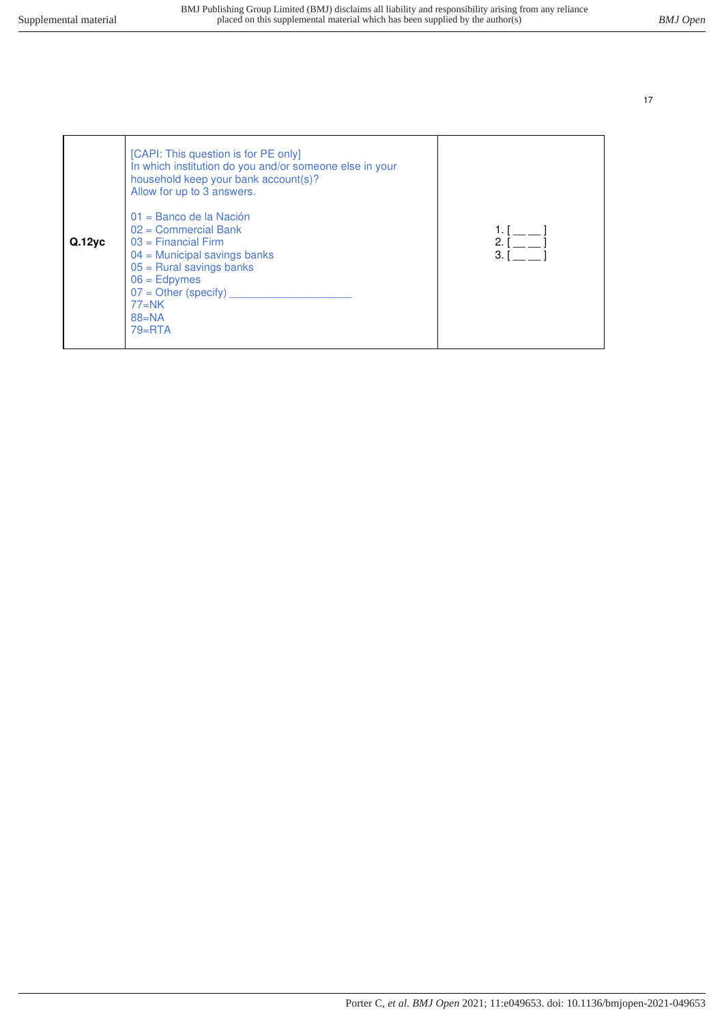| Q.12yc | [CAPI: This question is for PE only]<br>In which institution do you and/or someone else in your<br>household keep your bank account(s)?<br>Allow for up to 3 answers.<br>01 = Banco de la Nación<br>$02$ = Commercial Bank<br>$03$ = Financial Firm<br>$04$ = Municipal savings banks<br>$05$ = Rural savings banks<br>$06 =$ Edpymes<br>$07 =$ Other (specify)<br>$77=NK$<br>$88 = NA$<br>$79 = RTA$ | 2.<br>3. I |
|--------|-------------------------------------------------------------------------------------------------------------------------------------------------------------------------------------------------------------------------------------------------------------------------------------------------------------------------------------------------------------------------------------------------------|------------|
|--------|-------------------------------------------------------------------------------------------------------------------------------------------------------------------------------------------------------------------------------------------------------------------------------------------------------------------------------------------------------------------------------------------------------|------------|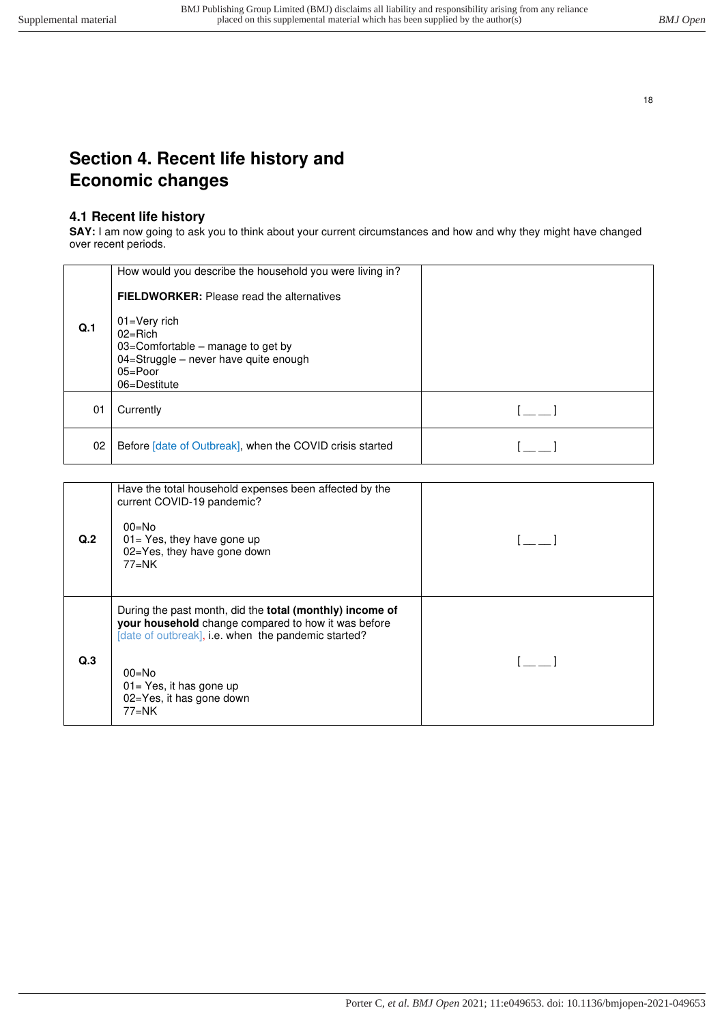# <span id="page-17-1"></span><span id="page-17-0"></span>**Section 4. Recent life history and Economic changes**

## **4.1 Recent life history**

**SAY:** I am now going to ask you to think about your current circumstances and how and why they might have changed over recent periods.

|                | How would you describe the household you were living in?<br><b>FIELDWORKER:</b> Please read the alternatives                                  |  |
|----------------|-----------------------------------------------------------------------------------------------------------------------------------------------|--|
| Q <sub>1</sub> | $01 = V$ ery rich<br>$02 =$ Rich<br>03=Comfortable – manage to get by<br>04=Struggle - never have quite enough<br>$05 =$ Poor<br>06=Destitute |  |
| 01             | Currently                                                                                                                                     |  |
| 02             | Before [date of Outbreak], when the COVID crisis started                                                                                      |  |

| Q <sub>2</sub>   | Have the total household expenses been affected by the<br>current COVID-19 pandemic?<br>$00 = No$<br>$01 = Yes$ , they have gone up<br>02=Yes, they have gone down<br>77=NK                                                                                         |  |
|------------------|---------------------------------------------------------------------------------------------------------------------------------------------------------------------------------------------------------------------------------------------------------------------|--|
| Q <sub>0</sub> 3 | During the past month, did the <b>total (monthly) income of</b><br>your household change compared to how it was before<br>[date of outbreak], i.e. when the pandemic started?<br>$00 = No$<br>$01 = Yes$ , it has gone up<br>02=Yes, it has gone down<br>$77 = N$ K |  |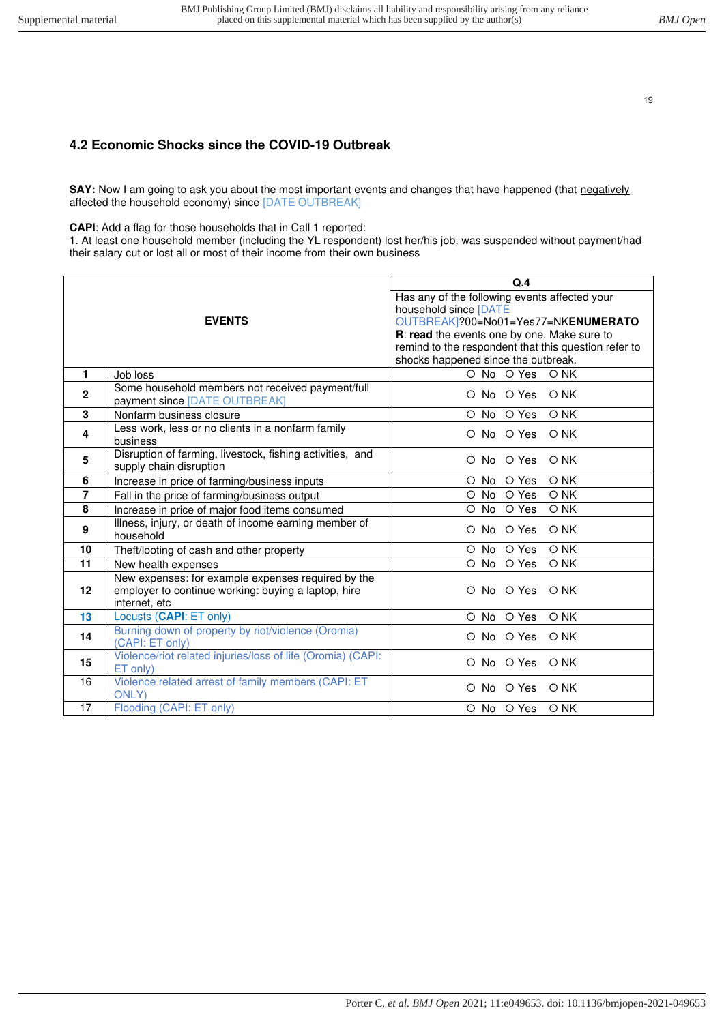## <span id="page-18-0"></span>**4.2 Economic Shocks since the COVID-19 Outbreak**

**SAY:** Now I am going to ask you about the most important events and changes that have happened (that negatively affected the household economy) since [DATE OUTBREAK]

**CAPI**: Add a flag for those households that in Call 1 reported:

1. At least one household member (including the YL respondent) lost her/his job, was suspended without payment/had their salary cut or lost all or most of their income from their own business

|                |                                                                                      | Q.4                                                  |  |  |
|----------------|--------------------------------------------------------------------------------------|------------------------------------------------------|--|--|
|                |                                                                                      | Has any of the following events affected your        |  |  |
|                |                                                                                      | household since [DATE                                |  |  |
|                | <b>EVENTS</b>                                                                        | OUTBREAK]?00=No01=Yes77=NKENUMERATO                  |  |  |
|                |                                                                                      | R: read the events one by one. Make sure to          |  |  |
|                |                                                                                      | remind to the respondent that this question refer to |  |  |
|                |                                                                                      | shocks happened since the outbreak.                  |  |  |
| $\mathbf{1}$   | Job loss                                                                             | O No O Yes<br>$O$ NK                                 |  |  |
| 2              | Some household members not received payment/full<br>payment since [DATE OUTBREAK]    | O No O Yes<br>$\circ$ NK                             |  |  |
| 3              | Nonfarm business closure                                                             | O No O Yes<br>O NK                                   |  |  |
| 4              | Less work, less or no clients in a nonfarm family<br>business                        | O No O Yes<br>$\circ$ NK                             |  |  |
| 5              | Disruption of farming, livestock, fishing activities, and<br>supply chain disruption | O No O Yes<br>$O$ NK                                 |  |  |
| 6              | Increase in price of farming/business inputs                                         | O Yes<br>O NK<br>O No                                |  |  |
| $\overline{7}$ | Fall in the price of farming/business output                                         | O Yes<br>$\circ$ No<br>O NK                          |  |  |
| 8              | Increase in price of major food items consumed                                       | O Yes<br>$\circ$ No<br>O NK                          |  |  |
|                | Illness, injury, or death of income earning member of                                |                                                      |  |  |
| 9              | household                                                                            | O No O Yes<br>O NK                                   |  |  |
| 10             | Theft/looting of cash and other property                                             | O NK<br>O No O Yes                                   |  |  |
| 11             | New health expenses                                                                  | O No O Yes<br>O NK                                   |  |  |
|                | New expenses: for example expenses required by the                                   |                                                      |  |  |
| 12             | employer to continue working: buying a laptop, hire                                  | O No O Yes<br>$\circ$ NK                             |  |  |
|                | internet, etc                                                                        |                                                      |  |  |
| 13             | Locusts (CAPI: ET only)                                                              | O No O Yes<br>$O$ NK                                 |  |  |
| 14             | Burning down of property by riot/violence (Oromia)<br>(CAPI: ET only)                | O No O Yes<br>$O$ NK                                 |  |  |
| 15             | Violence/riot related injuries/loss of life (Oromia) (CAPI:<br>ET only)              | O No O Yes<br>$\circ$ NK                             |  |  |
| 16             | Violence related arrest of family members (CAPI: ET<br><b>ONLY)</b>                  | O No O Yes<br>$O$ NK                                 |  |  |
| 17             | Flooding (CAPI: ET only)                                                             | O NK<br>O No O Yes                                   |  |  |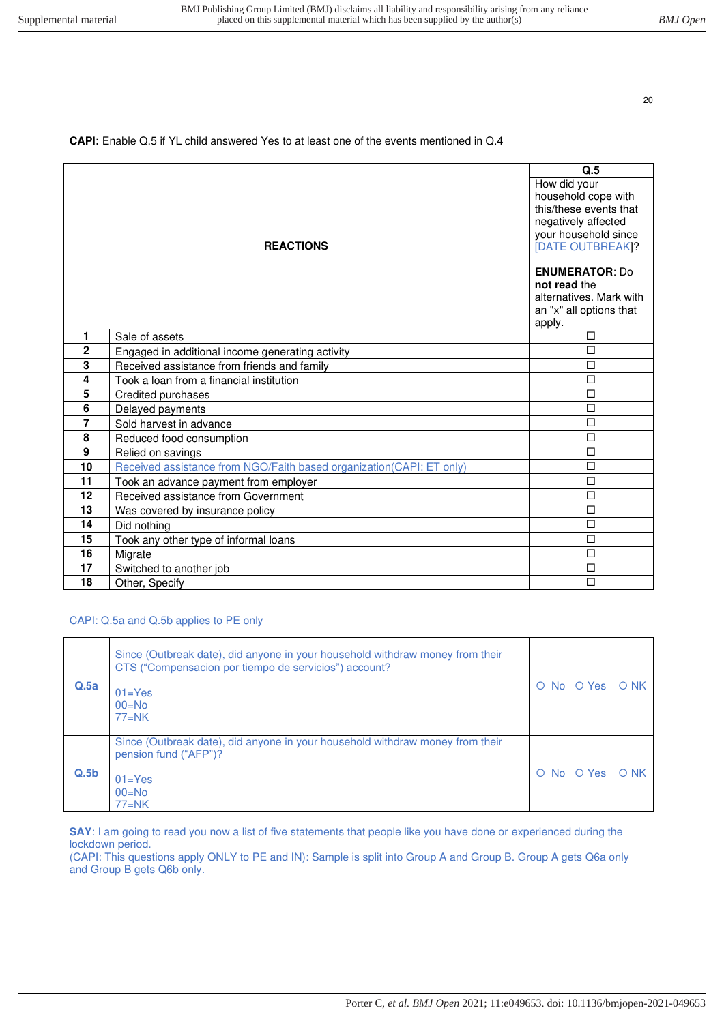### **CAPI:** Enable Q.5 if YL child answered Yes to at least one of the events mentioned in Q.4

|                          |                                                                      | Q.5                                                                                                                                     |
|--------------------------|----------------------------------------------------------------------|-----------------------------------------------------------------------------------------------------------------------------------------|
|                          | <b>REACTIONS</b>                                                     | How did your<br>household cope with<br>this/these events that<br>negatively affected<br>your household since<br><b>[DATE OUTBREAK]?</b> |
|                          |                                                                      | <b>ENUMERATOR: Do</b><br>not read the<br>alternatives. Mark with<br>an "x" all options that<br>apply.                                   |
| 1.                       | Sale of assets                                                       | □                                                                                                                                       |
| $\mathbf{2}$             | Engaged in additional income generating activity                     | $\Box$                                                                                                                                  |
| 3                        | Received assistance from friends and family                          | П                                                                                                                                       |
| 4                        | Took a loan from a financial institution                             | $\Box$                                                                                                                                  |
| 5                        | Credited purchases                                                   | $\Box$                                                                                                                                  |
| 6                        | Delayed payments                                                     | $\Box$                                                                                                                                  |
| $\overline{\phantom{a}}$ | Sold harvest in advance                                              | $\Box$                                                                                                                                  |
| 8                        | Reduced food consumption                                             | $\Box$                                                                                                                                  |
| 9                        | Relied on savings                                                    | $\Box$                                                                                                                                  |
| 10                       | Received assistance from NGO/Faith based organization(CAPI: ET only) | $\Box$                                                                                                                                  |
| 11                       | Took an advance payment from employer                                | $\Box$                                                                                                                                  |
| 12                       | Received assistance from Government                                  | $\Box$                                                                                                                                  |
| 13                       | Was covered by insurance policy                                      | П                                                                                                                                       |
| 14                       | Did nothing                                                          | $\Box$                                                                                                                                  |
| 15                       | Took any other type of informal loans                                | $\Box$                                                                                                                                  |
| 16                       | Migrate                                                              | $\Box$                                                                                                                                  |
| 17                       | Switched to another job                                              | $\Box$                                                                                                                                  |
| 18                       | Other, Specify                                                       | П                                                                                                                                       |

#### CAPI: Q.5a and Q.5b applies to PE only

| Q.5a | Since (Outbreak date), did anyone in your household withdraw money from their<br>CTS ("Compensacion por tiempo de servicios") account?<br>$01 = Yes$<br>$00 = No$<br>$77=NK$ | O No O Yes O NK |  |
|------|------------------------------------------------------------------------------------------------------------------------------------------------------------------------------|-----------------|--|
| Q.5b | Since (Outbreak date), did anyone in your household withdraw money from their<br>pension fund ("AFP")?<br>$01 = Yes$<br>$00=No$<br>$77=NK$                                   | O No O Yes O NK |  |

**SAY**: I am going to read you now a list of five statements that people like you have done or experienced during the lockdown period.

(CAPI: This questions apply ONLY to PE and IN): Sample is split into Group A and Group B. Group A gets Q6a only and Group B gets Q6b only.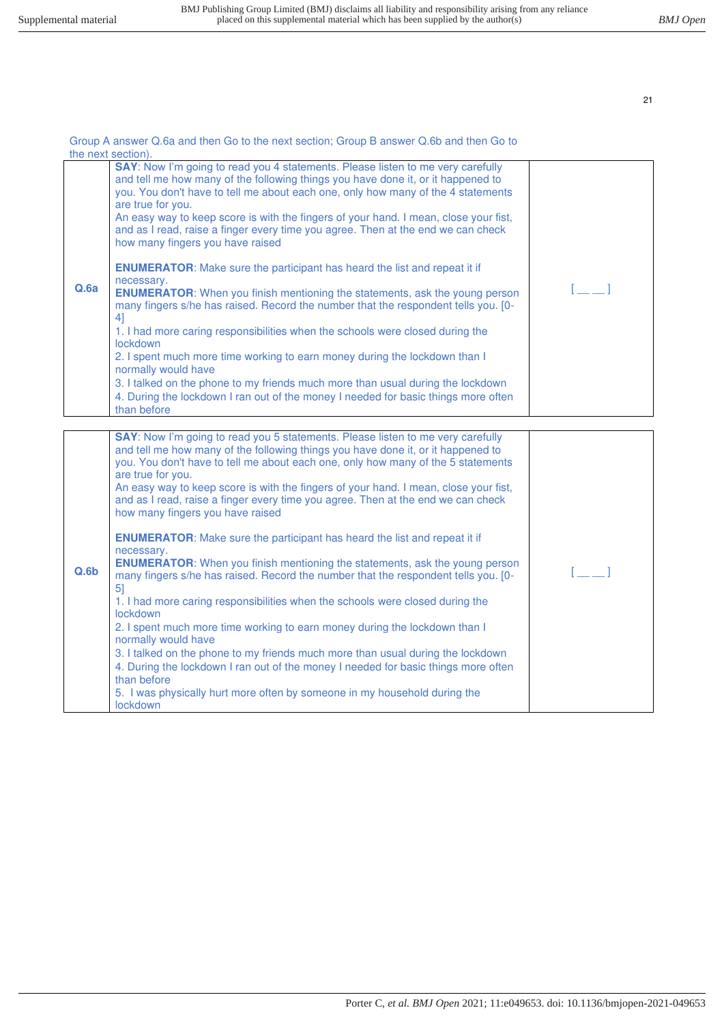|                  | Group A answer Q.6a and then Go to the next section; Group B answer Q.6b and then Go to<br>the next section).                                                                                                                                                                                                                                                                                                                                                                                                                                                                                                                                                                                                                                                                                                                                                                                                                                                                                                                                                                                                                                                                                                                                                                          |     |  |  |
|------------------|----------------------------------------------------------------------------------------------------------------------------------------------------------------------------------------------------------------------------------------------------------------------------------------------------------------------------------------------------------------------------------------------------------------------------------------------------------------------------------------------------------------------------------------------------------------------------------------------------------------------------------------------------------------------------------------------------------------------------------------------------------------------------------------------------------------------------------------------------------------------------------------------------------------------------------------------------------------------------------------------------------------------------------------------------------------------------------------------------------------------------------------------------------------------------------------------------------------------------------------------------------------------------------------|-----|--|--|
| Q.Ga             | SAY: Now I'm going to read you 4 statements. Please listen to me very carefully<br>and tell me how many of the following things you have done it, or it happened to<br>you. You don't have to tell me about each one, only how many of the 4 statements<br>are true for you.<br>An easy way to keep score is with the fingers of your hand. I mean, close your fist,<br>and as I read, raise a finger every time you agree. Then at the end we can check<br>how many fingers you have raised<br><b>ENUMERATOR:</b> Make sure the participant has heard the list and repeat it if<br>necessary.<br><b>ENUMERATOR:</b> When you finish mentioning the statements, ask the young person<br>many fingers s/he has raised. Record the number that the respondent tells you. [0-<br>41<br>1. I had more caring responsibilities when the schools were closed during the<br>lockdown<br>2. I spent much more time working to earn money during the lockdown than I<br>normally would have<br>3. I talked on the phone to my friends much more than usual during the lockdown<br>4. During the lockdown I ran out of the money I needed for basic things more often<br>than before                                                                                                             | r 1 |  |  |
| Q.6 <sub>b</sub> | SAY: Now I'm going to read you 5 statements. Please listen to me very carefully<br>and tell me how many of the following things you have done it, or it happened to<br>you. You don't have to tell me about each one, only how many of the 5 statements<br>are true for you.<br>An easy way to keep score is with the fingers of your hand. I mean, close your fist,<br>and as I read, raise a finger every time you agree. Then at the end we can check<br>how many fingers you have raised<br><b>ENUMERATOR:</b> Make sure the participant has heard the list and repeat it if<br>necessary.<br><b>ENUMERATOR:</b> When you finish mentioning the statements, ask the young person<br>many fingers s/he has raised. Record the number that the respondent tells you. [0-<br>5 <sup>1</sup><br>1. I had more caring responsibilities when the schools were closed during the<br><b>lockdown</b><br>2. I spent much more time working to earn money during the lockdown than I<br>normally would have<br>3. I talked on the phone to my friends much more than usual during the lockdown<br>4. During the lockdown I ran out of the money I needed for basic things more often<br>than before<br>5. I was physically hurt more often by someone in my household during the<br>lockdown |     |  |  |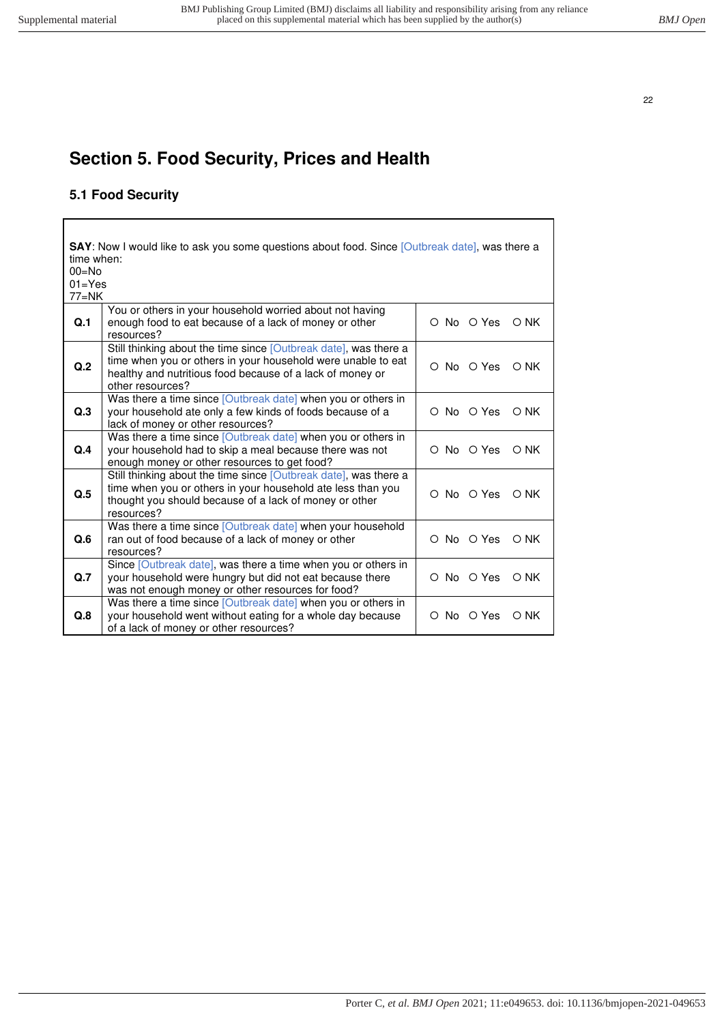$\overline{\Gamma}$ 

22

 $\overline{\phantom{a}}$ 

# <span id="page-21-1"></span><span id="page-21-0"></span>**Section 5. Food Security, Prices and Health**

# **5.1 Food Security**

| time when:<br>$00 = No$<br>$01 = Yes$<br>$77=NK$ | <b>SAY</b> : Now I would like to ask you some questions about food. Since [Outbreak date], was there a                                                                                                            |            |               |
|--------------------------------------------------|-------------------------------------------------------------------------------------------------------------------------------------------------------------------------------------------------------------------|------------|---------------|
| Q.1                                              | You or others in your household worried about not having<br>enough food to eat because of a lack of money or other<br>resources?                                                                                  | O No O Yes | O NK          |
| Q <sub>12</sub>                                  | Still thinking about the time since [Outbreak date], was there a<br>time when you or others in your household were unable to eat<br>healthy and nutritious food because of a lack of money or<br>other resources? | O No O Yes | $\bigcirc$ NK |
| Q.3                                              | Was there a time since [Outbreak date] when you or others in<br>your household ate only a few kinds of foods because of a<br>lack of money or other resources?                                                    | O No O Yes | $\bigcirc$ NK |
| Q.4                                              | Was there a time since [Outbreak date] when you or others in<br>your household had to skip a meal because there was not<br>enough money or other resources to get food?                                           | O No O Yes | O NK          |
| Q.5                                              | Still thinking about the time since [Outbreak date], was there a<br>time when you or others in your household ate less than you<br>thought you should because of a lack of money or other<br>resources?           | O No O Yes | O NK          |
| Q.6                                              | Was there a time since [Outbreak date] when your household<br>ran out of food because of a lack of money or other<br>resources?                                                                                   | O No O Yes | $O$ NK        |
| Q.7                                              | Since [Outbreak date], was there a time when you or others in<br>your household were hungry but did not eat because there<br>was not enough money or other resources for food?                                    | O No O Yes | $\bigcirc$ NK |
| Q.8                                              | Was there a time since [Outbreak date] when you or others in<br>your household went without eating for a whole day because<br>of a lack of money or other resources?                                              | O No O Yes | O NK          |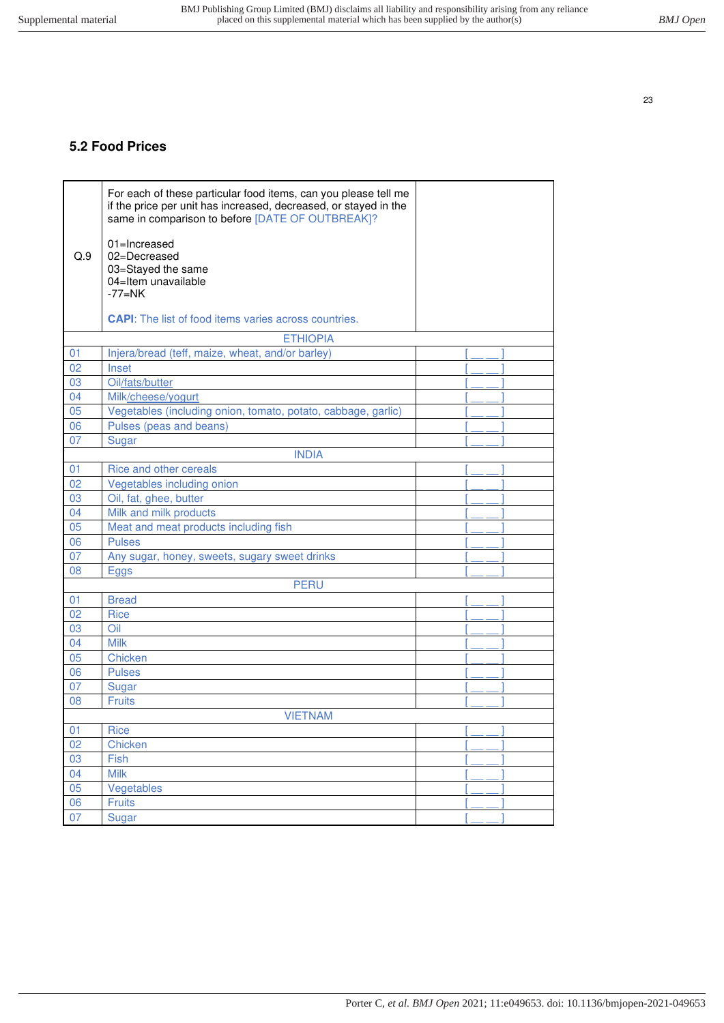# <span id="page-22-0"></span>**5.2 Food Prices**

|     | For each of these particular food items, can you please tell me<br>if the price per unit has increased, decreased, or stayed in the<br>same in comparison to before [DATE OF OUTBREAK]? |  |
|-----|-----------------------------------------------------------------------------------------------------------------------------------------------------------------------------------------|--|
| Q.9 | 01=Increased<br>02=Decreased<br>03=Stayed the same<br>04=Item unavailable<br>$-77=NK$                                                                                                   |  |
|     | <b>CAPI:</b> The list of food items varies across countries.                                                                                                                            |  |
|     | <b>ETHIOPIA</b>                                                                                                                                                                         |  |
| 01  | Injera/bread (teff, maize, wheat, and/or barley)                                                                                                                                        |  |
| 02  | Inset                                                                                                                                                                                   |  |
| 03  | Oil/fats/butter                                                                                                                                                                         |  |
| 04  | Milk/cheese/yogurt                                                                                                                                                                      |  |
| 05  | Vegetables (including onion, tomato, potato, cabbage, garlic)                                                                                                                           |  |
| 06  | Pulses (peas and beans)                                                                                                                                                                 |  |
| 07  | Sugar                                                                                                                                                                                   |  |
|     | <b>INDIA</b>                                                                                                                                                                            |  |
| 01  | Rice and other cereals                                                                                                                                                                  |  |
| 02  | Vegetables including onion                                                                                                                                                              |  |
| 03  | Oil, fat, ghee, butter                                                                                                                                                                  |  |
| 04  | Milk and milk products                                                                                                                                                                  |  |
| 05  | Meat and meat products including fish                                                                                                                                                   |  |
| 06  | <b>Pulses</b>                                                                                                                                                                           |  |
| 07  | Any sugar, honey, sweets, sugary sweet drinks                                                                                                                                           |  |
| 08  | <b>Eggs</b>                                                                                                                                                                             |  |
|     | <b>PERU</b>                                                                                                                                                                             |  |
| 01  | <b>Bread</b>                                                                                                                                                                            |  |
| 02  | <b>Rice</b>                                                                                                                                                                             |  |
| 03  | Oil                                                                                                                                                                                     |  |
| 04  | <b>Milk</b>                                                                                                                                                                             |  |
| 05  | <b>Chicken</b>                                                                                                                                                                          |  |
| 06  | <b>Pulses</b>                                                                                                                                                                           |  |
| 07  | Sugar                                                                                                                                                                                   |  |
| 08  | <b>Fruits</b>                                                                                                                                                                           |  |
|     | <b>VIETNAM</b>                                                                                                                                                                          |  |
| 01  | Rice                                                                                                                                                                                    |  |
| 02  | Chicken                                                                                                                                                                                 |  |
| 03  | Fish                                                                                                                                                                                    |  |
| 04  | <b>Milk</b>                                                                                                                                                                             |  |
| 05  | Vegetables                                                                                                                                                                              |  |
| 06  | <b>Fruits</b>                                                                                                                                                                           |  |
| 07  | Sugar                                                                                                                                                                                   |  |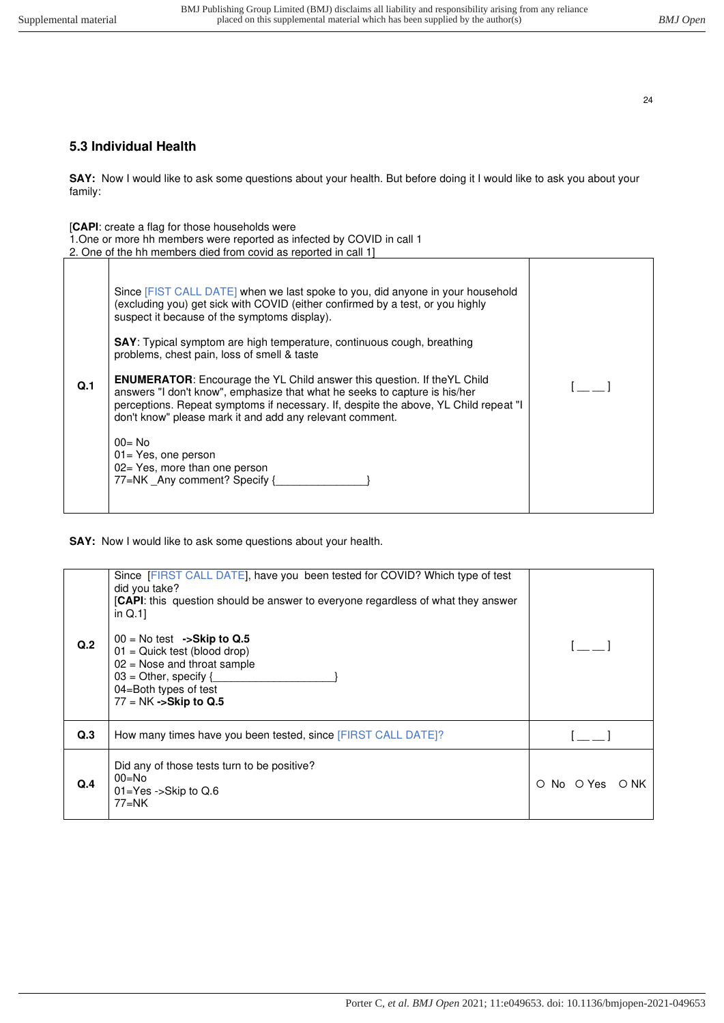## <span id="page-23-0"></span>**5.3 Individual Health**

**SAY:** Now I would like to ask some questions about your health. But before doing it I would like to ask you about your family:

[**CAPI**: create a flag for those households were

1.One or more hh members were reported as infected by COVID in call 1 2. One of the hh members died from covid as reported in call 1]

| Q <sub>1</sub> | Since [FIST CALL DATE] when we last spoke to you, did anyone in your household<br>(excluding you) get sick with COVID (either confirmed by a test, or you highly<br>suspect it because of the symptoms display).<br><b>SAY:</b> Typical symptom are high temperature, continuous cough, breathing<br>problems, chest pain, loss of smell & taste<br><b>ENUMERATOR:</b> Encourage the YL Child answer this question. If the YL Child<br>answers "I don't know", emphasize that what he seeks to capture is his/her<br>perceptions. Repeat symptoms if necessary. If, despite the above, YL Child repeat "I<br>don't know" please mark it and add any relevant comment.<br>$00 = No$<br>$01 = Yes$ , one person<br>02 = Yes, more than one person<br>77=NK Any comment? Specify { |  |
|----------------|---------------------------------------------------------------------------------------------------------------------------------------------------------------------------------------------------------------------------------------------------------------------------------------------------------------------------------------------------------------------------------------------------------------------------------------------------------------------------------------------------------------------------------------------------------------------------------------------------------------------------------------------------------------------------------------------------------------------------------------------------------------------------------|--|
|----------------|---------------------------------------------------------------------------------------------------------------------------------------------------------------------------------------------------------------------------------------------------------------------------------------------------------------------------------------------------------------------------------------------------------------------------------------------------------------------------------------------------------------------------------------------------------------------------------------------------------------------------------------------------------------------------------------------------------------------------------------------------------------------------------|--|

**SAY:** Now I would like to ask some questions about your health.

| Q <sub>.2</sub>  | Since [FIRST CALL DATE], have you been tested for COVID? Which type of test<br>did you take?<br>[CAPI: this question should be answer to everyone regardless of what they answer<br>in $Q.1$ ]<br>$00 =$ No test ->Skip to Q.5<br>$01 =$ Quick test (blood drop)<br>$02$ = Nose and throat sample<br>$03$ = Other, specify {<br>04=Both types of test<br>$77 = NK - Skip to Q.5$ |                    |
|------------------|----------------------------------------------------------------------------------------------------------------------------------------------------------------------------------------------------------------------------------------------------------------------------------------------------------------------------------------------------------------------------------|--------------------|
| Q <sub>0</sub> 3 | How many times have you been tested, since [FIRST CALL DATE]?                                                                                                                                                                                                                                                                                                                    |                    |
| Q.4              | Did any of those tests turn to be positive?<br>$00 = No$<br>$01 = Yes - Skip to Q.6$<br>$77=NK$                                                                                                                                                                                                                                                                                  | O No O Yes<br>O NK |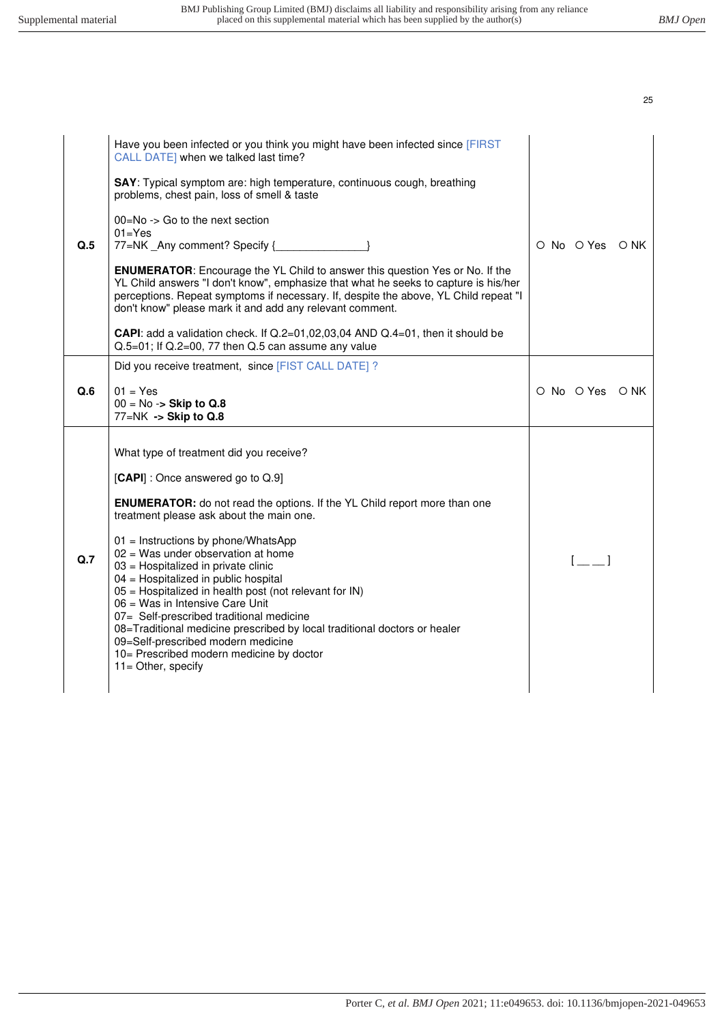|     | Have you been infected or you think you might have been infected since [FIRST<br>CALL DATE] when we talked last time?<br>SAY: Typical symptom are: high temperature, continuous cough, breathing<br>problems, chest pain, loss of smell & taste                                                                                                                                                                                                                      |  |                                                |  |
|-----|----------------------------------------------------------------------------------------------------------------------------------------------------------------------------------------------------------------------------------------------------------------------------------------------------------------------------------------------------------------------------------------------------------------------------------------------------------------------|--|------------------------------------------------|--|
| Q.5 | $00 = No \rightarrow Go$ to the next section<br>$01 = Yes$<br>77=NK _Any comment? Specify {                                                                                                                                                                                                                                                                                                                                                                          |  | O No O Yes O NK                                |  |
|     | <b>ENUMERATOR:</b> Encourage the YL Child to answer this question Yes or No. If the<br>YL Child answers "I don't know", emphasize that what he seeks to capture is his/her<br>perceptions. Repeat symptoms if necessary. If, despite the above, YL Child repeat "I<br>don't know" please mark it and add any relevant comment.                                                                                                                                       |  |                                                |  |
|     | <b>CAPI:</b> add a validation check. If $Q.2=01,02,03,04$ AND $Q.4=01$ , then it should be<br>Q.5=01; If Q.2=00, 77 then Q.5 can assume any value                                                                                                                                                                                                                                                                                                                    |  |                                                |  |
|     | Did you receive treatment, since [FIST CALL DATE] ?                                                                                                                                                                                                                                                                                                                                                                                                                  |  |                                                |  |
| Q.6 | $01 = Yes$<br>$00 = No \rightarrow$ Skip to Q.8<br>77=NK -> Skip to Q.8                                                                                                                                                                                                                                                                                                                                                                                              |  | O No O Yes O NK                                |  |
|     | What type of treatment did you receive?                                                                                                                                                                                                                                                                                                                                                                                                                              |  |                                                |  |
|     | [CAPI] : Once answered go to Q.9]                                                                                                                                                                                                                                                                                                                                                                                                                                    |  |                                                |  |
| Q.7 | <b>ENUMERATOR:</b> do not read the options. If the YL Child report more than one<br>treatment please ask about the main one.                                                                                                                                                                                                                                                                                                                                         |  |                                                |  |
|     | $01 =$ Instructions by phone/WhatsApp<br>$02$ = Was under observation at home<br>03 = Hospitalized in private clinic<br>04 = Hospitalized in public hospital<br>05 = Hospitalized in health post (not relevant for IN)<br>06 = Was in Intensive Care Unit<br>07= Self-prescribed traditional medicine<br>08=Traditional medicine prescribed by local traditional doctors or healer<br>09=Self-prescribed modern medicine<br>10= Prescribed modern medicine by doctor |  | $\begin{bmatrix} 1 & 1 \\ 1 & 1 \end{bmatrix}$ |  |
|     | $11 =$ Other, specify                                                                                                                                                                                                                                                                                                                                                                                                                                                |  |                                                |  |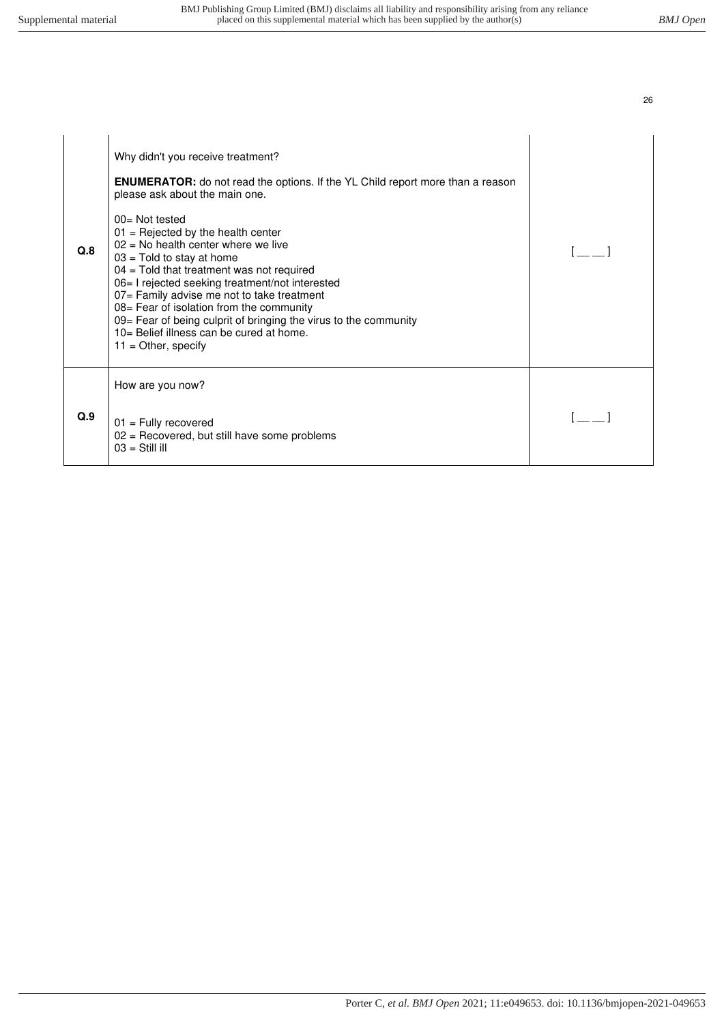| ٦ |         |
|---|---------|
|   | ٦<br>۰. |

| Q.8 | Why didn't you receive treatment?<br><b>ENUMERATOR:</b> do not read the options. If the YL Child report more than a reason<br>please ask about the main one.<br>$00 = Not tested$<br>$01$ = Rejected by the health center<br>$02$ = No health center where we live<br>$03$ = Told to stay at home<br>$04$ = Told that treatment was not required<br>06= I rejected seeking treatment/not interested<br>07= Family advise me not to take treatment<br>08= Fear of isolation from the community<br>09= Fear of being culprit of bringing the virus to the community<br>10= Belief illness can be cured at home.<br>$11 =$ Other, specify |  |
|-----|----------------------------------------------------------------------------------------------------------------------------------------------------------------------------------------------------------------------------------------------------------------------------------------------------------------------------------------------------------------------------------------------------------------------------------------------------------------------------------------------------------------------------------------------------------------------------------------------------------------------------------------|--|
| Q.9 | How are you now?<br>$01$ = Fully recovered<br>$02$ = Recovered, but still have some problems<br>$03 = Still$ ill                                                                                                                                                                                                                                                                                                                                                                                                                                                                                                                       |  |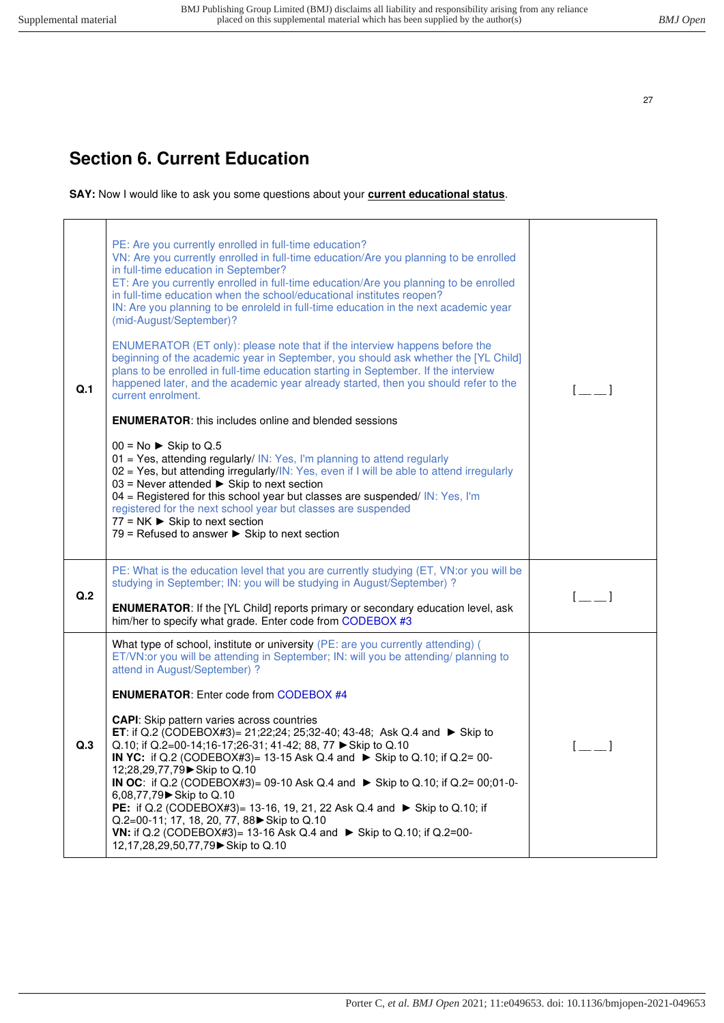# <span id="page-26-0"></span>**Section 6. Current Education**

**SAY:** Now I would like to ask you some questions about your **current educational status**.

| Q.1 | PE: Are you currently enrolled in full-time education?<br>VN: Are you currently enrolled in full-time education/Are you planning to be enrolled<br>in full-time education in September?<br>ET: Are you currently enrolled in full-time education/Are you planning to be enrolled<br>in full-time education when the school/educational institutes reopen?<br>IN: Are you planning to be enroleld in full-time education in the next academic year<br>(mid-August/September)?<br>ENUMERATOR (ET only): please note that if the interview happens before the<br>beginning of the academic year in September, you should ask whether the [YL Child]<br>plans to be enrolled in full-time education starting in September. If the interview<br>happened later, and the academic year already started, then you should refer to the<br>current enrolment.<br><b>ENUMERATOR:</b> this includes online and blended sessions<br>$00 = No$ $\triangleright$ Skip to Q.5<br>01 = Yes, attending regularly/ IN: Yes, I'm planning to attend regularly<br>02 = Yes, but attending irregularly/IN: Yes, even if I will be able to attend irregularly<br>$03$ = Never attended $\triangleright$ Skip to next section<br>$04$ = Registered for this school year but classes are suspended/ IN: Yes, I'm<br>registered for the next school year but classes are suspended<br>77 = NK $\blacktriangleright$ Skip to next section<br>79 = Refused to answer $\triangleright$ Skip to next section | $[-]$                                          |
|-----|---------------------------------------------------------------------------------------------------------------------------------------------------------------------------------------------------------------------------------------------------------------------------------------------------------------------------------------------------------------------------------------------------------------------------------------------------------------------------------------------------------------------------------------------------------------------------------------------------------------------------------------------------------------------------------------------------------------------------------------------------------------------------------------------------------------------------------------------------------------------------------------------------------------------------------------------------------------------------------------------------------------------------------------------------------------------------------------------------------------------------------------------------------------------------------------------------------------------------------------------------------------------------------------------------------------------------------------------------------------------------------------------------------------------------------------------------------------------------------|------------------------------------------------|
| Q.2 | PE: What is the education level that you are currently studying (ET, VN:or you will be<br>studying in September; IN: you will be studying in August/September) ?<br><b>ENUMERATOR:</b> If the [YL Child] reports primary or secondary education level, ask<br>him/her to specify what grade. Enter code from CODEBOX #3                                                                                                                                                                                                                                                                                                                                                                                                                                                                                                                                                                                                                                                                                                                                                                                                                                                                                                                                                                                                                                                                                                                                                         | $[-]$                                          |
| Q.3 | What type of school, institute or university (PE: are you currently attending) (<br>ET/VN:or you will be attending in September; IN: will you be attending/ planning to<br>attend in August/September) ?<br><b>ENUMERATOR:</b> Enter code from CODEBOX #4<br><b>CAPI:</b> Skip pattern varies across countries<br><b>ET</b> : if Q.2 (CODEBOX#3)= 21;22;24; 25;32-40; 43-48; Ask Q.4 and ► Skip to<br>Q.10; if Q.2=00-14;16-17;26-31; 41-42; 88, 77 ► Skip to Q.10<br>IN YC: if Q.2 (CODEBOX#3)= 13-15 Ask Q.4 and $\triangleright$ Skip to Q.10; if Q.2= 00-<br>12:28,29,77,79 ► Skip to Q.10<br><b>IN OC:</b> if Q.2 (CODEBOX#3)= 09-10 Ask Q.4 and $\triangleright$ Skip to Q.10; if Q.2= 00:01-0-<br>6,08,77,79 Skip to Q.10<br>PE: if Q.2 (CODEBOX#3)= 13-16, 19, 21, 22 Ask Q.4 and ▶ Skip to Q.10; if<br>Q.2=00-11; 17, 18, 20, 77, 88▶ Skip to Q.10<br><b>VN:</b> if Q.2 (CODEBOX#3)= 13-16 Ask Q.4 and ► Skip to Q.10; if Q.2=00-<br>12,17,28,29,50,77,79 Skip to Q.10                                                                                                                                                                                                                                                                                                                                                                                                                                                                                                 | $\begin{bmatrix} 1 & 1 \\ 1 & 1 \end{bmatrix}$ |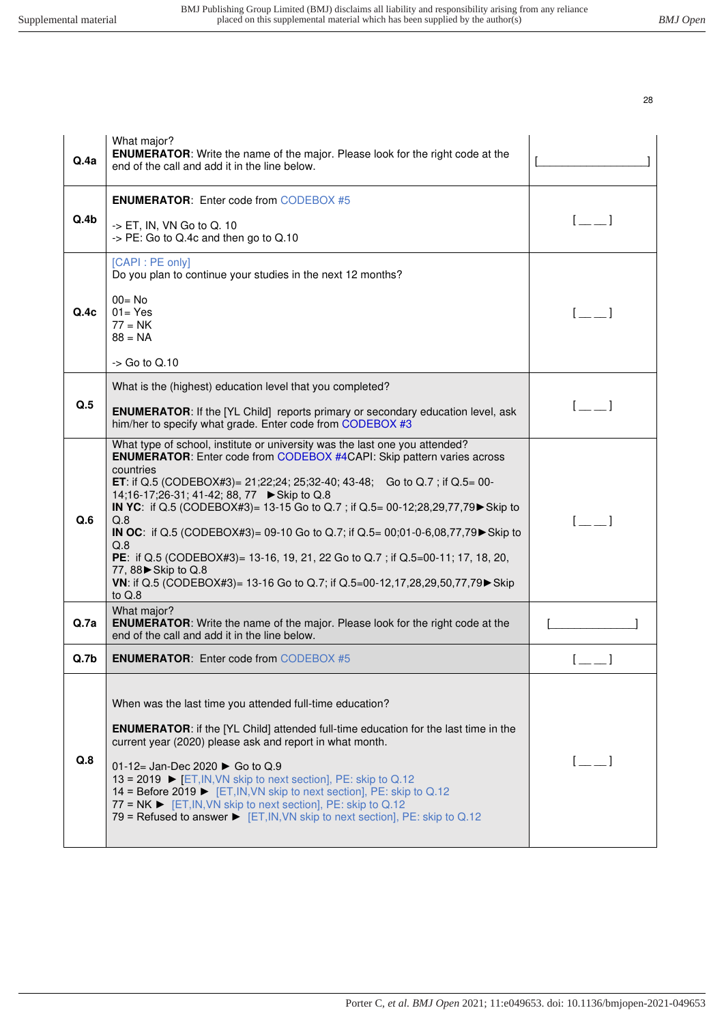| Q.4a             | What major?<br><b>ENUMERATOR:</b> Write the name of the major. Please look for the right code at the<br>end of the call and add it in the line below.                                                                                                                                                                                                                                                                                                                                                                                                                                                                                                                                                                      |                                                |
|------------------|----------------------------------------------------------------------------------------------------------------------------------------------------------------------------------------------------------------------------------------------------------------------------------------------------------------------------------------------------------------------------------------------------------------------------------------------------------------------------------------------------------------------------------------------------------------------------------------------------------------------------------------------------------------------------------------------------------------------------|------------------------------------------------|
| Q.4b             | <b>ENUMERATOR:</b> Enter code from CODEBOX #5<br>$\rightarrow$ ET, IN, VN Go to Q. 10<br>-> PE: Go to Q.4c and then go to Q.10                                                                                                                                                                                                                                                                                                                                                                                                                                                                                                                                                                                             | $\begin{bmatrix} 1 & 1 \end{bmatrix}$          |
| Q.4c             | [CAPI : PE only]<br>Do you plan to continue your studies in the next 12 months?<br>$00 = No$<br>$01 = Yes$<br>$77 = NK$<br>$88 = NA$<br>$\sim$ Go to Q.10                                                                                                                                                                                                                                                                                                                                                                                                                                                                                                                                                                  |                                                |
| Q.5              | What is the (highest) education level that you completed?<br><b>ENUMERATOR:</b> If the [YL Child] reports primary or secondary education level, ask<br>him/her to specify what grade. Enter code from CODEBOX #3                                                                                                                                                                                                                                                                                                                                                                                                                                                                                                           | $\begin{bmatrix} 1 & 1 \\ 1 & 1 \end{bmatrix}$ |
| Q.6              | What type of school, institute or university was the last one you attended?<br><b>ENUMERATOR:</b> Enter code from CODEBOX #4CAPI: Skip pattern varies across<br>countries<br><b>ET:</b> if Q.5 (CODEBOX#3)= 21;22;24; 25;32-40; 43-48; Go to Q.7; if Q.5= 00-<br>14;16-17;26-31; 41-42; 88, 77 ► Skip to Q.8<br>IN YC: if Q.5 (CODEBOX#3)= 13-15 Go to Q.7 ; if Q.5= 00-12;28,29,77,79 Skip to<br>Q.8<br>IN OC: if Q.5 (CODEBOX#3)= 09-10 Go to Q.7; if Q.5= 00;01-0-6,08,77,79 $\blacktriangleright$ Skip to<br>Q.8<br>PE: if Q.5 (CODEBOX#3)= 13-16, 19, 21, 22 Go to Q.7; if Q.5=00-11; 17, 18, 20,<br>77, 88 Skip to Q.8<br>VN: if Q.5 (CODEBOX#3)= 13-16 Go to Q.7; if Q.5=00-12,17,28,29,50,77,79 ► Skip<br>to $Q.8$ | $\begin{bmatrix} 1 & 1 \end{bmatrix}$          |
| Q.Za             | What major?<br><b>ENUMERATOR:</b> Write the name of the major. Please look for the right code at the<br>end of the call and add it in the line below.                                                                                                                                                                                                                                                                                                                                                                                                                                                                                                                                                                      |                                                |
| Q.7 <sub>b</sub> | <b>ENUMERATOR:</b> Enter code from CODEBOX #5                                                                                                                                                                                                                                                                                                                                                                                                                                                                                                                                                                                                                                                                              |                                                |
| Q.8              | When was the last time you attended full-time education?<br><b>ENUMERATOR:</b> if the [YL Child] attended full-time education for the last time in the<br>current year (2020) please ask and report in what month.<br>01-12= Jan-Dec 2020 $\triangleright$ Go to Q.9<br>13 = 2019 $\triangleright$ [ET, IN, VN skip to next section], PE: skip to Q.12<br>14 = Before 2019 ► [ET, IN, VN skip to next section], PE: skip to Q.12<br>77 = $NK$ $\blacktriangleright$ [ET, IN, VN skip to next section], PE: skip to Q.12<br>79 = Refused to answer $\triangleright$ [ET, IN, VN skip to next section], PE: skip to Q.12                                                                                                     | $\begin{bmatrix} 1 & 1 \end{bmatrix}$          |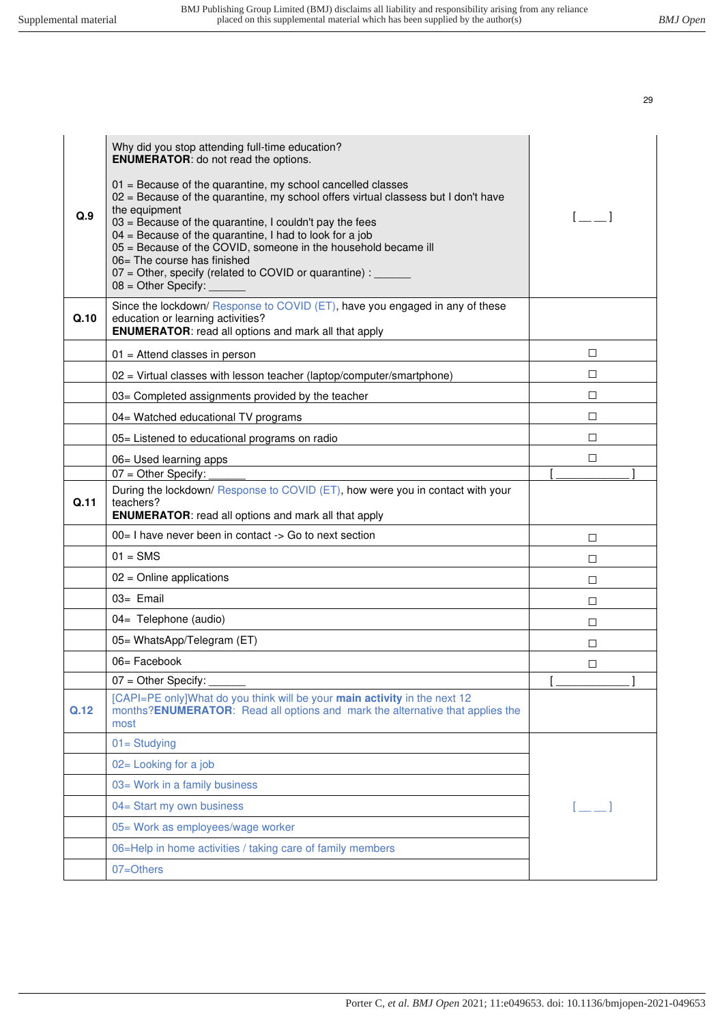| Why did you stop attending full-time education?<br><b>ENUMERATOR:</b> do not read the options.<br>$01$ = Because of the quarantine, my school cancelled classes<br>02 = Because of the quarantine, my school offers virtual classess but I don't have<br>the equipment<br>Q.9<br>$03$ = Because of the quarantine, I couldn't pay the fees<br>$04$ = Because of the quarantine, I had to look for a job<br>05 = Because of the COVID, someone in the household became ill<br>06= The course has finished<br>$07$ = Other, specify (related to COVID or quarantine) : $\frac{1}{100}$<br>$08 =$ Other Specify: | $\sqrt{2}$          |
|---------------------------------------------------------------------------------------------------------------------------------------------------------------------------------------------------------------------------------------------------------------------------------------------------------------------------------------------------------------------------------------------------------------------------------------------------------------------------------------------------------------------------------------------------------------------------------------------------------------|---------------------|
| Since the lockdown/ Response to COVID (ET), have you engaged in any of these<br>Q.10<br>education or learning activities?<br><b>ENUMERATOR:</b> read all options and mark all that apply                                                                                                                                                                                                                                                                                                                                                                                                                      |                     |
| $01$ = Attend classes in person                                                                                                                                                                                                                                                                                                                                                                                                                                                                                                                                                                               | $\Box$              |
| 02 = Virtual classes with lesson teacher (laptop/computer/smartphone)                                                                                                                                                                                                                                                                                                                                                                                                                                                                                                                                         | $\Box$              |
| 03= Completed assignments provided by the teacher                                                                                                                                                                                                                                                                                                                                                                                                                                                                                                                                                             | □                   |
| 04= Watched educational TV programs                                                                                                                                                                                                                                                                                                                                                                                                                                                                                                                                                                           | $\Box$              |
| 05= Listened to educational programs on radio                                                                                                                                                                                                                                                                                                                                                                                                                                                                                                                                                                 | $\Box$              |
| 06= Used learning apps                                                                                                                                                                                                                                                                                                                                                                                                                                                                                                                                                                                        | □                   |
| 07 = Other Specify:                                                                                                                                                                                                                                                                                                                                                                                                                                                                                                                                                                                           |                     |
| During the lockdown/ Response to COVID (ET), how were you in contact with your<br>Q.11<br>teachers?<br><b>ENUMERATOR:</b> read all options and mark all that apply                                                                                                                                                                                                                                                                                                                                                                                                                                            |                     |
| 00 = I have never been in contact -> Go to next section                                                                                                                                                                                                                                                                                                                                                                                                                                                                                                                                                       | П                   |
| $01 =$ SMS                                                                                                                                                                                                                                                                                                                                                                                                                                                                                                                                                                                                    | $\Box$              |
| $02$ = Online applications                                                                                                                                                                                                                                                                                                                                                                                                                                                                                                                                                                                    | $\Box$              |
| 03= Email                                                                                                                                                                                                                                                                                                                                                                                                                                                                                                                                                                                                     | $\Box$              |
| 04= Telephone (audio)                                                                                                                                                                                                                                                                                                                                                                                                                                                                                                                                                                                         | □                   |
| 05= WhatsApp/Telegram (ET)                                                                                                                                                                                                                                                                                                                                                                                                                                                                                                                                                                                    | □                   |
| 06= Facebook                                                                                                                                                                                                                                                                                                                                                                                                                                                                                                                                                                                                  | □                   |
| 07 = Other Specify:                                                                                                                                                                                                                                                                                                                                                                                                                                                                                                                                                                                           | $\mathsf{L}$<br>ı   |
| [CAPI=PE only]What do you think will be your main activity in the next 12<br>months? <b>ENUMERATOR:</b> Read all options and mark the alternative that applies the<br>Q.12<br>most                                                                                                                                                                                                                                                                                                                                                                                                                            |                     |
| $01 =$ Studying                                                                                                                                                                                                                                                                                                                                                                                                                                                                                                                                                                                               |                     |
| 02= Looking for a job                                                                                                                                                                                                                                                                                                                                                                                                                                                                                                                                                                                         |                     |
| 03= Work in a family business                                                                                                                                                                                                                                                                                                                                                                                                                                                                                                                                                                                 |                     |
| 04= Start my own business                                                                                                                                                                                                                                                                                                                                                                                                                                                                                                                                                                                     | $[$ $\pm$ $\pm$ $]$ |
| 05= Work as employees/wage worker                                                                                                                                                                                                                                                                                                                                                                                                                                                                                                                                                                             |                     |
| 06=Help in home activities / taking care of family members                                                                                                                                                                                                                                                                                                                                                                                                                                                                                                                                                    |                     |
| 07=Others                                                                                                                                                                                                                                                                                                                                                                                                                                                                                                                                                                                                     |                     |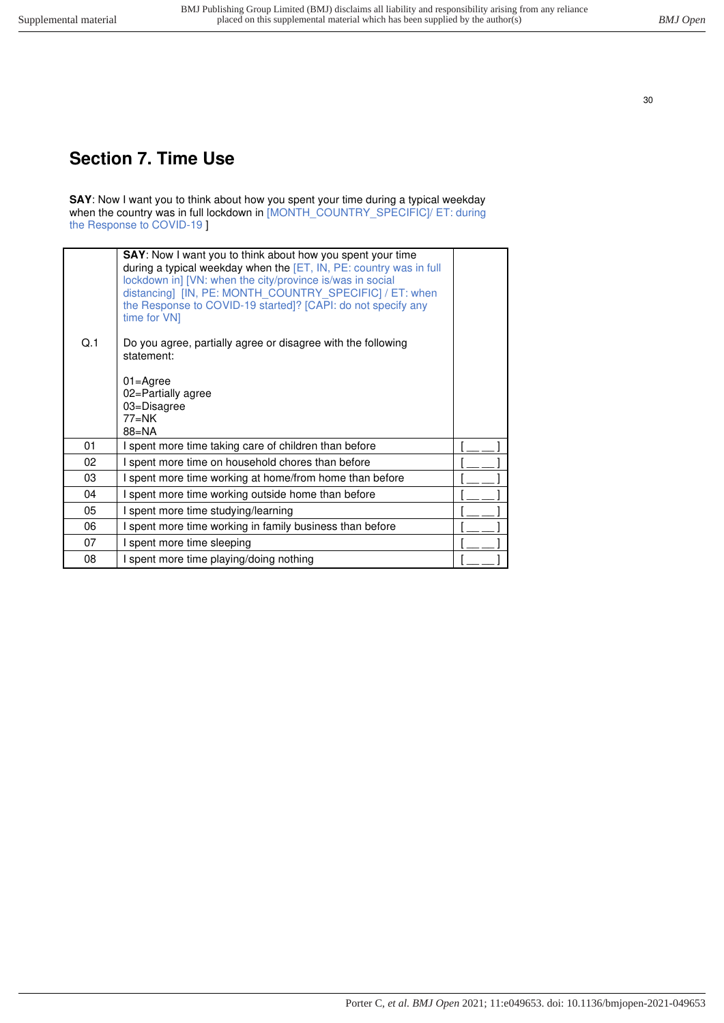# <span id="page-29-0"></span>**Section 7. Time Use**

**SAY**: Now I want you to think about how you spent your time during a typical weekday when the country was in full lockdown in [MONTH\_COUNTRY\_SPECIFIC]/ ET: during the Response to COVID-19 ]

| Q.1 | <b>SAY:</b> Now I want you to think about how you spent your time<br>during a typical weekday when the [ET, IN, PE: country was in full<br>lockdown in] [VN: when the city/province is/was in social<br>distancing] [IN, PE: MONTH COUNTRY SPECIFIC] / ET: when<br>the Response to COVID-19 started]? [CAPI: do not specify any<br>time for VN1<br>Do you agree, partially agree or disagree with the following<br>statement:<br>$01 = \text{Agree}$<br>02=Partially agree<br>03=Disagree |  |
|-----|-------------------------------------------------------------------------------------------------------------------------------------------------------------------------------------------------------------------------------------------------------------------------------------------------------------------------------------------------------------------------------------------------------------------------------------------------------------------------------------------|--|
|     | $77=NK$<br>$88 = NA$                                                                                                                                                                                                                                                                                                                                                                                                                                                                      |  |
| 01  | I spent more time taking care of children than before                                                                                                                                                                                                                                                                                                                                                                                                                                     |  |
| 02  | I spent more time on household chores than before                                                                                                                                                                                                                                                                                                                                                                                                                                         |  |
| 03  | I spent more time working at home/from home than before                                                                                                                                                                                                                                                                                                                                                                                                                                   |  |
| 04  | I spent more time working outside home than before                                                                                                                                                                                                                                                                                                                                                                                                                                        |  |
| 05  | I spent more time studying/learning                                                                                                                                                                                                                                                                                                                                                                                                                                                       |  |
| 06  | I spent more time working in family business than before                                                                                                                                                                                                                                                                                                                                                                                                                                  |  |
| 07  | I spent more time sleeping                                                                                                                                                                                                                                                                                                                                                                                                                                                                |  |
| 08  | I spent more time playing/doing nothing                                                                                                                                                                                                                                                                                                                                                                                                                                                   |  |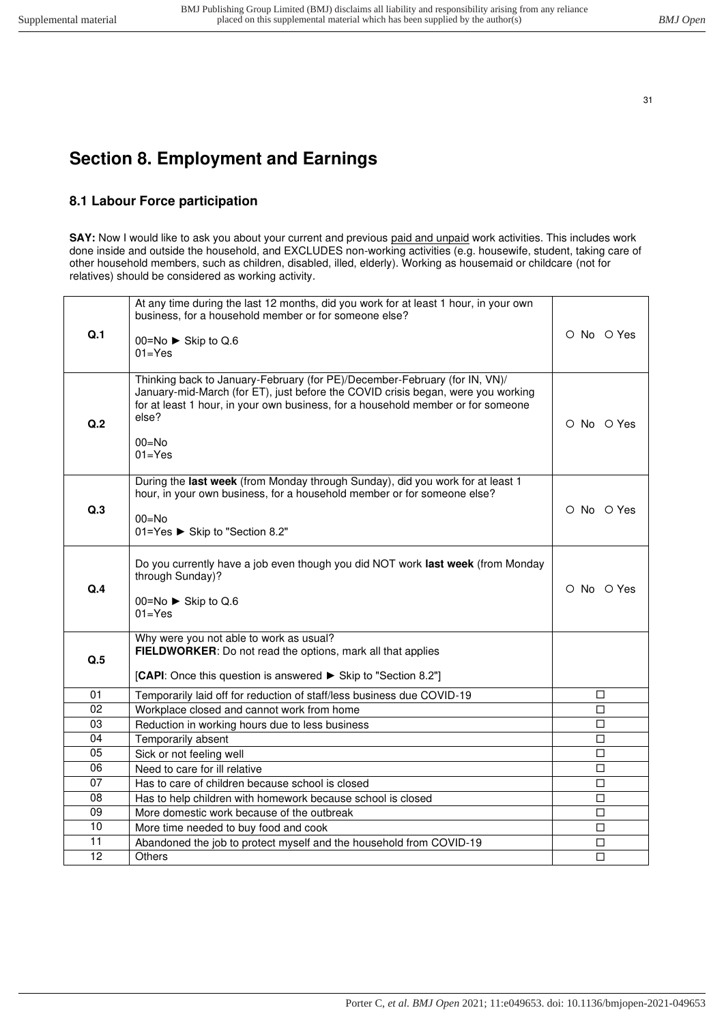# <span id="page-30-1"></span><span id="page-30-0"></span>**Section 8. Employment and Earnings**

## **8.1 Labour Force participation**

**SAY:** Now I would like to ask you about your current and previous paid and unpaid work activities. This includes work done inside and outside the household, and EXCLUDES non-working activities (e.g. housewife, student, taking care of other household members, such as children, disabled, illed, elderly). Working as housemaid or childcare (not for relatives) should be considered as working activity.

|     | At any time during the last 12 months, did you work for at least 1 hour, in your own<br>business, for a household member or for someone else?                                                                                                                                          |            |
|-----|----------------------------------------------------------------------------------------------------------------------------------------------------------------------------------------------------------------------------------------------------------------------------------------|------------|
| Q.1 | 00=No $\triangleright$ Skip to Q.6<br>$01 = Yes$                                                                                                                                                                                                                                       | O No O Yes |
| Q.2 | Thinking back to January-February (for PE)/December-February (for IN, VN)/<br>January-mid-March (for ET), just before the COVID crisis began, were you working<br>for at least 1 hour, in your own business, for a household member or for someone<br>else?<br>$00 = No$<br>$01 = Yes$ | O No O Yes |
| Q.3 | During the last week (from Monday through Sunday), did you work for at least 1<br>hour, in your own business, for a household member or for someone else?<br>$00=No$<br>01=Yes ► Skip to "Section 8.2"                                                                                 | O No O Yes |
| Q.4 | Do you currently have a job even though you did NOT work last week (from Monday<br>through Sunday)?<br>00=No ► Skip to Q.6<br>$01 = Yes$                                                                                                                                               | O No O Yes |
| Q.5 | Why were you not able to work as usual?<br>FIELDWORKER: Do not read the options, mark all that applies<br>[CAPI: Once this question is answered ► Skip to "Section 8.2"]                                                                                                               |            |
| 01  | Temporarily laid off for reduction of staff/less business due COVID-19                                                                                                                                                                                                                 | □          |
| 02  | Workplace closed and cannot work from home                                                                                                                                                                                                                                             | □          |
| 03  | Reduction in working hours due to less business                                                                                                                                                                                                                                        | □          |
| 04  | Temporarily absent                                                                                                                                                                                                                                                                     | □          |
| 05  | Sick or not feeling well                                                                                                                                                                                                                                                               | □          |
| 06  | Need to care for ill relative                                                                                                                                                                                                                                                          | □          |
| 07  | Has to care of children because school is closed                                                                                                                                                                                                                                       | $\Box$     |
| 08  | Has to help children with homework because school is closed                                                                                                                                                                                                                            | $\Box$     |
| 09  | More domestic work because of the outbreak                                                                                                                                                                                                                                             | □          |
| 10  | More time needed to buy food and cook                                                                                                                                                                                                                                                  | $\Box$     |
| 11  | Abandoned the job to protect myself and the household from COVID-19                                                                                                                                                                                                                    | □          |
| 12  | <b>Others</b>                                                                                                                                                                                                                                                                          | □          |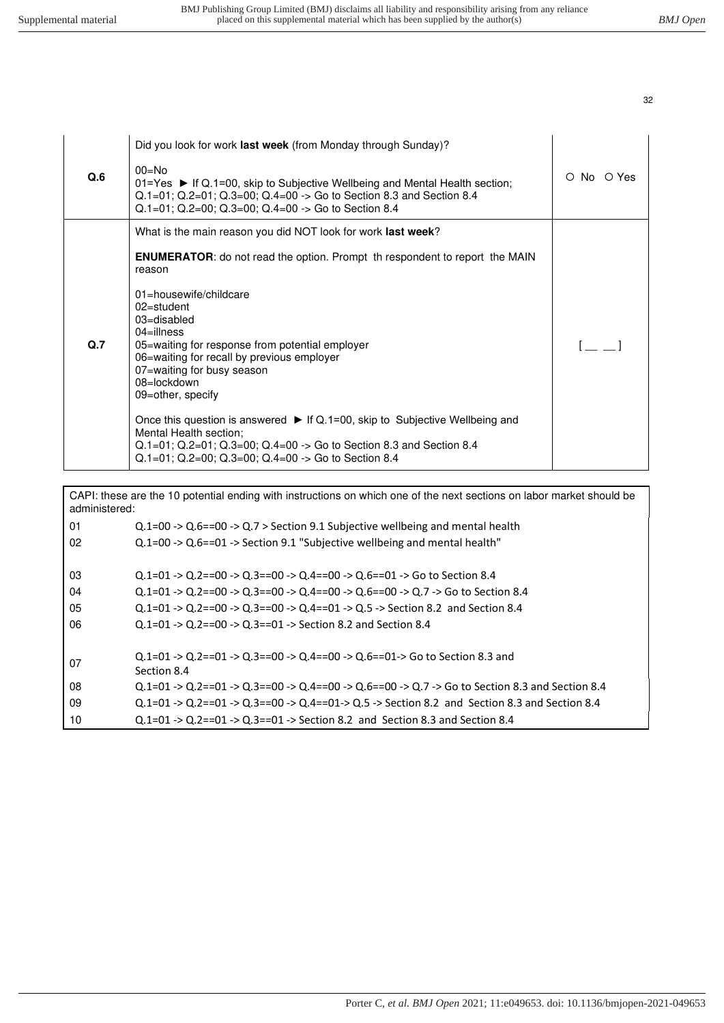|     | Did you look for work last week (from Monday through Sunday)?                                                                                                                                                                                                                  |            |
|-----|--------------------------------------------------------------------------------------------------------------------------------------------------------------------------------------------------------------------------------------------------------------------------------|------------|
| Q.6 | $00=No$<br>$01 = Yes$ • If Q.1=00, skip to Subjective Wellbeing and Mental Health section;<br>$Q.1=01$ ; $Q.2=01$ ; $Q.3=00$ ; $Q.4=00$ -> Go to Section 8.3 and Section 8.4<br>$Q.1=01$ ; $Q.2=00$ ; $Q.3=00$ ; $Q.4=00$ -> Go to Section 8.4                                 | O No O Yes |
|     | What is the main reason you did NOT look for work last week?                                                                                                                                                                                                                   |            |
|     | <b>ENUMERATOR:</b> do not read the option. Prompt th respondent to report the MAIN<br>reason                                                                                                                                                                                   |            |
|     | 01=housewife/childcare<br>$02$ =student<br>03=disabled<br>$04$ =illness                                                                                                                                                                                                        |            |
| Q.7 | 05=waiting for response from potential employer<br>06=waiting for recall by previous employer<br>07=waiting for busy season<br>08=lockdown<br>09=other, specify                                                                                                                |            |
|     | Once this question is answered $\blacktriangleright$ If Q.1=00, skip to Subjective Wellbeing and<br>Mental Health section;<br>$Q.1=01$ ; $Q.2=01$ ; $Q.3=00$ ; $Q.4=00$ -> Go to Section 8.3 and Section 8.4<br>$Q.1=01$ ; $Q.2=00$ ; $Q.3=00$ ; $Q.4=00$ -> Go to Section 8.4 |            |

CAPI: these are the 10 potential ending with instructions on which one of the next sections on labor market should be administered:

| 01<br>02 | $Q.1=00 \rightarrow Q.6==00 \rightarrow Q.7 >$ Section 9.1 Subjective wellbeing and mental health<br>$Q.1=00 \rightarrow Q.6=-01 \rightarrow$ Section 9.1 "Subjective wellbeing and mental health" |
|----------|----------------------------------------------------------------------------------------------------------------------------------------------------------------------------------------------------|
| 03       | $Q.1=01 \rightarrow Q.2=00 \rightarrow Q.3=00 \rightarrow Q.4=00 \rightarrow Q.6=01 \rightarrow G$ o to Section 8.4                                                                                |
| 04       | $0.1=01 \rightarrow 0.2=00 \rightarrow 0.3=00 \rightarrow 0.4=00 \rightarrow 0.6=00 \rightarrow 0.7 \rightarrow$ Go to Section 8.4                                                                 |
| 05       | $0.1=01 \rightarrow 0.2=00 \rightarrow 0.3=00 \rightarrow 0.4=01 \rightarrow 0.5 \rightarrow$ Section 8.2 and Section 8.4                                                                          |
| 06       | $Q.1=01 \rightarrow Q.2=00 \rightarrow Q.3=01 \rightarrow Section 8.2$ and Section 8.4                                                                                                             |
| 07       | $Q.1=01 \rightarrow Q.2=01 \rightarrow Q.3=00 \rightarrow Q.4=00 \rightarrow Q.6=01 \rightarrow$ Go to Section 8.3 and<br>Section 8.4                                                              |
| 08       | $Q.1=01 \rightarrow Q.2=01 \rightarrow Q.3=00 \rightarrow Q.4=00 \rightarrow Q.6=00 \rightarrow Q.7 \rightarrow G$ to Section 8.3 and Section 8.4                                                  |
| 09       | Q.1=01 -> Q.2==01 -> Q.3==00 -> Q.4==01-> Q.5 -> Section 8.2 and Section 8.3 and Section 8.4                                                                                                       |
| 10       | $Q.1=01 \rightarrow Q.2==01 \rightarrow Q.3==01 \rightarrow Section 8.2$ and Section 8.3 and Section 8.4                                                                                           |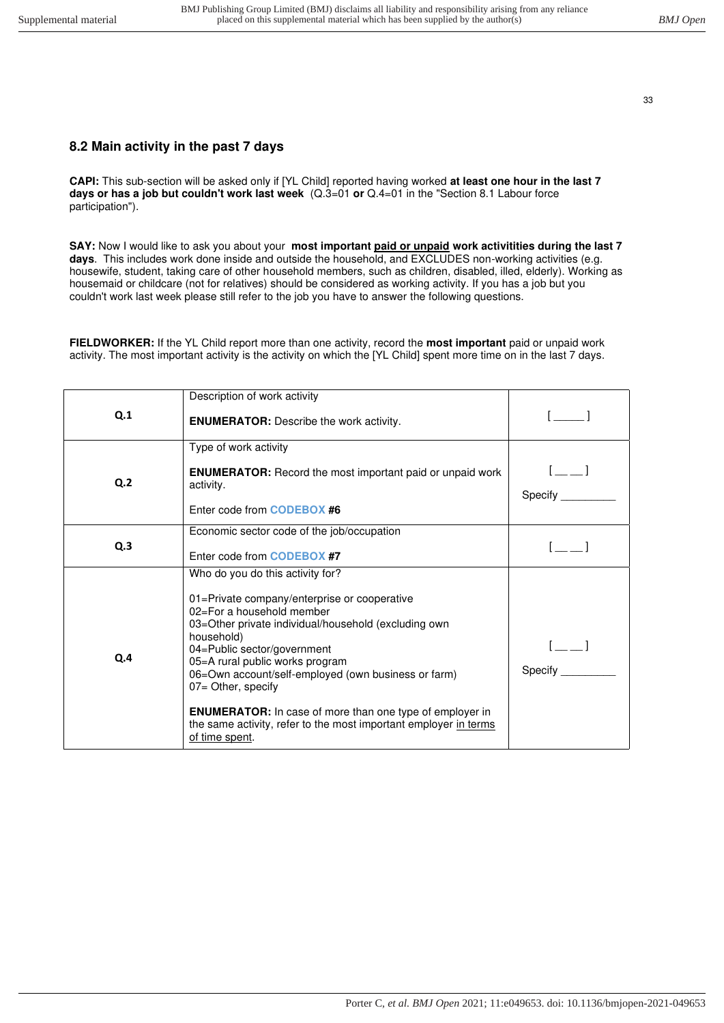# <span id="page-32-0"></span>**8.2 Main activity in the past 7 days**

**CAPI:** This sub-section will be asked only if [YL Child] reported having worked **at least one hour in the last 7 days or has a job but couldn't work last week** (Q.3=01 **or** Q.4=01 in the "Section 8.1 Labour force participation").

**SAY:** Now I would like to ask you about your **most important paid or unpaid work activitities during the last 7 days**. This includes work done inside and outside the household, and EXCLUDES non-working activities (e.g. housewife, student, taking care of other household members, such as children, disabled, illed, elderly). Working as housemaid or childcare (not for relatives) should be considered as working activity. If you has a job but you couldn't work last week please still refer to the job you have to answer the following questions.

**FIELDWORKER:** If the YL Child report more than one activity, record the **most important** paid or unpaid work activity. The most important activity is the activity on which the [YL Child] spent more time on in the last 7 days.

| Q.1            | Description of work activity<br><b>ENUMERATOR:</b> Describe the work activity.                                                                                                                                                                                                                                                                                                                                                                                                              |                                                  |
|----------------|---------------------------------------------------------------------------------------------------------------------------------------------------------------------------------------------------------------------------------------------------------------------------------------------------------------------------------------------------------------------------------------------------------------------------------------------------------------------------------------------|--------------------------------------------------|
| Q <sub>2</sub> | Type of work activity<br><b>ENUMERATOR:</b> Record the most important paid or unpaid work<br>activity.<br>Enter code from <b>CODEBOX #6</b>                                                                                                                                                                                                                                                                                                                                                 | $\begin{bmatrix} 1 & 1 \end{bmatrix}$<br>Specify |
| Q.3            | Economic sector code of the job/occupation<br>Enter code from <b>CODEBOX #7</b>                                                                                                                                                                                                                                                                                                                                                                                                             |                                                  |
| Q.4            | Who do you do this activity for?<br>01=Private company/enterprise or cooperative<br>02=For a household member<br>03=Other private individual/household (excluding own<br>household)<br>04=Public sector/government<br>05=A rural public works program<br>06=Own account/self-employed (own business or farm)<br>07= Other, specify<br><b>ENUMERATOR:</b> In case of more than one type of employer in<br>the same activity, refer to the most important employer in terms<br>of time spent. | Specify                                          |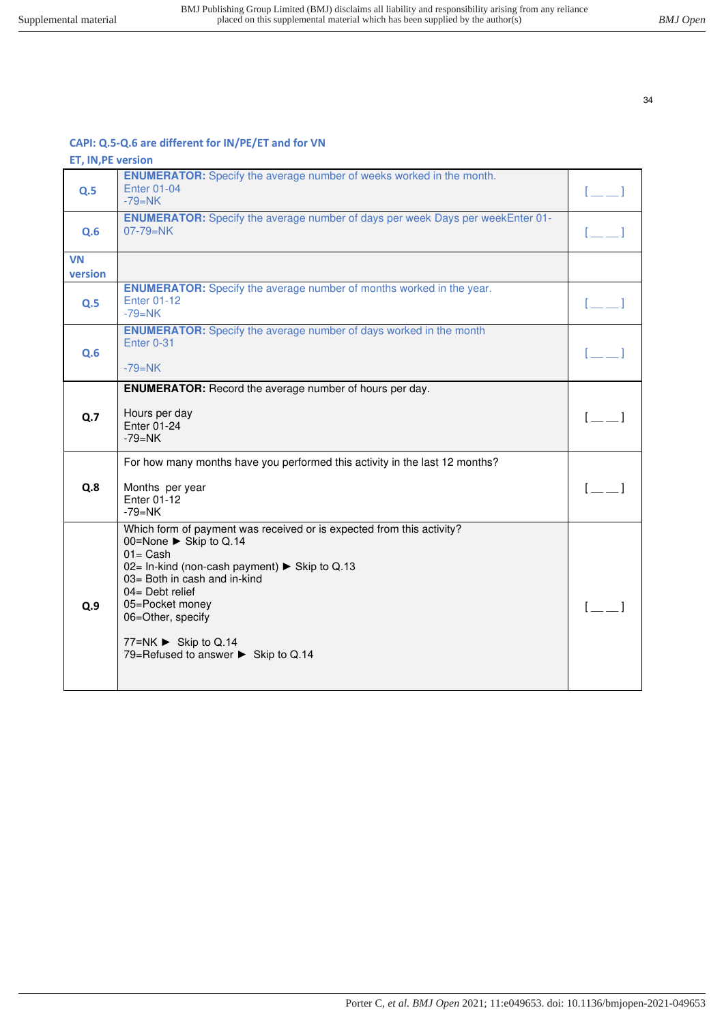### **CAPI: Q.5-Q.6 are different for IN/PE/ET and for VN**

| <b>ET, IN, PE version</b> |                                                                                                                                                                                                                                                                                                                              |                           |
|---------------------------|------------------------------------------------------------------------------------------------------------------------------------------------------------------------------------------------------------------------------------------------------------------------------------------------------------------------------|---------------------------|
| Q.5                       | <b>ENUMERATOR:</b> Specify the average number of weeks worked in the month.<br><b>Enter 01-04</b><br>$-79=NK$                                                                                                                                                                                                                | $[-]$                     |
| Q.6                       | <b>ENUMERATOR:</b> Specify the average number of days per week Days per weekEnter 01-<br>$07 - 79 = NK$                                                                                                                                                                                                                      | $\mathbb{R}$ $\mathbb{R}$ |
| <b>VN</b><br>version      |                                                                                                                                                                                                                                                                                                                              |                           |
| Q.5                       | <b>ENUMERATOR:</b> Specify the average number of months worked in the year.<br><b>Enter 01-12</b><br>$-79=NK$                                                                                                                                                                                                                |                           |
| Q.6                       | <b>ENUMERATOR:</b> Specify the average number of days worked in the month<br>Enter 0-31<br>$-79=NK$                                                                                                                                                                                                                          |                           |
| Q.7                       | <b>ENUMERATOR:</b> Record the average number of hours per day.<br>Hours per day<br>Enter 01-24<br>$-79 = NK$                                                                                                                                                                                                                 |                           |
| Q.8                       | For how many months have you performed this activity in the last 12 months?<br>Months per year<br>Enter 01-12<br>$-79=NK$                                                                                                                                                                                                    | $\mathbf{I}$              |
| Q.9                       | Which form of payment was received or is expected from this activity?<br>00=None ► Skip to Q.14<br>$01 = Cash$<br>02= In-kind (non-cash payment) ► Skip to Q.13<br>03= Both in cash and in-kind<br>$04 =$ Debt relief<br>05=Pocket money<br>06=Other, specify<br>77=NK ► Skip to Q.14<br>79=Refused to answer ▶ Skip to Q.14 |                           |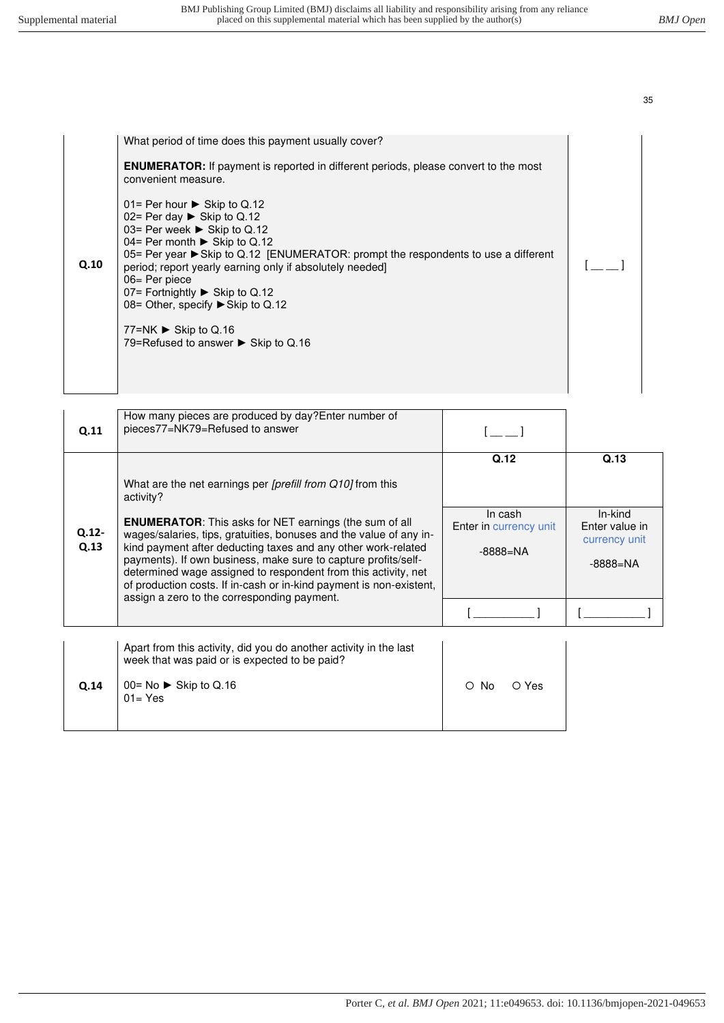|      | What period of time does this payment usually cover?                                                                                                                                                                                                                                                                                                                                                               |  |
|------|--------------------------------------------------------------------------------------------------------------------------------------------------------------------------------------------------------------------------------------------------------------------------------------------------------------------------------------------------------------------------------------------------------------------|--|
|      | <b>ENUMERATOR:</b> If payment is reported in different periods, please convert to the most<br>convenient measure.                                                                                                                                                                                                                                                                                                  |  |
| Q.10 | 01= Per hour $\triangleright$ Skip to Q.12<br>02= Per day $\triangleright$ Skip to Q.12<br>03= Per week ▶ Skip to Q.12<br>04= Per month $\triangleright$ Skip to Q.12<br>05= Per year ► Skip to Q.12 [ENUMERATOR: prompt the respondents to use a different<br>period; report yearly earning only if absolutely needed]<br>$06 = Per piece$<br>07= Fortnightly ▶ Skip to Q.12<br>08= Other, specify ▶ Skip to Q.12 |  |
|      | 77=NK $\triangleright$ Skip to Q.16<br>79=Refused to answer $\triangleright$ Skip to Q.16                                                                                                                                                                                                                                                                                                                          |  |
|      |                                                                                                                                                                                                                                                                                                                                                                                                                    |  |

| Q.11          | How many pieces are produced by day? Enter number of<br>pieces77=NK79=Refused to answer                                                                                                                                                                                                                                                                                                                                                                                                                                                          |                                                                  |                                                                |
|---------------|--------------------------------------------------------------------------------------------------------------------------------------------------------------------------------------------------------------------------------------------------------------------------------------------------------------------------------------------------------------------------------------------------------------------------------------------------------------------------------------------------------------------------------------------------|------------------------------------------------------------------|----------------------------------------------------------------|
| Q.12-<br>Q.13 | What are the net earnings per <i>[prefill from Q10]</i> from this<br>activity?<br><b>ENUMERATOR:</b> This asks for NET earnings (the sum of all<br>wages/salaries, tips, gratuities, bonuses and the value of any in-<br>kind payment after deducting taxes and any other work-related<br>payments). If own business, make sure to capture profits/self-<br>determined wage assigned to respondent from this activity, net<br>of production costs. If in-cash or in-kind payment is non-existent,<br>assign a zero to the corresponding payment. | Q.12<br>In cash<br><b>Enter in currency unit</b><br>$-8888 = NA$ | Q.13<br>In-kind<br>Enter value in<br>currency unit<br>-8888=NA |
| Q.14          | Apart from this activity, did you do another activity in the last<br>week that was paid or is expected to be paid?<br>$00 = No$ Skip to Q.16<br>$01 = Yes$                                                                                                                                                                                                                                                                                                                                                                                       | O No<br>O Yes                                                    |                                                                |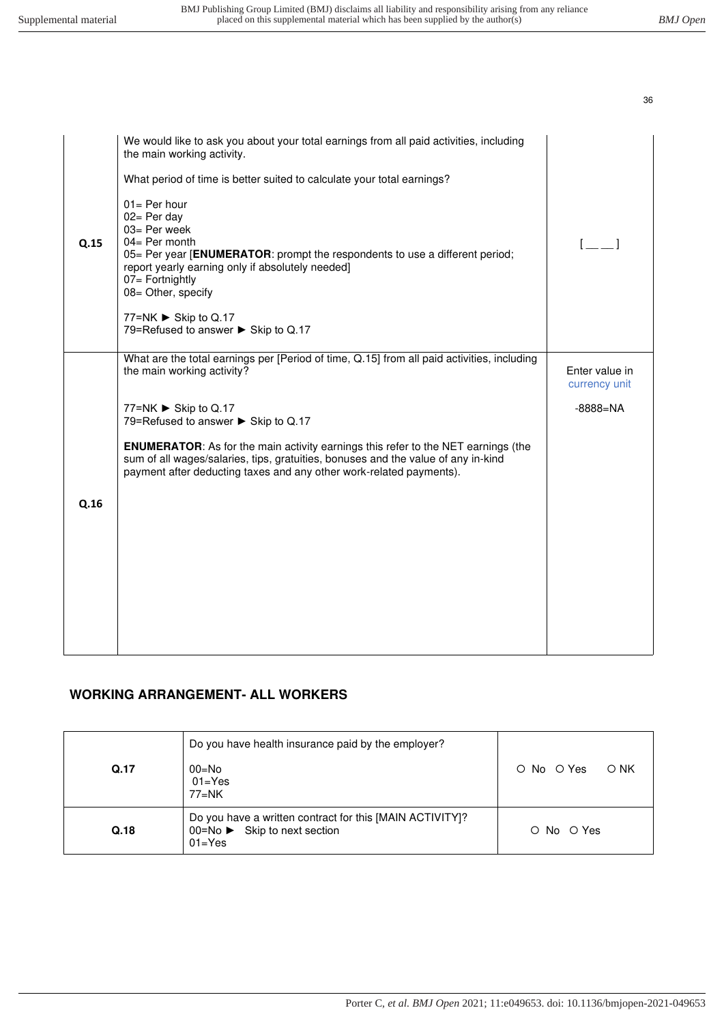| $\begin{bmatrix} 1 & 1 \end{bmatrix}$ |
|---------------------------------------|
|                                       |
| Enter value in<br>currency unit       |
| $-8888 = NA$                          |
|                                       |
|                                       |
|                                       |
|                                       |
|                                       |
|                                       |

# **WORKING ARRANGEMENT- ALL WORKERS**

| Q.17 | Do you have health insurance paid by the employer?<br>$00 = No$<br>$01 = Yes$                                       | O No O Yes<br>O NK |
|------|---------------------------------------------------------------------------------------------------------------------|--------------------|
| Q.18 | $77 = NK$<br>Do you have a written contract for this [MAIN ACTIVITY]?<br>00=No ► Skip to next section<br>$01 = Yes$ | O No O Yes         |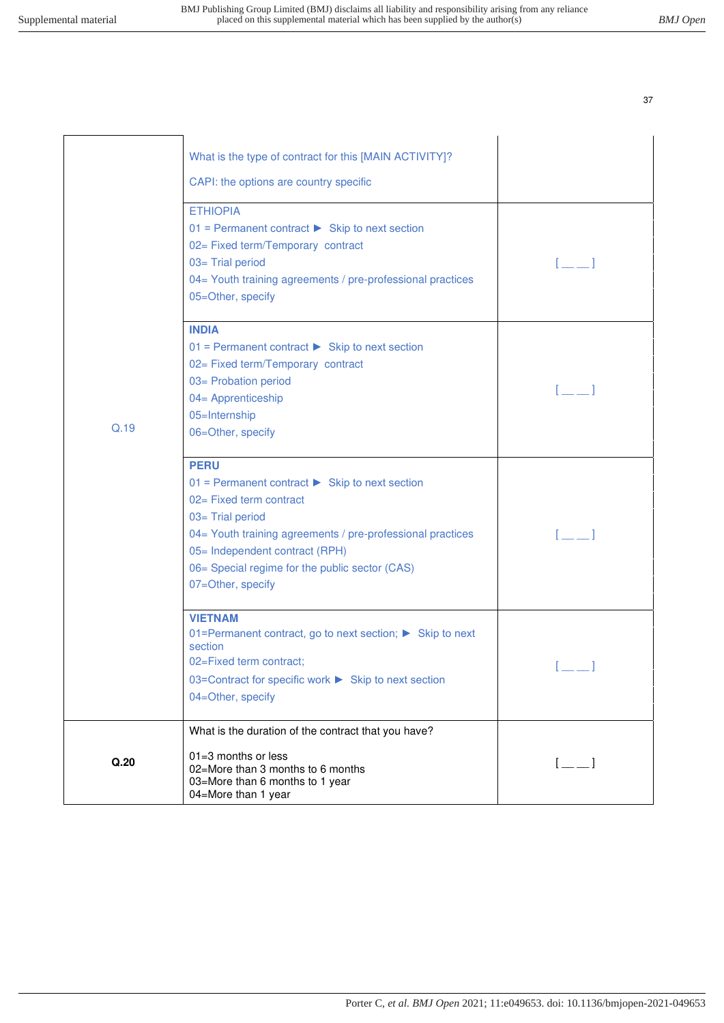|      | What is the type of contract for this [MAIN ACTIVITY]?<br>CAPI: the options are country specific<br><b>ETHIOPIA</b><br>$01$ = Permanent contract $\triangleright$ Skip to next section<br>02= Fixed term/Temporary contract<br>03= Trial period<br>04= Youth training agreements / pre-professional practices<br>05=Other, specify |                                                |
|------|------------------------------------------------------------------------------------------------------------------------------------------------------------------------------------------------------------------------------------------------------------------------------------------------------------------------------------|------------------------------------------------|
| Q.19 | <b>INDIA</b><br>$01$ = Permanent contract $\triangleright$ Skip to next section<br>02= Fixed term/Temporary contract<br>03= Probation period<br>04= Apprenticeship<br>05=Internship<br>06=Other, specify                                                                                                                           | r 1                                            |
|      | <b>PERU</b><br>$01$ = Permanent contract $\triangleright$ Skip to next section<br>02= Fixed term contract<br>03= Trial period<br>04= Youth training agreements / pre-professional practices<br>05= Independent contract (RPH)<br>06= Special regime for the public sector (CAS)<br>07=Other, specify                               | $\mathbf{I}$ $\mathbf{I}$                      |
|      | <b>VIETNAM</b><br>01=Permanent contract, go to next section; ▶ Skip to next<br>section<br>02=Fixed term contract;<br>03=Contract for specific work ▶ Skip to next section<br>04=Other, specify                                                                                                                                     |                                                |
| Q.20 | What is the duration of the contract that you have?<br>$01 = 3$ months or less<br>02=More than 3 months to 6 months<br>03=More than 6 months to 1 year<br>04=More than 1 year                                                                                                                                                      | $\begin{bmatrix} 1 & 1 \\ 1 & 1 \end{bmatrix}$ |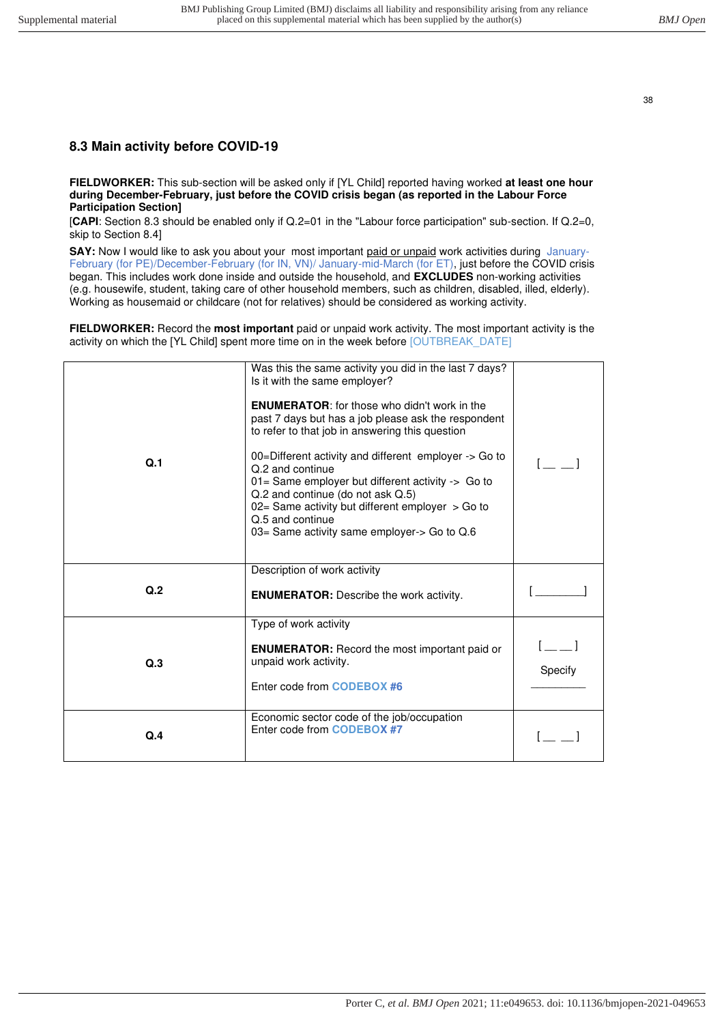### <span id="page-37-0"></span>**8.3 Main activity before COVID-19**

**FIELDWORKER:** This sub-section will be asked only if [YL Child] reported having worked **at least one hour during December-February, just before the COVID crisis began (as reported in the Labour Force Participation Section]**

[**CAPI**: Section 8.3 should be enabled only if Q.2=01 in the "Labour force participation" sub-section. If Q.2=0, skip to Section 8.4]

**SAY:** Now I would like to ask you about your most important paid or unpaid work activities during January-February (for PE)/December-February (for IN, VN)/ January-mid-March (for ET), just before the COVID crisis began. This includes work done inside and outside the household, and **EXCLUDES** non-working activities (e.g. housewife, student, taking care of other household members, such as children, disabled, illed, elderly). Working as housemaid or childcare (not for relatives) should be considered as working activity.

**FIELDWORKER:** Record the **most important** paid or unpaid work activity. The most important activity is the activity on which the [YL Child] spent more time on in the week before [OUTBREAK\_DATE]

| Q.1 | Was this the same activity you did in the last 7 days?<br>Is it with the same employer?<br><b>ENUMERATOR:</b> for those who didn't work in the<br>past 7 days but has a job please ask the respondent<br>to refer to that job in answering this question<br>00=Different activity and different employer -> Go to<br>Q.2 and continue<br>01= Same employer but different activity -> Go to<br>Q.2 and continue (do not ask Q.5)<br>02= Same activity but different employer > Go to<br>Q.5 and continue<br>03= Same activity same employer-> Go to Q.6 |         |
|-----|--------------------------------------------------------------------------------------------------------------------------------------------------------------------------------------------------------------------------------------------------------------------------------------------------------------------------------------------------------------------------------------------------------------------------------------------------------------------------------------------------------------------------------------------------------|---------|
| Q.2 | Description of work activity<br><b>ENUMERATOR:</b> Describe the work activity.                                                                                                                                                                                                                                                                                                                                                                                                                                                                         |         |
| Q.3 | Type of work activity<br><b>ENUMERATOR:</b> Record the most important paid or<br>unpaid work activity.<br>Enter code from <b>CODEBOX #6</b>                                                                                                                                                                                                                                                                                                                                                                                                            | Specify |
| Q.4 | Economic sector code of the job/occupation<br>Enter code from <b>CODEBOX #7</b>                                                                                                                                                                                                                                                                                                                                                                                                                                                                        |         |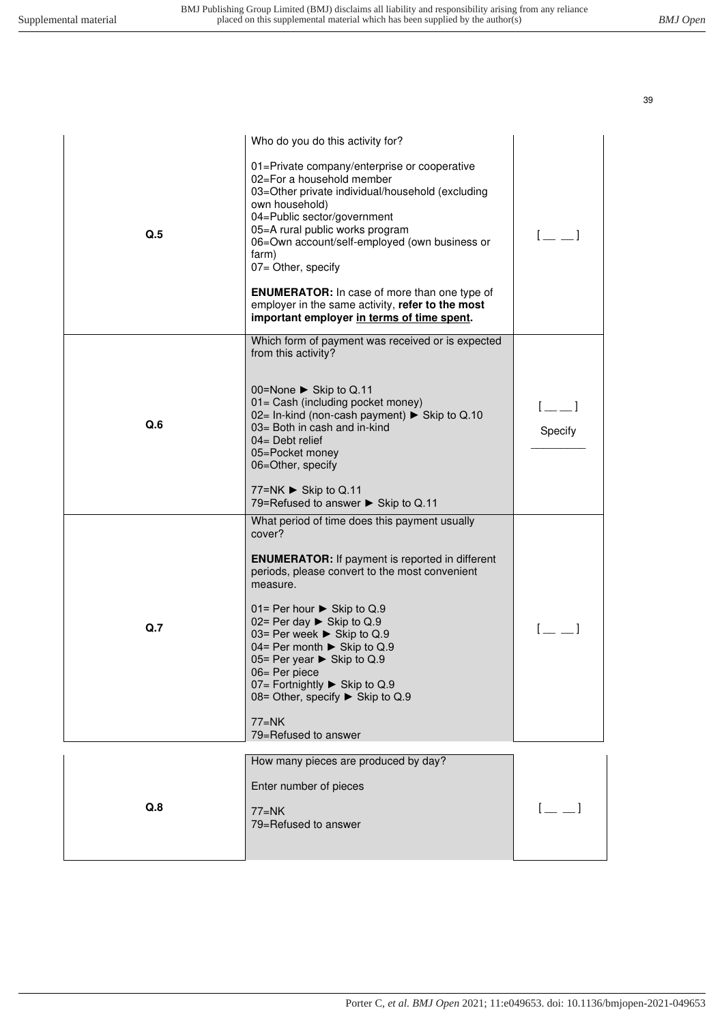| Q.5 | Who do you do this activity for?<br>01=Private company/enterprise or cooperative<br>02=For a household member<br>03=Other private individual/household (excluding<br>own household)<br>04=Public sector/government<br>05=A rural public works program<br>06=Own account/self-employed (own business or<br>farm)<br>07= Other, specify<br><b>ENUMERATOR:</b> In case of more than one type of<br>employer in the same activity, refer to the most<br>important employer in terms of time spent. | $[$ $\equiv$ $\equiv$ $]$ |
|-----|------------------------------------------------------------------------------------------------------------------------------------------------------------------------------------------------------------------------------------------------------------------------------------------------------------------------------------------------------------------------------------------------------------------------------------------------------------------------------------------------|---------------------------|
| Q.6 | Which form of payment was received or is expected<br>from this activity?<br>00=None ► Skip to Q.11<br>01= Cash (including pocket money)<br>02= In-kind (non-cash payment) ► Skip to Q.10<br>03= Both in cash and in-kind<br>$04 =$ Debt relief<br>05=Pocket money<br>06=Other, specify<br>77=NK ► Skip to Q.11<br>79=Refused to answer ▶ Skip to Q.11                                                                                                                                          | Specify                   |
| Q.7 | What period of time does this payment usually<br>cover?<br><b>ENUMERATOR:</b> If payment is reported in different<br>periods, please convert to the most convenient<br>measure.<br>01= Per hour $\triangleright$ Skip to Q.9<br>02= Per day $\triangleright$ Skip to Q.9<br>03= Per week ▶ Skip to Q.9<br>04= Per month ► Skip to Q.9<br>05= Per year ▶ Skip to Q.9<br>06= Per piece<br>07= Fortnightly ▶ Skip to Q.9<br>08= Other, specify ▶ Skip to Q.9<br>77=NK<br>79=Refused to answer     |                           |
| Q.8 | How many pieces are produced by day?<br>Enter number of pieces<br>$77=NK$<br>79=Refused to answer                                                                                                                                                                                                                                                                                                                                                                                              |                           |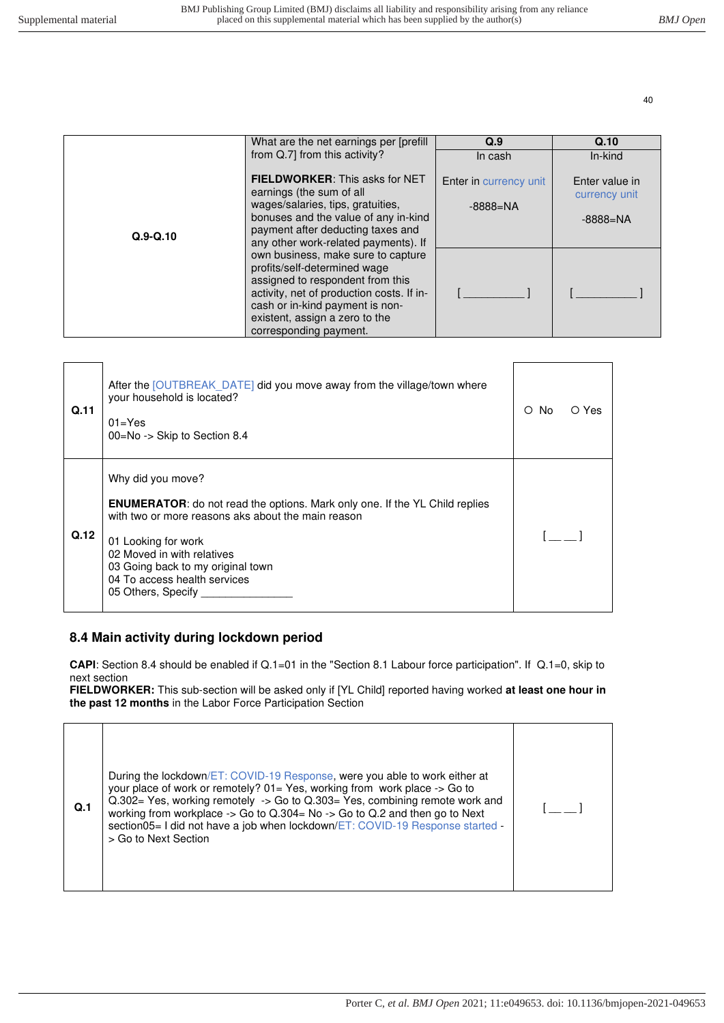|              | What are the net earnings per [prefill]                                                                                                                                                                                                                                                                                         | Q.9                           | Q.10                            |
|--------------|---------------------------------------------------------------------------------------------------------------------------------------------------------------------------------------------------------------------------------------------------------------------------------------------------------------------------------|-------------------------------|---------------------------------|
|              | from Q.7] from this activity?                                                                                                                                                                                                                                                                                                   | In cash                       | In-kind                         |
|              | <b>FIELDWORKER:</b> This asks for NET<br>earnings (the sum of all                                                                                                                                                                                                                                                               | <b>Enter in currency unit</b> | Enter value in<br>currency unit |
|              | wages/salaries, tips, gratuities,<br>bonuses and the value of any in-kind                                                                                                                                                                                                                                                       | $-8888 = NA$                  | $-8888 = NA$                    |
| $Q.9 - Q.10$ | payment after deducting taxes and<br>any other work-related payments). If<br>own business, make sure to capture<br>profits/self-determined wage<br>assigned to respondent from this<br>activity, net of production costs. If in-<br>cash or in-kind payment is non-<br>existent, assign a zero to the<br>corresponding payment. |                               |                                 |
|              |                                                                                                                                                                                                                                                                                                                                 |                               |                                 |

| Q.11 | After the [OUTBREAK DATE] did you move away from the village/town where<br>your household is located?<br>$01 = Yes$<br>00=No -> Skip to Section 8.4                                                                                                                                                           | No.<br>O | O Yes |
|------|---------------------------------------------------------------------------------------------------------------------------------------------------------------------------------------------------------------------------------------------------------------------------------------------------------------|----------|-------|
| Q.12 | Why did you move?<br><b>ENUMERATOR:</b> do not read the options. Mark only one. If the YL Child replies<br>with two or more reasons aks about the main reason<br>01 Looking for work<br>02 Moved in with relatives<br>03 Going back to my original town<br>04 To access health services<br>05 Others, Specify |          |       |

### <span id="page-39-0"></span>**8.4 Main activity during lockdown period**

**CAPI**: Section 8.4 should be enabled if Q.1=01 in the "Section 8.1 Labour force participation". If Q.1=0, skip to next section

**FIELDWORKER:** This sub-section will be asked only if [YL Child] reported having worked **at least one hour in the past 12 months** in the Labor Force Participation Section

| During the lockdown/ET: COVID-19 Response, were you able to work either at<br>your place of work or remotely? 01= Yes, working from work place -> Go to<br>Q.302= Yes, working remotely -> Go to Q.303= Yes, combining remote work and<br>Q.1<br>working from workplace $\rightarrow$ Go to Q.304= No $\rightarrow$ Go to Q.2 and then go to Next<br>section05 = I did not have a job when lockdown/ET: COVID-19 Response started -<br>> Go to Next Section |  |  |
|-------------------------------------------------------------------------------------------------------------------------------------------------------------------------------------------------------------------------------------------------------------------------------------------------------------------------------------------------------------------------------------------------------------------------------------------------------------|--|--|
|-------------------------------------------------------------------------------------------------------------------------------------------------------------------------------------------------------------------------------------------------------------------------------------------------------------------------------------------------------------------------------------------------------------------------------------------------------------|--|--|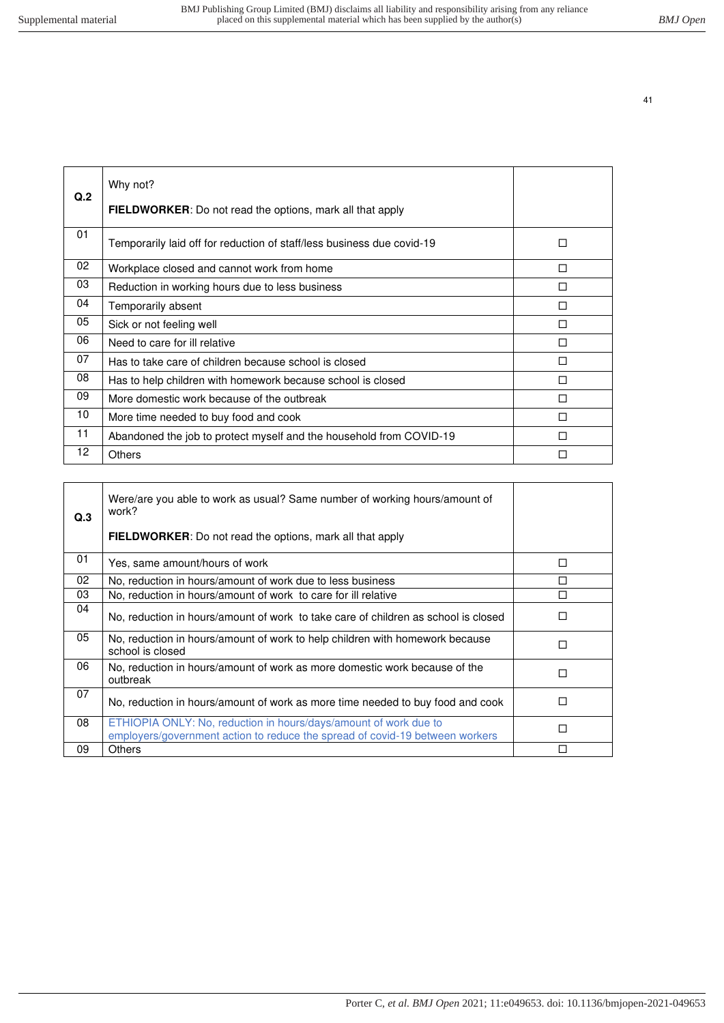| Q.2 | Why not?<br><b>FIELDWORKER:</b> Do not read the options, mark all that apply |   |
|-----|------------------------------------------------------------------------------|---|
| 01  | Temporarily laid off for reduction of staff/less business due covid-19       | П |
| 02  | Workplace closed and cannot work from home                                   | П |
| 03  | Reduction in working hours due to less business                              | П |
| 04  | Temporarily absent                                                           | п |
| 05  | Sick or not feeling well                                                     | П |
| 06  | Need to care for ill relative                                                | П |
| 07  | Has to take care of children because school is closed                        | п |
| 08  | Has to help children with homework because school is closed                  | П |
| 09  | More domestic work because of the outbreak                                   | п |
| 10  | More time needed to buy food and cook                                        | П |
| 11  | Abandoned the job to protect myself and the household from COVID-19          | П |
| 12  | Others                                                                       | П |

| Q.3 | Were/are you able to work as usual? Same number of working hours/amount of<br>work?<br>FIELDWORKER: Do not read the options, mark all that apply |   |
|-----|--------------------------------------------------------------------------------------------------------------------------------------------------|---|
| 01  | Yes, same amount/hours of work                                                                                                                   | П |
| 02  | No, reduction in hours/amount of work due to less business                                                                                       | п |
| 03  | No, reduction in hours/amount of work to care for ill relative                                                                                   | П |
| 04  | No, reduction in hours/amount of work to take care of children as school is closed                                                               | П |
| 05  | No, reduction in hours/amount of work to help children with homework because<br>school is closed                                                 | П |
| 06  | No, reduction in hours/amount of work as more domestic work because of the<br>outbreak                                                           | П |
| 07  | No, reduction in hours/amount of work as more time needed to buy food and cook                                                                   | п |
| 08  | ETHIOPIA ONLY: No, reduction in hours/days/amount of work due to<br>employers/government action to reduce the spread of covid-19 between workers | П |
| 09  | <b>Others</b>                                                                                                                                    | П |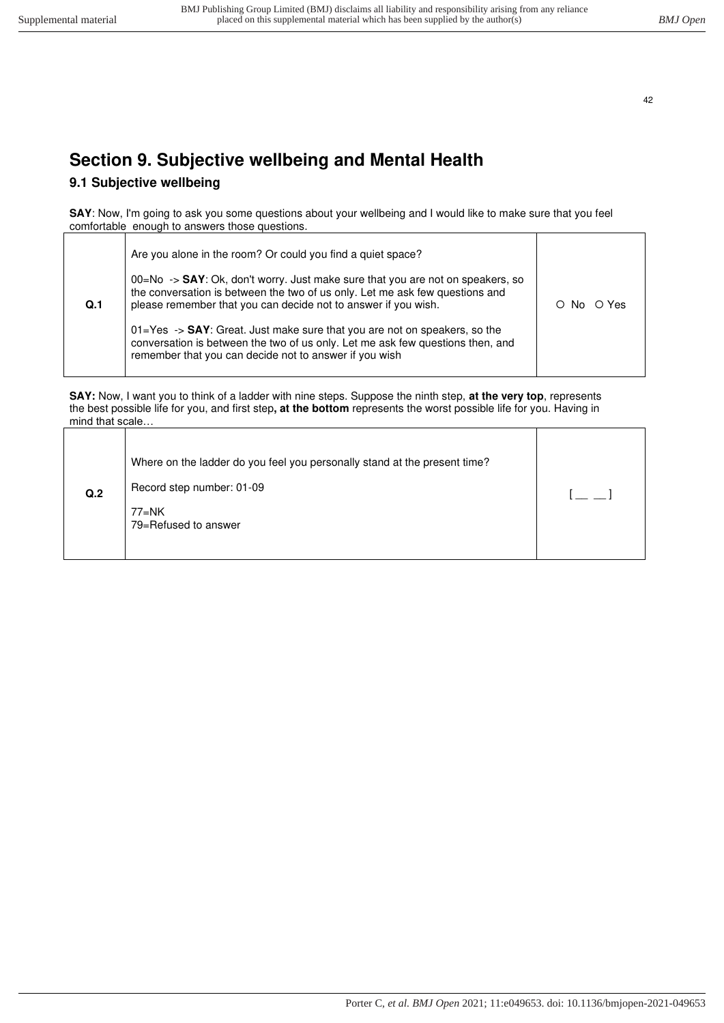# <span id="page-41-1"></span><span id="page-41-0"></span>**Section 9. Subjective wellbeing and Mental Health**

# **9.1 Subjective wellbeing**

**SAY**: Now, I'm going to ask you some questions about your wellbeing and I would like to make sure that you feel comfortable enough to answers those questions.

|                | Are you alone in the room? Or could you find a quiet space?                                                                                                                                                                                   |      |       |
|----------------|-----------------------------------------------------------------------------------------------------------------------------------------------------------------------------------------------------------------------------------------------|------|-------|
| Q <sub>1</sub> | $00 = No \rightarrow$ SAY: Ok, don't worry. Just make sure that you are not on speakers, so<br>the conversation is between the two of us only. Let me ask few questions and<br>please remember that you can decide not to answer if you wish. | O No | O Yes |
|                | $01 = Yes \rightarrow$ SAY: Great. Just make sure that you are not on speakers, so the<br>conversation is between the two of us only. Let me ask few questions then, and<br>remember that you can decide not to answer if you wish            |      |       |

**SAY:** Now, I want you to think of a ladder with nine steps. Suppose the ninth step, **at the very top**, represents the best possible life for you, and first step**, at the bottom** represents the worst possible life for you. Having in mind that scale…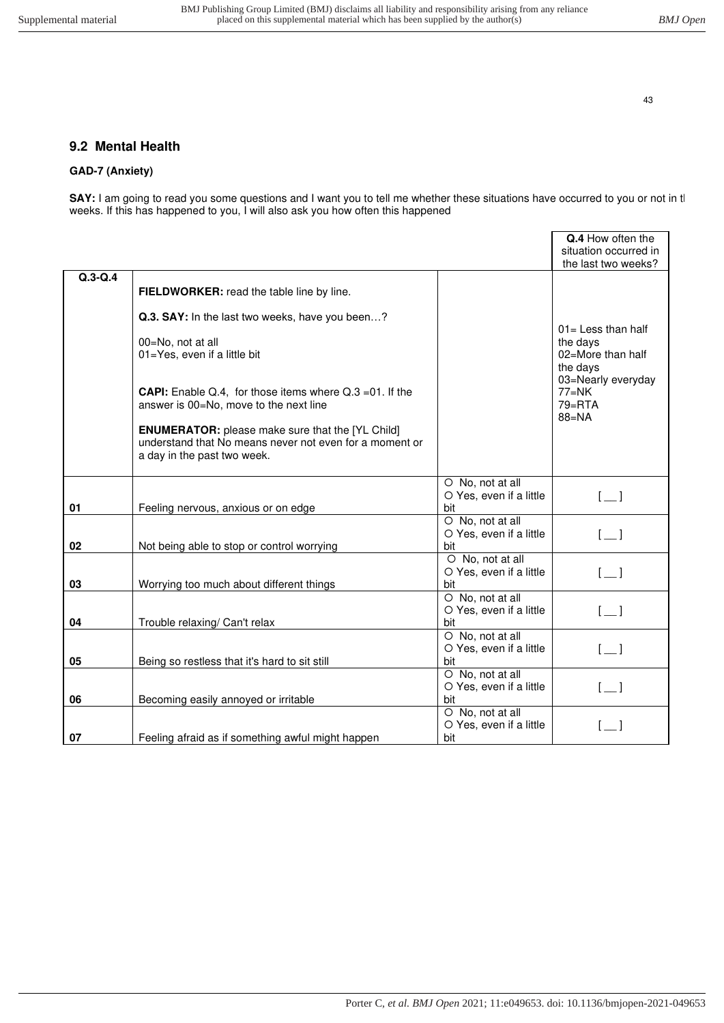### <span id="page-42-0"></span>**9.2 Mental Health**

#### **GAD-7 (Anxiety)**

**SAY:** I am going to read you some questions and I want you to tell me whether these situations have occurred to you or not in tl weeks. If this has happened to you, I will also ask you how often this happened

|             |                                                                                                                                                   |                                                    | Q.4 How often the<br>situation occurred in<br>the last two weeks? |
|-------------|---------------------------------------------------------------------------------------------------------------------------------------------------|----------------------------------------------------|-------------------------------------------------------------------|
| $Q.3 - Q.4$ |                                                                                                                                                   |                                                    |                                                                   |
|             | FIELDWORKER: read the table line by line.                                                                                                         |                                                    |                                                                   |
|             | Q.3. SAY: In the last two weeks, have you been?                                                                                                   |                                                    | $01 =$ Less than half                                             |
|             | 00=No, not at all<br>01=Yes, even if a little bit                                                                                                 |                                                    | the days<br>02=More than half<br>the days                         |
|             | <b>CAPI:</b> Enable Q.4, for those items where $Q.3 = 01$ . If the<br>answer is 00=No, move to the next line                                      |                                                    | 03=Nearly everyday<br>$77=NK$<br>$79 = RTA$<br>$88 = NA$          |
|             | <b>ENUMERATOR:</b> please make sure that the [YL Child]<br>understand that No means never not even for a moment or<br>a day in the past two week. |                                                    |                                                                   |
|             |                                                                                                                                                   | O No, not at all<br>O Yes, even if a little        | $[-]$                                                             |
| 01          | Feeling nervous, anxious or on edge                                                                                                               | bit                                                |                                                                   |
|             |                                                                                                                                                   | O No, not at all                                   |                                                                   |
|             |                                                                                                                                                   | O Yes, even if a little                            | $[-]$                                                             |
| 02          | Not being able to stop or control worrying                                                                                                        | bit                                                |                                                                   |
| 03          | Worrying too much about different things                                                                                                          | O No, not at all<br>O Yes, even if a little<br>bit | $\begin{bmatrix} 1 \end{bmatrix}$                                 |
|             |                                                                                                                                                   | O No, not at all                                   |                                                                   |
|             |                                                                                                                                                   | O Yes, even if a little                            | $[-]$                                                             |
| 04          | Trouble relaxing/ Can't relax                                                                                                                     | bit                                                |                                                                   |
|             |                                                                                                                                                   | O No, not at all                                   |                                                                   |
|             |                                                                                                                                                   | O Yes, even if a little                            | $[-]$                                                             |
| 05          | Being so restless that it's hard to sit still                                                                                                     | bit                                                |                                                                   |
|             |                                                                                                                                                   | O No, not at all                                   |                                                                   |
|             |                                                                                                                                                   | O Yes, even if a little                            | $[-]$                                                             |
| 06          | Becoming easily annoyed or irritable                                                                                                              | bit                                                |                                                                   |
|             |                                                                                                                                                   | O No, not at all                                   |                                                                   |
|             |                                                                                                                                                   | O Yes, even if a little                            |                                                                   |
| 07          | Feeling afraid as if something awful might happen                                                                                                 | bit                                                |                                                                   |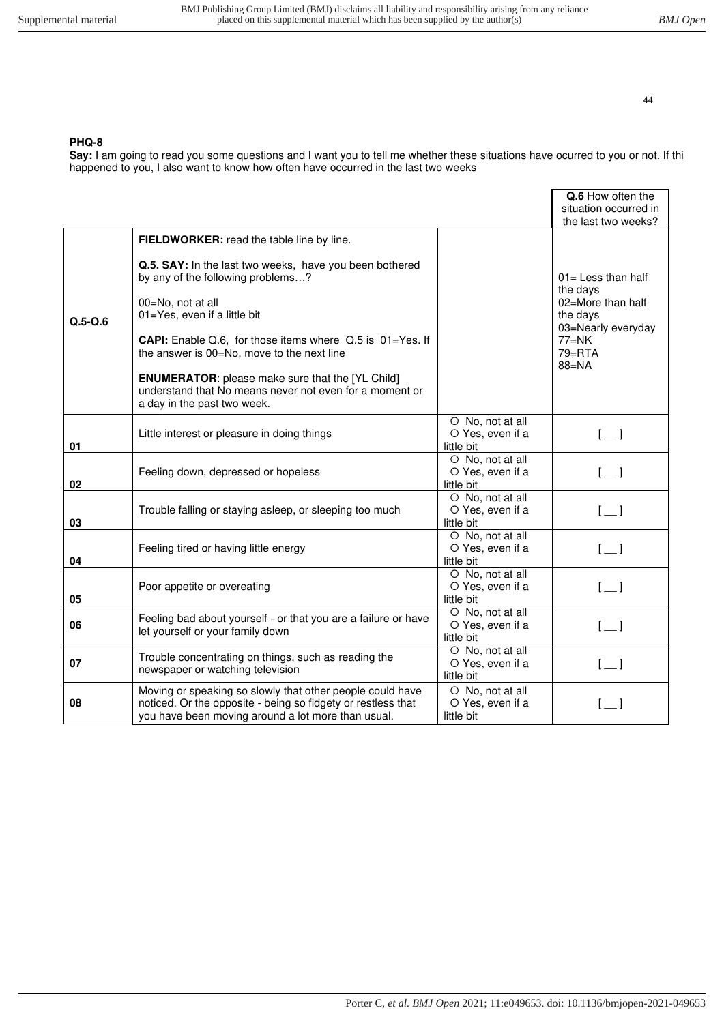#### **PHQ-8**

Say: I am going to read you some questions and I want you to tell me whether these situations have ocurred to you or not. If thi happened to you, I also want to know how often have occurred in the last two weeks

|           |                                                                                                                                                                                 |                                                    | Q.6 How often the<br>situation occurred in<br>the last two weeks? |
|-----------|---------------------------------------------------------------------------------------------------------------------------------------------------------------------------------|----------------------------------------------------|-------------------------------------------------------------------|
|           | FIELDWORKER: read the table line by line.                                                                                                                                       |                                                    |                                                                   |
|           | Q.5. SAY: In the last two weeks, have you been bothered<br>by any of the following problems?                                                                                    |                                                    | 01= Less than half<br>the days                                    |
| $Q.5-Q.6$ | 00=No, not at all<br>01=Yes, even if a little bit                                                                                                                               |                                                    | 02=More than half<br>the days<br>03=Nearly everyday               |
|           | CAPI: Enable Q.6, for those items where Q.5 is 01=Yes. If<br>the answer is 00=No, move to the next line                                                                         |                                                    | $77=NK$<br>$79 = RTA$<br>$88 = NA$                                |
|           | <b>ENUMERATOR:</b> please make sure that the [YL Child]<br>understand that No means never not even for a moment or<br>a day in the past two week.                               |                                                    |                                                                   |
| 01        | Little interest or pleasure in doing things                                                                                                                                     | O No, not at all<br>O Yes, even if a<br>little bit | $[-]$                                                             |
| 02        | Feeling down, depressed or hopeless                                                                                                                                             | O No, not at all<br>O Yes, even if a<br>little bit | $\lfloor \_ \rfloor$                                              |
| 03        | Trouble falling or staying asleep, or sleeping too much                                                                                                                         | O No, not at all<br>O Yes, even if a<br>little bit | $\begin{bmatrix} 1 \end{bmatrix}$                                 |
| 04        | Feeling tired or having little energy                                                                                                                                           | O No, not at all<br>O Yes, even if a<br>little bit | $[$ $]$                                                           |
| 05        | Poor appetite or overeating                                                                                                                                                     | O No, not at all<br>O Yes, even if a<br>little bit | $[-]$                                                             |
| 06        | Feeling bad about yourself - or that you are a failure or have<br>let yourself or your family down                                                                              | O No, not at all<br>O Yes, even if a<br>little bit | $\lfloor \_ \rfloor$                                              |
| 07        | Trouble concentrating on things, such as reading the<br>newspaper or watching television                                                                                        | O No, not at all<br>O Yes, even if a<br>little bit | $[-]$                                                             |
| 08        | Moving or speaking so slowly that other people could have<br>noticed. Or the opposite - being so fidgety or restless that<br>you have been moving around a lot more than usual. | O No, not at all<br>O Yes, even if a<br>little bit |                                                                   |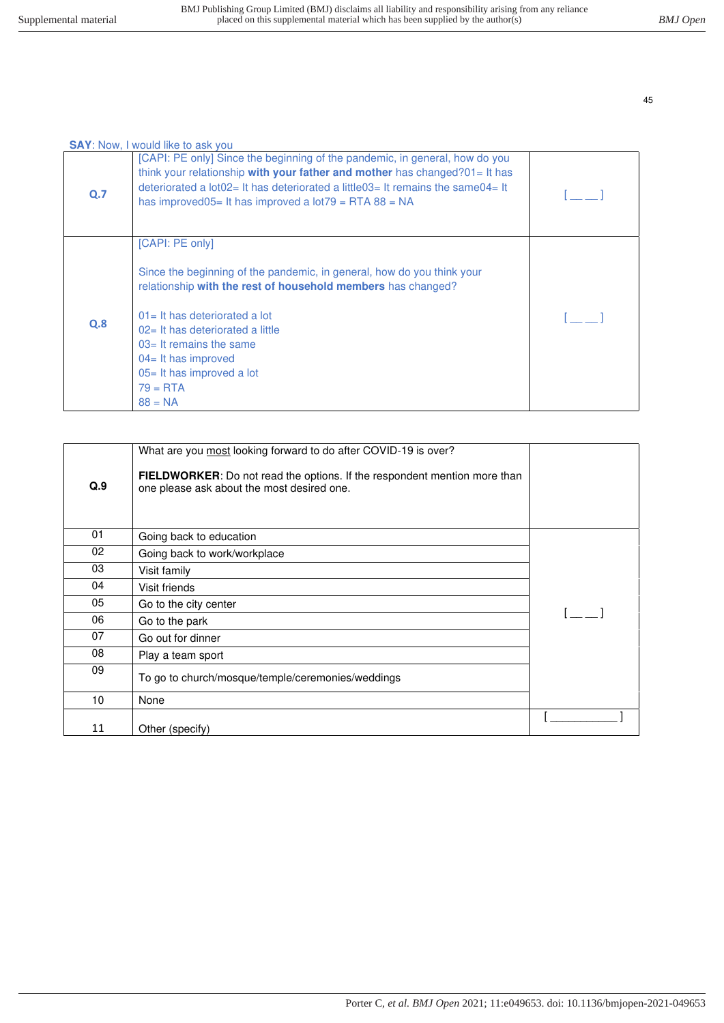|     | <b>SAY:</b> Now, I would like to ask you                                                                                                                                                                                                                                                                                                         |  |
|-----|--------------------------------------------------------------------------------------------------------------------------------------------------------------------------------------------------------------------------------------------------------------------------------------------------------------------------------------------------|--|
| Q.7 | [CAPI: PE only] Since the beginning of the pandemic, in general, how do you<br>think your relationship with your father and mother has changed?01= It has<br>deteriorated a $\log 2 = 1$ has deteriorated a little $03 = 1$ remains the same $04 = 1$<br>has improved $05=$ It has improved a lot $79=$ RTA $88=$ NA                             |  |
| Q.8 | [CAPI: PE only]<br>Since the beginning of the pandemic, in general, how do you think your<br>relationship with the rest of household members has changed?<br>$01 =$ It has deteriorated a lot<br>02= It has deteriorated a little<br>$03$ = It remains the same<br>$04=$ It has improved<br>05= It has improved a lot<br>$79 = RTA$<br>$88 = NA$ |  |

| Q.9 | What are you most looking forward to do after COVID-19 is over?<br><b>FIELDWORKER:</b> Do not read the options. If the respondent mention more than<br>one please ask about the most desired one. |  |
|-----|---------------------------------------------------------------------------------------------------------------------------------------------------------------------------------------------------|--|
| 01  | Going back to education                                                                                                                                                                           |  |
| 02  | Going back to work/workplace                                                                                                                                                                      |  |
| 03  | Visit family                                                                                                                                                                                      |  |
| 04  | Visit friends                                                                                                                                                                                     |  |
| 05  | Go to the city center                                                                                                                                                                             |  |
| 06  | Go to the park                                                                                                                                                                                    |  |
| 07  | Go out for dinner                                                                                                                                                                                 |  |
| 08  | Play a team sport                                                                                                                                                                                 |  |
| 09  | To go to church/mosque/temple/ceremonies/weddings                                                                                                                                                 |  |
| 10  | None                                                                                                                                                                                              |  |
| 11  | Other (specify)                                                                                                                                                                                   |  |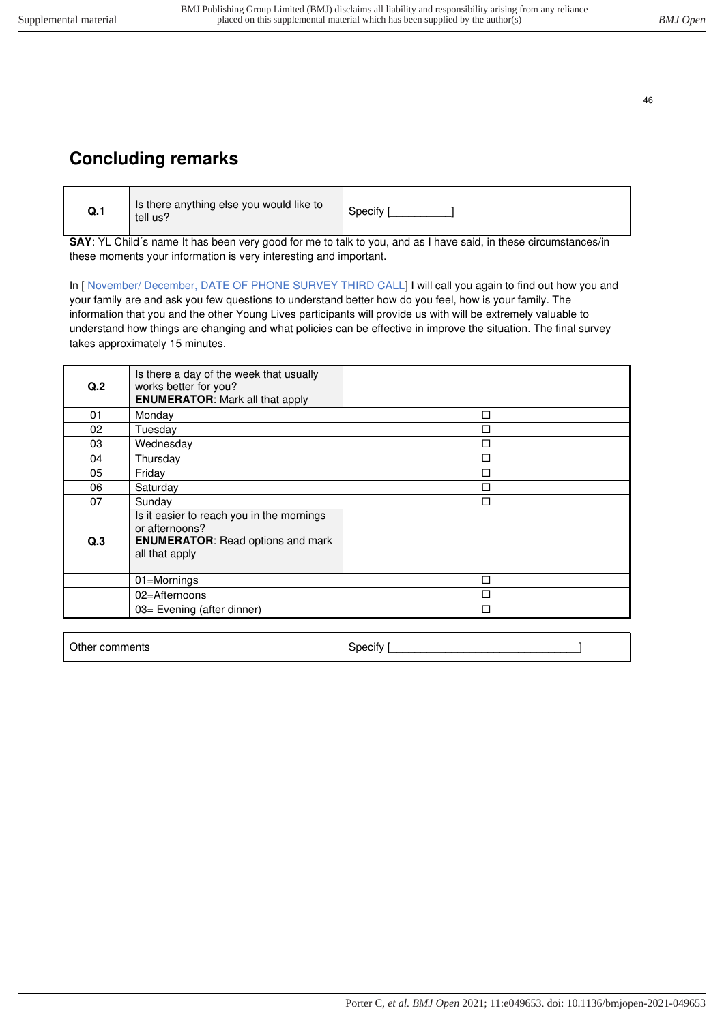# <span id="page-45-0"></span>**Concluding remarks**

| Q.1 | Is there anything else you would like to<br>tell us? | Specify |
|-----|------------------------------------------------------|---------|
|-----|------------------------------------------------------|---------|

**SAY**: YL Child´s name It has been very good for me to talk to you, and as I have said, in these circumstances/in these moments your information is very interesting and important.

In [ November/ December, DATE OF PHONE SURVEY THIRD CALL] I will call you again to find out how you and your family are and ask you few questions to understand better how do you feel, how is your family. The information that you and the other Young Lives participants will provide us with will be extremely valuable to understand how things are changing and what policies can be effective in improve the situation. The final survey takes approximately 15 minutes.

| Q.2 | Is there a day of the week that usually<br>works better for you?<br><b>ENUMERATOR:</b> Mark all that apply                |   |
|-----|---------------------------------------------------------------------------------------------------------------------------|---|
| 01  | Monday                                                                                                                    | П |
| 02  | Tuesday                                                                                                                   |   |
| 03  | Wednesday                                                                                                                 | П |
| 04  | Thursday                                                                                                                  | П |
| 05  | Friday                                                                                                                    | П |
| 06  | Saturday                                                                                                                  | П |
| 07  | Sunday                                                                                                                    |   |
| Q.3 | Is it easier to reach you in the mornings<br>or afternoons?<br><b>ENUMERATOR:</b> Read options and mark<br>all that apply |   |
|     | 01=Mornings                                                                                                               | п |
|     | 02=Afternoons                                                                                                             | П |
|     | 03= Evening (after dinner)                                                                                                | п |

Other comments and the specify specify is specify and the set of the specify  $\vert$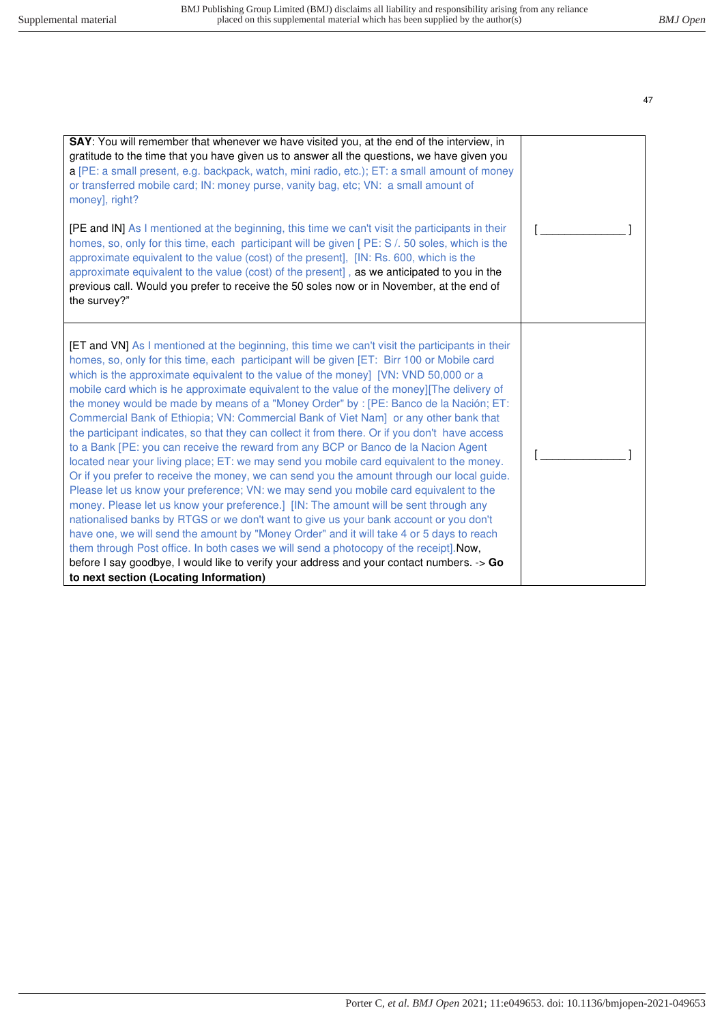| SAY: You will remember that whenever we have visited you, at the end of the interview, in<br>gratitude to the time that you have given us to answer all the questions, we have given you<br>a [PE: a small present, e.g. backpack, watch, mini radio, etc.); ET: a small amount of money<br>or transferred mobile card; IN: money purse, vanity bag, etc; VN: a small amount of<br>money], right?<br>[PE and IN] As I mentioned at the beginning, this time we can't visit the participants in their<br>homes, so, only for this time, each participant will be given [ PE: S /. 50 soles, which is the<br>approximate equivalent to the value (cost) of the present], [IN: Rs. 600, which is the<br>approximate equivalent to the value (cost) of the present], as we anticipated to you in the<br>previous call. Would you prefer to receive the 50 soles now or in November, at the end of<br>the survey?"                                                                                                                                                                                                                                                                                                                                                                                                                                                                                                                                                                                                            |  |
|--------------------------------------------------------------------------------------------------------------------------------------------------------------------------------------------------------------------------------------------------------------------------------------------------------------------------------------------------------------------------------------------------------------------------------------------------------------------------------------------------------------------------------------------------------------------------------------------------------------------------------------------------------------------------------------------------------------------------------------------------------------------------------------------------------------------------------------------------------------------------------------------------------------------------------------------------------------------------------------------------------------------------------------------------------------------------------------------------------------------------------------------------------------------------------------------------------------------------------------------------------------------------------------------------------------------------------------------------------------------------------------------------------------------------------------------------------------------------------------------------------------------------|--|
|                                                                                                                                                                                                                                                                                                                                                                                                                                                                                                                                                                                                                                                                                                                                                                                                                                                                                                                                                                                                                                                                                                                                                                                                                                                                                                                                                                                                                                                                                                                          |  |
| <b>[ET and VN]</b> As I mentioned at the beginning, this time we can't visit the participants in their<br>homes, so, only for this time, each participant will be given [ET: Birr 100 or Mobile card<br>which is the approximate equivalent to the value of the money] [VN: VND 50,000 or a<br>mobile card which is he approximate equivalent to the value of the money][The delivery of<br>the money would be made by means of a "Money Order" by : [PE: Banco de la Nación; ET:<br>Commercial Bank of Ethiopia; VN: Commercial Bank of Viet Nam] or any other bank that<br>the participant indicates, so that they can collect it from there. Or if you don't have access<br>to a Bank [PE: you can receive the reward from any BCP or Banco de la Nacion Agent<br>located near your living place; ET: we may send you mobile card equivalent to the money.<br>Or if you prefer to receive the money, we can send you the amount through our local guide.<br>Please let us know your preference; VN: we may send you mobile card equivalent to the<br>money. Please let us know your preference.] [IN: The amount will be sent through any<br>nationalised banks by RTGS or we don't want to give us your bank account or you don't<br>have one, we will send the amount by "Money Order" and it will take 4 or 5 days to reach<br>them through Post office. In both cases we will send a photocopy of the receipt]. Now,<br>before I say goodbye, I would like to verify your address and your contact numbers. -> Go |  |
| to next section (Locating Information)                                                                                                                                                                                                                                                                                                                                                                                                                                                                                                                                                                                                                                                                                                                                                                                                                                                                                                                                                                                                                                                                                                                                                                                                                                                                                                                                                                                                                                                                                   |  |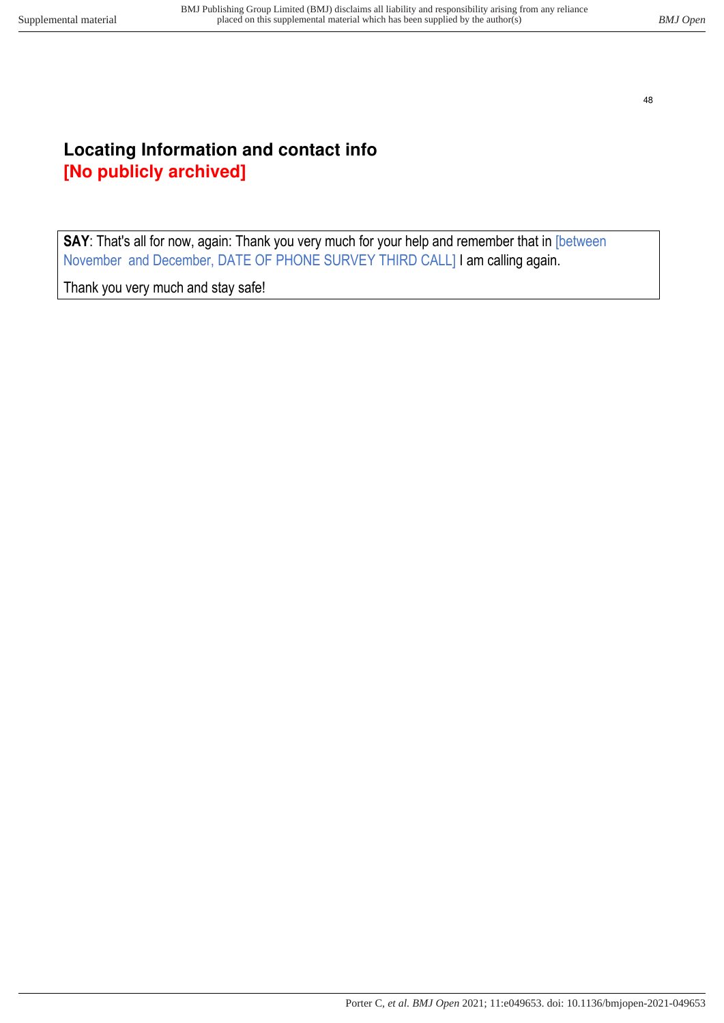# <span id="page-47-0"></span>**Locating Information and contact info [No publicly archived]**

**SAY**: That's all for now, again: Thank you very much for your help and remember that in [between November and December, DATE OF PHONE SURVEY THIRD CALL] I am calling again.

Thank you very much and stay safe!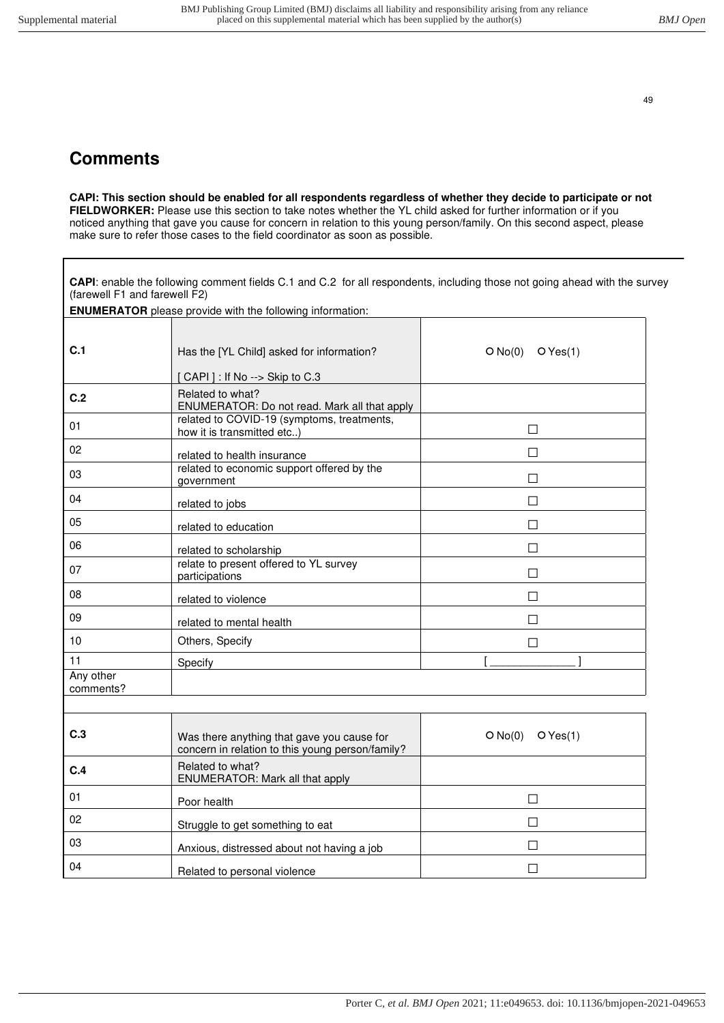l

49

# <span id="page-48-0"></span>**Comments**

**CAPI: This section should be enabled for all respondents regardless of whether they decide to participate or not FIELDWORKER:** Please use this section to take notes whether the YL child asked for further information or if you noticed anything that gave you cause for concern in relation to this young person/family. On this second aspect, please make sure to refer those cases to the field coordinator as soon as possible.

**CAPI**: enable the following comment fields C.1 and C.2 for all respondents, including those not going ahead with the survey (farewell F1 and farewell F2)

| C.1                    | Has the [YL Child] asked for information?                                                      | O No(0)<br>OYes(1)  |
|------------------------|------------------------------------------------------------------------------------------------|---------------------|
|                        | [CAPI] : If No --> Skip to C.3                                                                 |                     |
| C.2                    | Related to what?<br>ENUMERATOR: Do not read. Mark all that apply                               |                     |
| 01                     | related to COVID-19 (symptoms, treatments,<br>how it is transmitted etc)                       | П                   |
| 02                     | related to health insurance                                                                    | П                   |
| 03                     | related to economic support offered by the<br>government                                       | $\Box$              |
| 04                     | related to jobs                                                                                | П                   |
| 05                     | related to education                                                                           | П                   |
| 06                     | related to scholarship                                                                         | П                   |
| 07                     | relate to present offered to YL survey<br>participations                                       | П                   |
| 08                     | related to violence                                                                            | П                   |
| 09                     | related to mental health                                                                       | П                   |
| 10                     | Others, Specify                                                                                | $\mathsf{L}$        |
| 11                     | Specify                                                                                        |                     |
| Any other<br>comments? |                                                                                                |                     |
|                        |                                                                                                |                     |
| C.3                    | Was there anything that gave you cause for<br>concern in relation to this young person/family? | O No(0)<br>O Yes(1) |
| C.4                    | Related to what?<br>ENUMERATOR: Mark all that apply                                            |                     |
| 01                     | Poor health                                                                                    | $\Box$              |
| 02                     | Struggle to get something to eat                                                               | П                   |
| 03                     | Anxious, distressed about not having a job                                                     | П                   |
| 04                     | Related to personal violence                                                                   | $\Box$              |

**ENUMERATOR** please provide with the following information: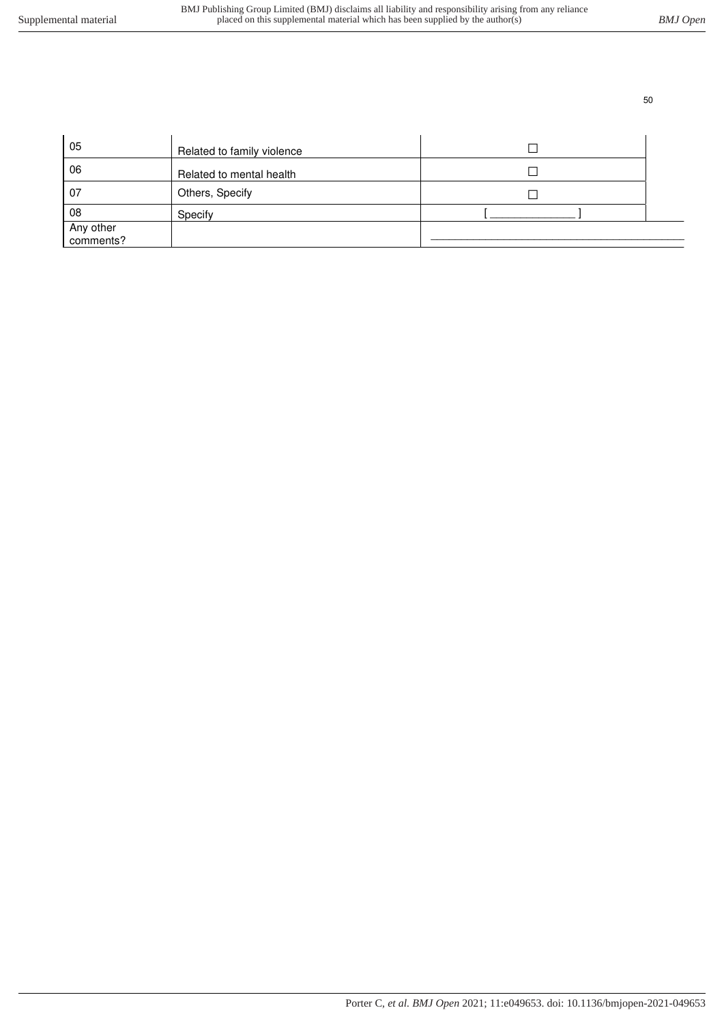| 05                     | Related to family violence |  |
|------------------------|----------------------------|--|
| 06                     | Related to mental health   |  |
| 07                     | Others, Specify            |  |
| 08                     | Specify                    |  |
| Any other<br>comments? |                            |  |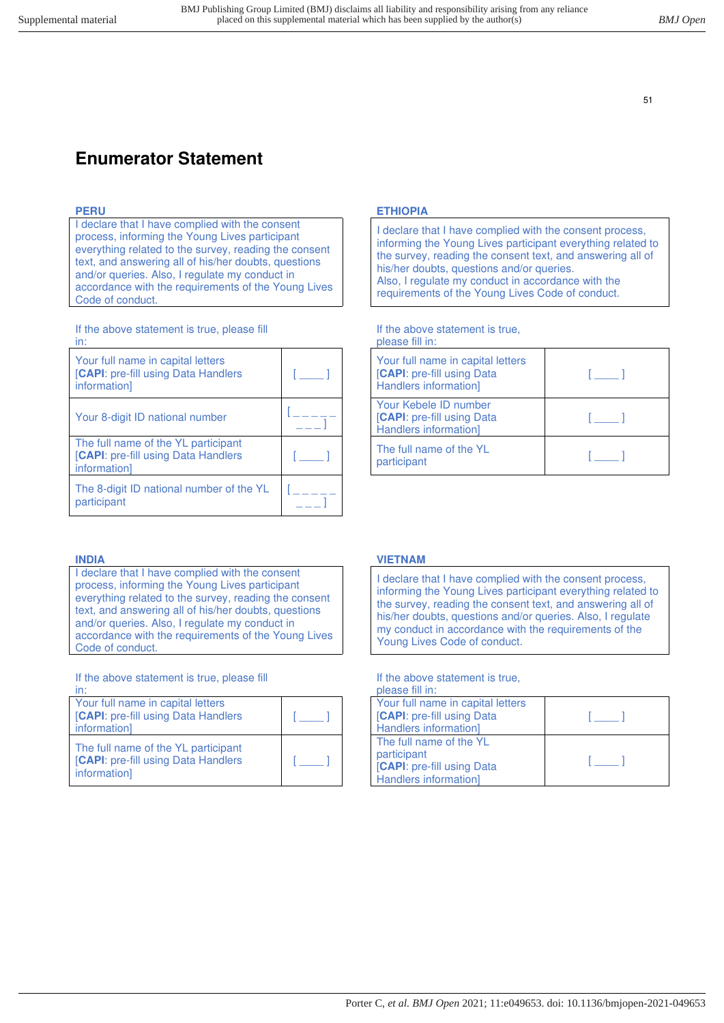# <span id="page-50-0"></span>**Enumerator Statement**

I declare that I have complied with the consent process, informing the Young Lives participant everything related to the survey, reading the consent text, and answering all of his/her doubts, questions and/or queries. Also, I regulate my conduct in accordance with the requirements of the Young Lives Code of conduct.

If the above statement is true, please fill in:

| Your full name in capital letters<br>[CAPI: pre-fill using Data Handlers<br>information]   |  |
|--------------------------------------------------------------------------------------------|--|
| Your 8-digit ID national number                                                            |  |
| The full name of the YL participant<br>[CAPI: pre-fill using Data Handlers<br>informationl |  |
| The 8-digit ID national number of the YL<br>participant                                    |  |

I declare that I have complied with the consent process, informing the Young Lives participant everything related to the survey, reading the consent text, and answering all of his/her doubts, questions and/or queries. Also, I regulate my conduct in accordance with the requirements of the Young Lives Code of conduct.

If the above statement is true, please fill

| in:                                                                                               |  |
|---------------------------------------------------------------------------------------------------|--|
| Your full name in capital letters<br><b>[CAPI:</b> pre-fill using Data Handlers<br>information]   |  |
| The full name of the YL participant<br><b>[CAPI:</b> pre-fill using Data Handlers<br>information] |  |

#### **PERU ETHIOPIA**

I declare that I have complied with the consent process, informing the Young Lives participant everything related to the survey, reading the consent text, and answering all of his/her doubts, questions and/or queries. Also, I regulate my conduct in accordance with the requirements of the Young Lives Code of conduct.

If the above statement is true, please fill in:

| ייייי יייי יייג                                                                          |  |
|------------------------------------------------------------------------------------------|--|
| Your full name in capital letters<br>[CAPI: pre-fill using Data<br>Handlers information] |  |
| Your Kebele ID number<br>[CAPI: pre-fill using Data<br>Handlers information]             |  |
| The full name of the YL<br>participant                                                   |  |

#### **INDIA VIETNAM**

I declare that I have complied with the consent process, informing the Young Lives participant everything related to the survey, reading the consent text, and answering all of his/her doubts, questions and/or queries. Also, I regulate my conduct in accordance with the requirements of the Young Lives Code of conduct.

If the above statement is true,

| please fill in:                   |  |
|-----------------------------------|--|
| Your full name in capital letters |  |
| <b>CAPI:</b> pre-fill using Data  |  |
| Handlers information]             |  |
| The full name of the YL           |  |
| participant                       |  |
| <b>CAPI:</b> pre-fill using Data  |  |
| Handlers information]             |  |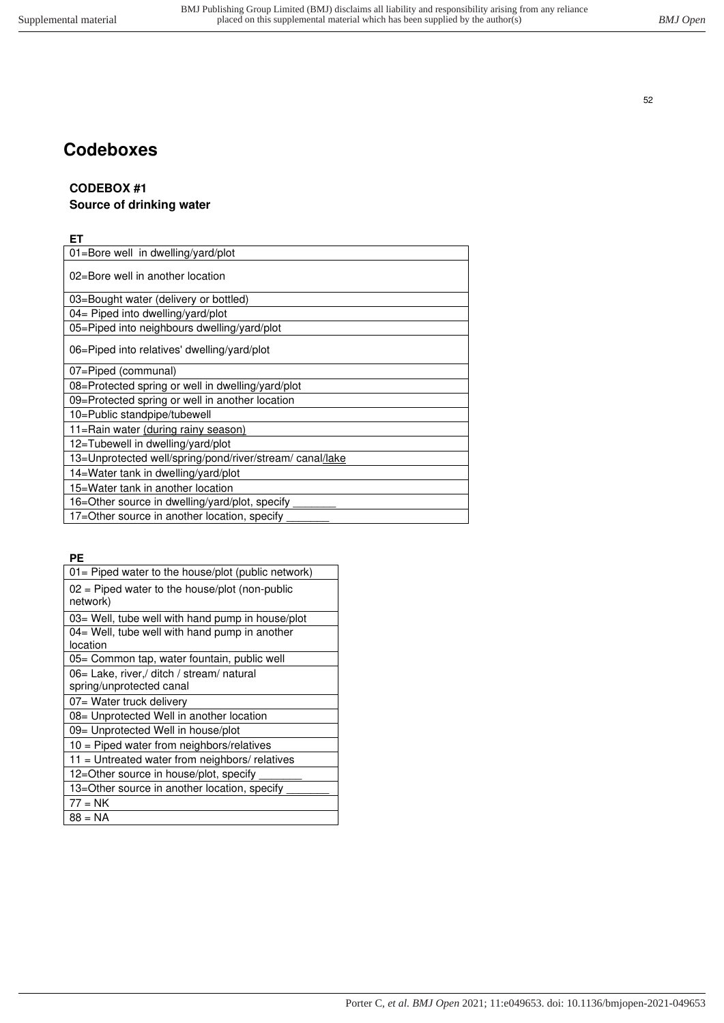# <span id="page-51-0"></span>**Codeboxes**

# **CODEBOX #1**

# **Source of drinking water**

### **ET**

| 01=Bore well in dwelling/yard/plot                       |
|----------------------------------------------------------|
| 02=Bore well in another location                         |
| 03=Bought water (delivery or bottled)                    |
| 04= Piped into dwelling/yard/plot                        |
| 05=Piped into neighbours dwelling/yard/plot              |
| 06=Piped into relatives' dwelling/yard/plot              |
| 07=Piped (communal)                                      |
| 08=Protected spring or well in dwelling/yard/plot        |
| 09=Protected spring or well in another location          |
| 10=Public standpipe/tubewell                             |
| 11=Rain water (during rainy season)                      |
| 12=Tubewell in dwelling/yard/plot                        |
| 13=Unprotected well/spring/pond/river/stream/ canal/lake |
| 14=Water tank in dwelling/yard/plot                      |
| 15=Water tank in another location                        |
| 16=Other source in dwelling/yard/plot, specify           |
| 17=Other source in another location, specify             |

**PE**

| 01= Piped water to the house/plot (public network)                     |
|------------------------------------------------------------------------|
| $02$ = Piped water to the house/plot (non-public<br>network)           |
| 03= Well, tube well with hand pump in house/plot                       |
| 04= Well, tube well with hand pump in another<br>location              |
| 05= Common tap, water fountain, public well                            |
| 06 = Lake, river,/ ditch / stream/ natural<br>spring/unprotected canal |
| 07= Water truck delivery                                               |
| 08 = Unprotected Well in another location                              |
| 09= Unprotected Well in house/plot                                     |
| $10$ = Piped water from neighbors/relatives                            |
| 11 = Untreated water from neighbors/ relatives                         |
| 12=Other source in house/plot, specify                                 |
| 13=Other source in another location, specify                           |
| $77 = NK$                                                              |
| 88 = NA                                                                |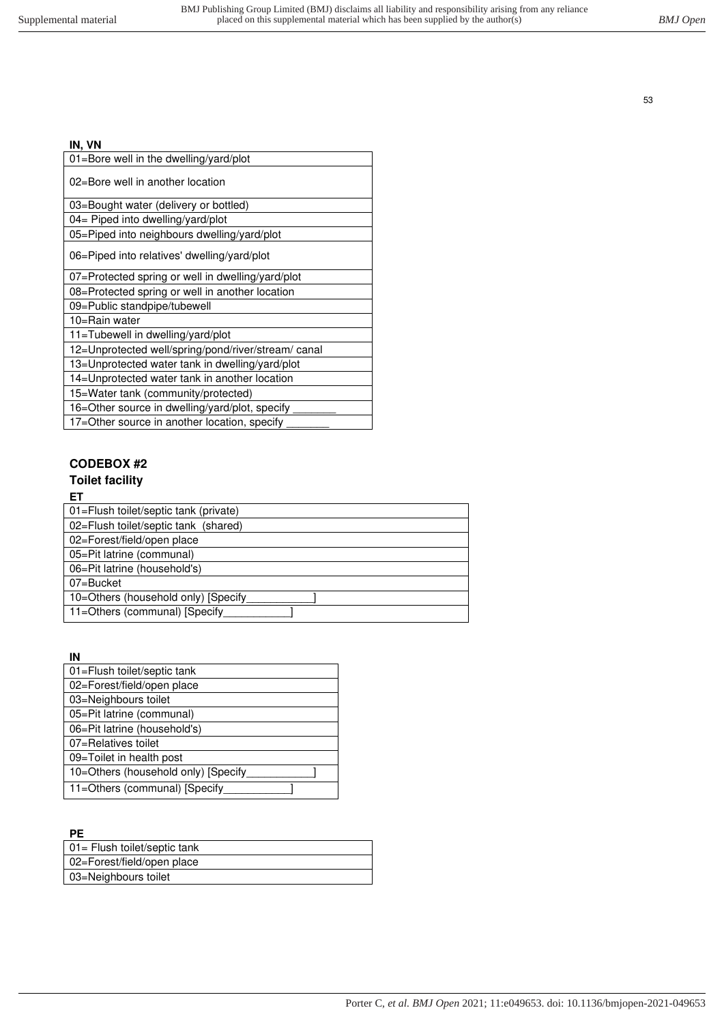### **IN, VN**

| 01=Bore well in the dwelling/yard/plot             |
|----------------------------------------------------|
| 02=Bore well in another location                   |
| 03=Bought water (delivery or bottled)              |
| 04= Piped into dwelling/yard/plot                  |
| 05=Piped into neighbours dwelling/yard/plot        |
| 06=Piped into relatives' dwelling/yard/plot        |
| 07=Protected spring or well in dwelling/yard/plot  |
| 08=Protected spring or well in another location    |
| 09=Public standpipe/tubewell                       |
| 10=Rain water                                      |
| 11=Tubewell in dwelling/yard/plot                  |
| 12=Unprotected well/spring/pond/river/stream/canal |
| 13=Unprotected water tank in dwelling/yard/plot    |
| 14=Unprotected water tank in another location      |
| 15=Water tank (community/protected)                |
| 16=Other source in dwelling/yard/plot, specify     |
| 17=Other source in another location, specify       |

### **CODEBOX #2**

### **Toilet facility**

#### **ET**

| 01=Flush toilet/septic tank (private) |
|---------------------------------------|
| 02=Flush toilet/septic tank (shared)  |
| 02=Forest/field/open place            |
| 05=Pit latrine (communal)             |
| 06=Pit latrine (household's)          |
| 07=Bucket                             |
| 10=Others (household only) [Specify   |
| 11=Others (communal) [Specify]        |

### **IN**

| 01=Flush toilet/septic tank         |
|-------------------------------------|
| 02=Forest/field/open place          |
| 03=Neighbours toilet                |
| 05=Pit latrine (communal)           |
| 06=Pit latrine (household's)        |
| 07=Relatives toilet                 |
| 09=Toilet in health post            |
| 10=Others (household only) [Specify |
| 11=Others (communal) [Specify       |

## **PE**

| 01= Flush toilet/septic tank |
|------------------------------|
| 02=Forest/field/open place   |
| 03=Neighbours toilet         |
|                              |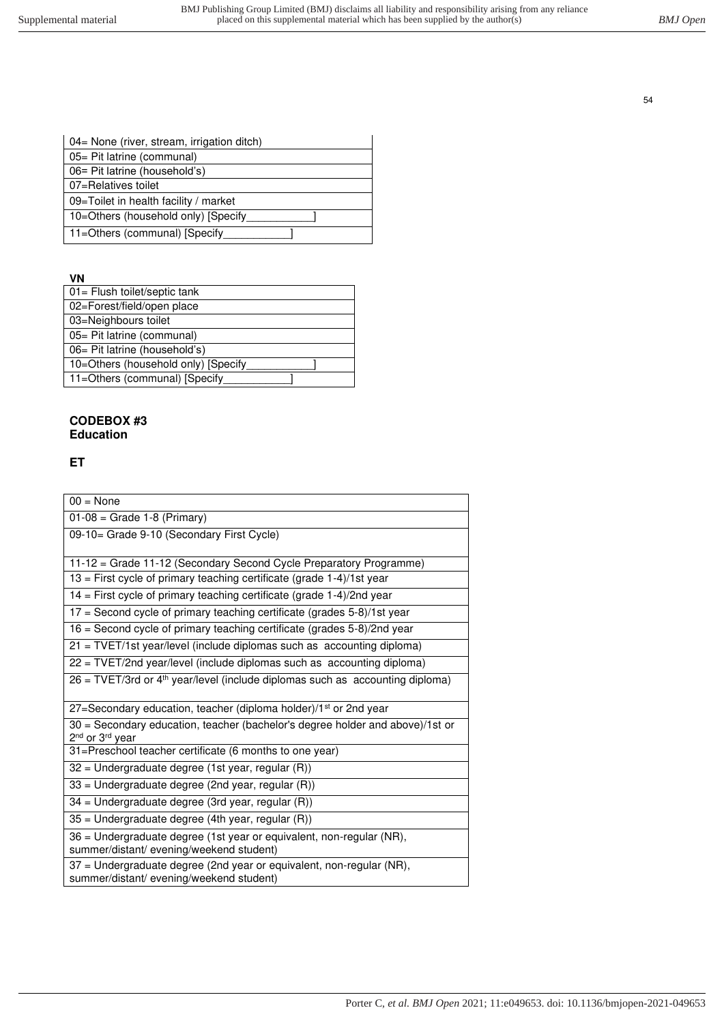| 04= None (river, stream, irrigation ditch) |
|--------------------------------------------|
| 05 = Pit latrine (communal)                |
| 06= Pit latrine (household's)              |
| 07=Relatives toilet                        |
| 09=Toilet in health facility / market      |
| 10=Others (household only) [Specify        |
| 11=Others (communal) [Specify]             |

**VN**

| 01= Flush toilet/septic tank        |
|-------------------------------------|
| 02=Forest/field/open place          |
| 03=Neighbours toilet                |
| 05 = Pit latrine (communal)         |
| 06 = Pit latrine (household's)      |
| 10=Others (household only) [Specify |
| 11=Others (communal) [Specify       |
|                                     |

### **CODEBOX #3 Education**

**ET**

| $00 = \text{None}$                                                                                                       |
|--------------------------------------------------------------------------------------------------------------------------|
| $01-08$ = Grade 1-8 (Primary)                                                                                            |
| 09-10= Grade 9-10 (Secondary First Cycle)                                                                                |
|                                                                                                                          |
| 11-12 = Grade 11-12 (Secondary Second Cycle Preparatory Programme)                                                       |
| $13$ = First cycle of primary teaching certificate (grade 1-4)/1st year                                                  |
| $14$ = First cycle of primary teaching certificate (grade 1-4)/2nd year                                                  |
| $17$ = Second cycle of primary teaching certificate (grades 5-8)/1st year                                                |
| 16 = Second cycle of primary teaching certificate (grades 5-8)/2nd year                                                  |
| 21 = TVET/1st year/level (include diplomas such as accounting diploma)                                                   |
| 22 = TVET/2nd year/level (include diplomas such as accounting diploma)                                                   |
| $26$ = TVET/3rd or 4 <sup>th</sup> year/level (include diplomas such as accounting diploma)                              |
| 27=Secondary education, teacher (diploma holder)/1 <sup>st</sup> or 2nd year                                             |
| 30 = Secondary education, teacher (bachelor's degree holder and above)/1st or<br>2 <sup>nd</sup> or 3 <sup>rd</sup> year |
| 31=Preschool teacher certificate (6 months to one year)                                                                  |
| $32$ = Undergraduate degree (1st year, regular (R))                                                                      |
| $33$ = Undergraduate degree (2nd year, regular (R))                                                                      |
| 34 = Undergraduate degree (3rd year, regular (R))                                                                        |
| 35 = Undergraduate degree (4th year, regular (R))                                                                        |
| 36 = Undergraduate degree (1st year or equivalent, non-regular (NR),<br>summer/distant/ evening/weekend student)         |
| 37 = Undergraduate degree (2nd year or equivalent, non-regular (NR),<br>summer/distant/evening/weekend student)          |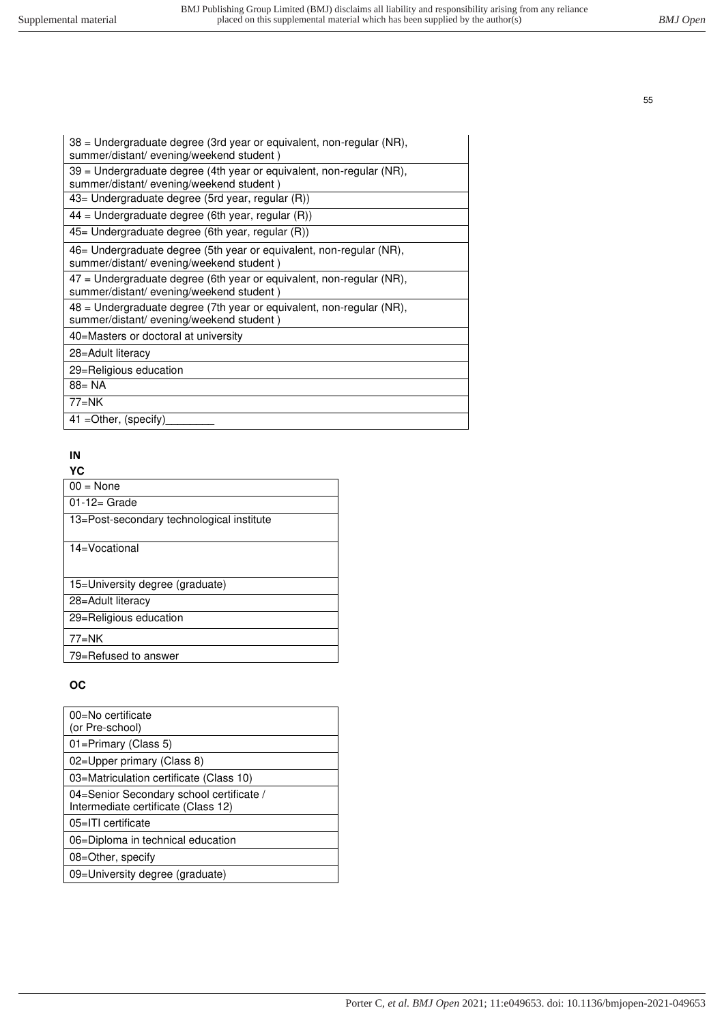| 38 = Undergraduate degree (3rd year or equivalent, non-regular (NR),<br>summer/distant/evening/weekend student) |
|-----------------------------------------------------------------------------------------------------------------|
| 39 = Undergraduate degree (4th year or equivalent, non-regular (NR),<br>summer/distant/evening/weekend student) |
| 43 – Undergraduate degree (5rd year, regular (R))                                                               |
| $44$ = Undergraduate degree (6th year, regular $(R)$ )                                                          |
| $45$ Undergraduate degree (6th year, regular $(R)$ )                                                            |
| 46 – Undergraduate degree (5th year or equivalent, non-regular (NR),<br>summer/distant/evening/weekend student) |
| 47 = Undergraduate degree (6th year or equivalent, non-regular (NR),<br>summer/distant/evening/weekend student) |
| 48 = Undergraduate degree (7th year or equivalent, non-regular (NR),<br>summer/distant/evening/weekend student) |
| 40=Masters or doctoral at university                                                                            |
| 28=Adult literacy                                                                                               |
| 29=Religious education                                                                                          |
| $88 = NA$                                                                                                       |
| $77=NK$                                                                                                         |
| $41 = Other$ , (specify)                                                                                        |

# **IN**

| ×<br>۰.<br>v |
|--------------|
|--------------|

| l 00 = None                               |
|-------------------------------------------|
| $01-12=$ Grade                            |
| 13=Post-secondary technological institute |
| 14=Vocational                             |
| 15 - University degree (graduate)         |
| 28=Adult literacy                         |
| 29=Religious education                    |
| $77=NK$                                   |
| 79=Refused to answer                      |

# **OC**

| 00=No certificate<br>(or Pre-school)                                            |
|---------------------------------------------------------------------------------|
| 01=Primary (Class 5)                                                            |
| 02=Upper primary (Class 8)                                                      |
| 03=Matriculation certificate (Class 10)                                         |
| 04=Senior Secondary school certificate /<br>Intermediate certificate (Class 12) |
| 05=ITI certificate                                                              |
| 06=Diploma in technical education                                               |
| 08=Other, specify                                                               |
| 09=University degree (graduate)                                                 |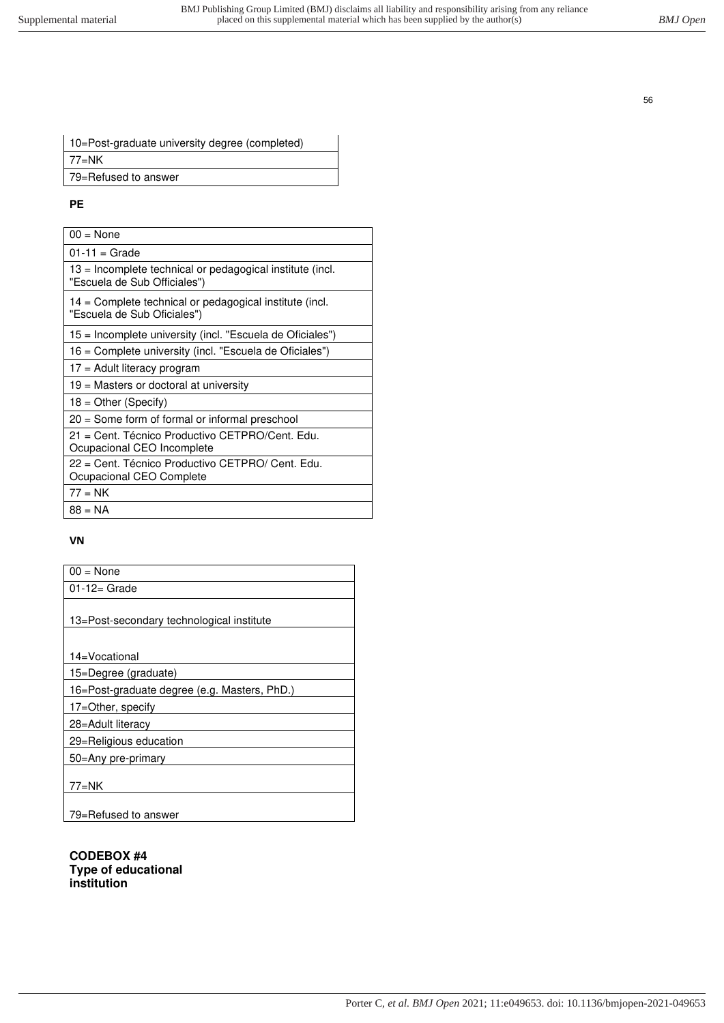| 10=Post-graduate university degree (completed) |
|------------------------------------------------|
| 77=NK                                          |
| 79=Refused to answer                           |
|                                                |

### **PE**

| $00 = \text{None}$                                                                        |
|-------------------------------------------------------------------------------------------|
| $01 - 11 =$ Grade                                                                         |
| 13 = Incomplete technical or pedagogical institute (incl.<br>"Escuela de Sub Officiales") |
| 14 = Complete technical or pedagogical institute (incl.<br>"Escuela de Sub Oficiales")    |
| 15 = Incomplete university (incl. "Escuela de Oficiales")                                 |
| 16 = Complete university (incl. "Escuela de Oficiales")                                   |
| 17 = Adult literacy program                                                               |
| 19 = Masters or doctoral at university                                                    |
| $18 =$ Other (Specify)                                                                    |
| 20 = Some form of formal or informal preschool                                            |
| 21 = Cent. Técnico Productivo CETPRO/Cent. Edu.<br>Ocupacional CEO Incomplete             |
| 22 = Cent. Técnico Productivo CETPRO/ Cent. Edu.<br>Ocupacional CEO Complete              |
| $77 = NK$                                                                                 |
| $88 = NA$                                                                                 |

### **VN**

| $00 = \text{None}$                           |
|----------------------------------------------|
| $01-12=$ Grade                               |
|                                              |
| 13=Post-secondary technological institute    |
|                                              |
| 14=Vocational                                |
| 15=Degree (graduate)                         |
| 16=Post-graduate degree (e.g. Masters, PhD.) |
| 17=Other, specify                            |
| 28=Adult literacy                            |
| 29=Religious education                       |
| 50=Any pre-primary                           |
|                                              |
| $77 = NK$                                    |
|                                              |
| 79=Refused to answer                         |

**CODEBOX #4 Type of educational institution**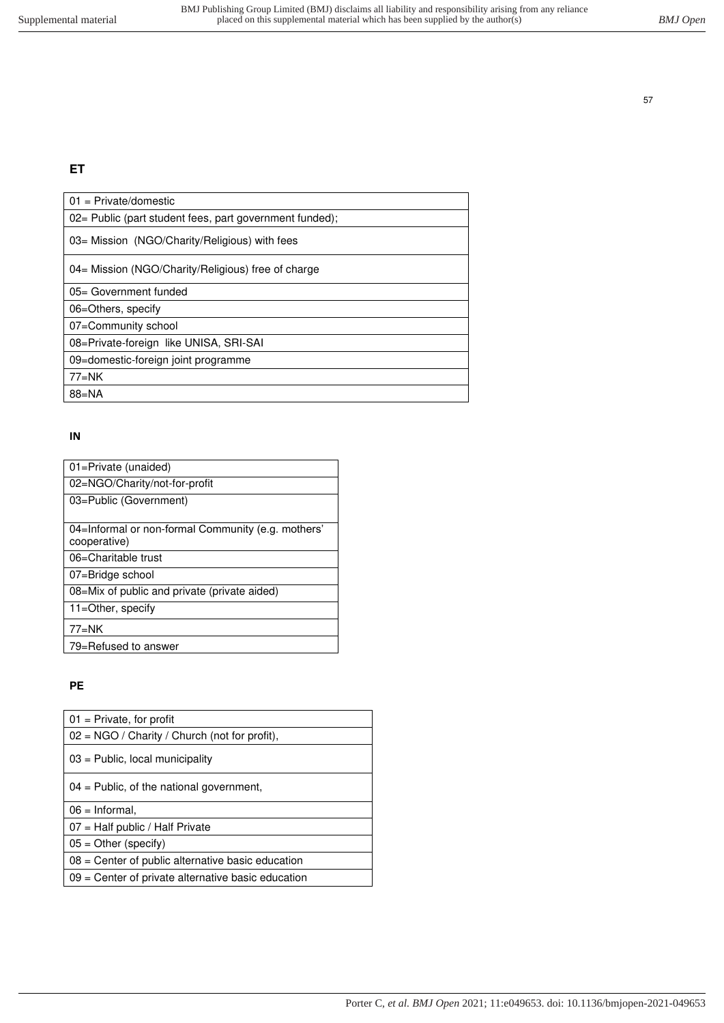# **ET**

| $01 = \text{Private}/\text{domestic}$                    |
|----------------------------------------------------------|
| 02 = Public (part student fees, part government funded); |
| 03= Mission (NGO/Charity/Religious) with fees            |
| 04= Mission (NGO/Charity/Religious) free of charge       |
| 05= Government funded                                    |
| 06=Others, specify                                       |
| 07=Community school                                      |
| 08=Private-foreign like UNISA, SRI-SAI                   |
| 09=domestic-foreign joint programme                      |
| $77=NK$                                                  |
| $88 = NA$                                                |

#### **IN**

| 01=Private (unaided)                               |
|----------------------------------------------------|
| 02=NGO/Charity/not-for-profit                      |
| 03=Public (Government)                             |
|                                                    |
| 04=Informal or non-formal Community (e.g. mothers' |
| cooperative)                                       |
| 06=Charitable trust                                |
| 07=Bridge school                                   |
| 08=Mix of public and private (private aided)       |
| 11=Other, specify                                  |
| $77=NK$                                            |
| 79=Refused to answer                               |

# **PE**

| $01$ = Private, for profit                           |
|------------------------------------------------------|
| 02 = NGO / Charity / Church (not for profit),        |
| $03$ = Public, local municipality                    |
| $04$ = Public, of the national government,           |
| $06 =$ Informal,                                     |
| $07$ = Half public / Half Private                    |
| $05 =$ Other (specify)                               |
| $08$ = Center of public alternative basic education  |
| $09$ = Center of private alternative basic education |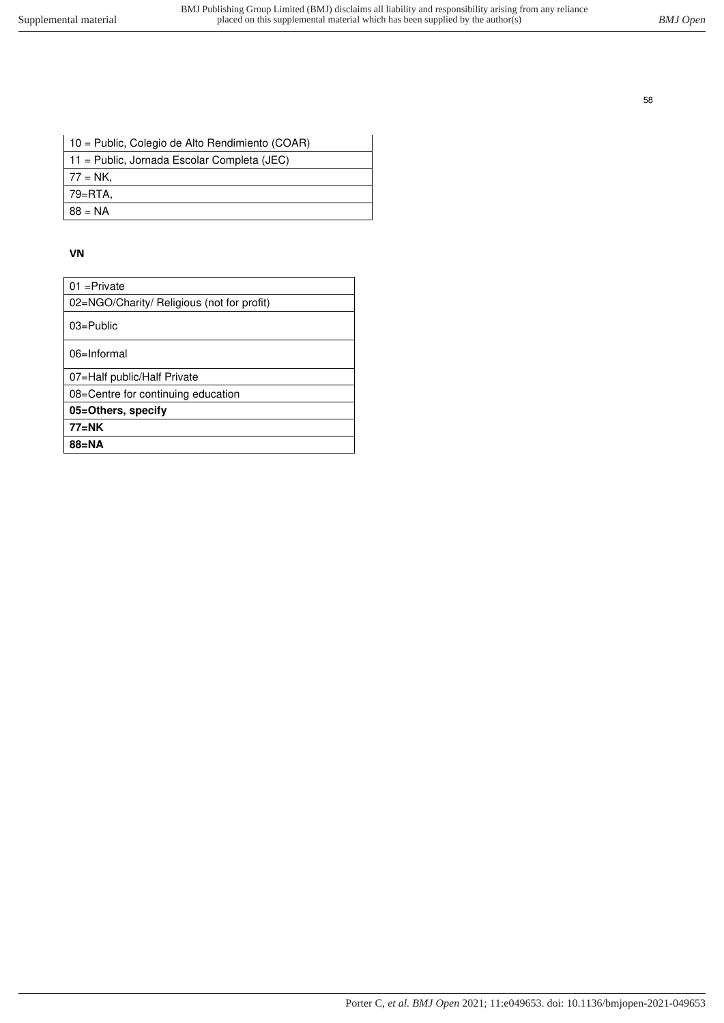| 10 = Public, Colegio de Alto Rendimiento (COAR) |
|-------------------------------------------------|
| 11 = Public, Jornada Escolar Completa (JEC)     |
| 77 = NK.                                        |
| 79=RTA.                                         |
| $88 = NA$                                       |

#### **VN**

| $01 =$ Private                             |
|--------------------------------------------|
| 02=NGO/Charity/ Religious (not for profit) |
| $03 =$ Public                              |
| $06 = Informal$                            |
| 07=Half public/Half Private                |
| 08=Centre for continuing education         |
| 05=Others, specify                         |
| $77 = NK$                                  |
| $88 = NA$                                  |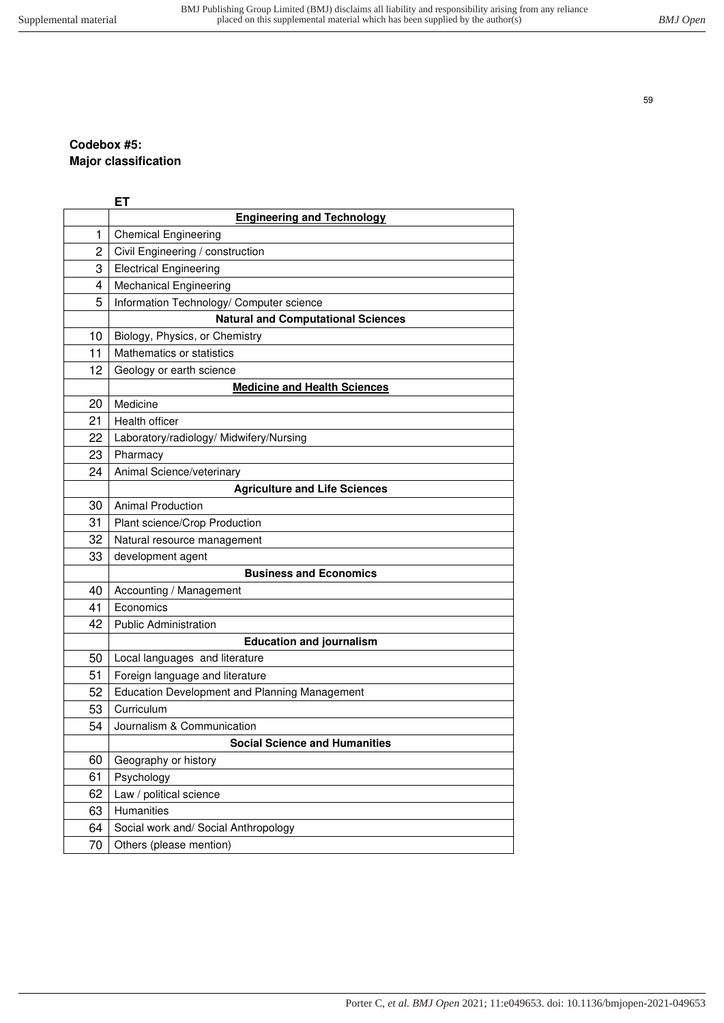# **Codebox #5: Major classification**

|    | <b>ET</b>                                     |
|----|-----------------------------------------------|
|    | <b>Engineering and Technology</b>             |
| 1  | <b>Chemical Engineering</b>                   |
| 2  | Civil Engineering / construction              |
| 3  | <b>Electrical Engineering</b>                 |
| 4  | <b>Mechanical Engineering</b>                 |
| 5  | Information Technology/ Computer science      |
|    | <b>Natural and Computational Sciences</b>     |
| 10 | Biology, Physics, or Chemistry                |
| 11 | Mathematics or statistics                     |
| 12 | Geology or earth science                      |
|    | <b>Medicine and Health Sciences</b>           |
| 20 | Medicine                                      |
| 21 | Health officer                                |
| 22 | Laboratory/radiology/ Midwifery/Nursing       |
| 23 | Pharmacy                                      |
| 24 | Animal Science/veterinary                     |
|    | <b>Agriculture and Life Sciences</b>          |
| 30 | <b>Animal Production</b>                      |
| 31 | Plant science/Crop Production                 |
| 32 | Natural resource management                   |
| 33 | development agent                             |
|    | <b>Business and Economics</b>                 |
| 40 | Accounting / Management                       |
| 41 | Economics                                     |
| 42 | <b>Public Administration</b>                  |
|    | <b>Education and journalism</b>               |
| 50 | Local languages and literature                |
| 51 | Foreign language and literature               |
| 52 | Education Development and Planning Management |
| 53 | Curriculum                                    |
| 54 | Journalism & Communication                    |
|    | <b>Social Science and Humanities</b>          |
| 60 | Geography or history                          |
| 61 | Psychology                                    |
| 62 | Law / political science                       |
| 63 | Humanities                                    |
| 64 | Social work and/ Social Anthropology          |
| 70 | Others (please mention)                       |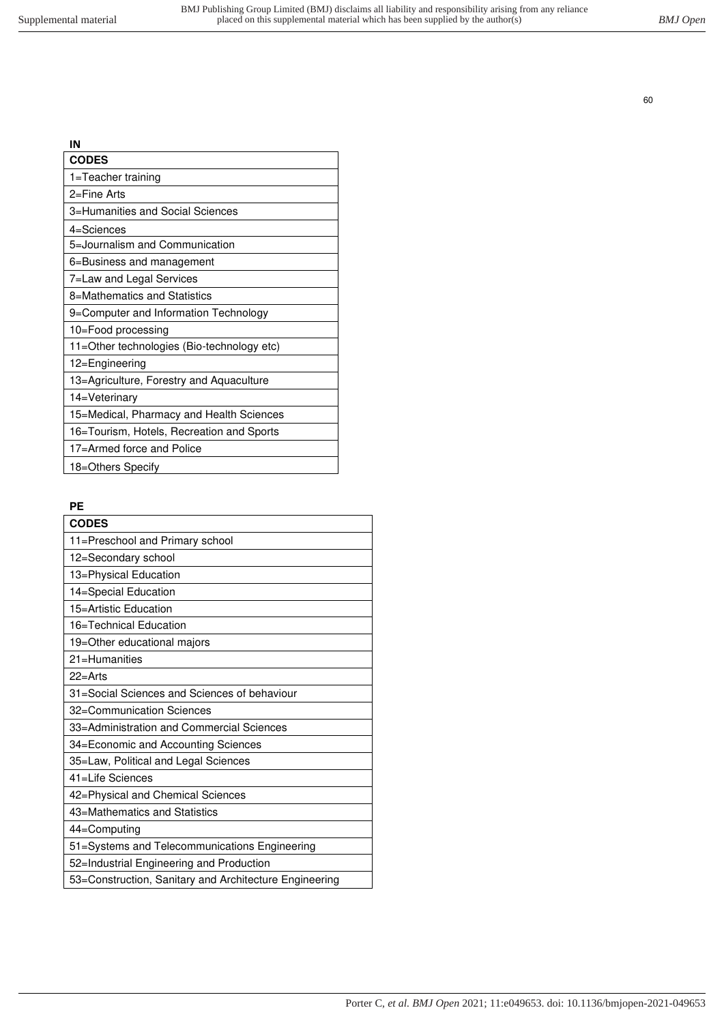| IN                                         |
|--------------------------------------------|
| <b>CODES</b>                               |
| 1=Teacher training                         |
| $2 =$ Fine Arts                            |
| 3=Humanities and Social Sciences           |
| 4=Sciences                                 |
| 5=Journalism and Communication             |
| 6=Business and management                  |
| 7=Law and Legal Services                   |
| 8=Mathematics and Statistics               |
| 9=Computer and Information Technology      |
| 10=Food processing                         |
| 11=Other technologies (Bio-technology etc) |
| 12=Engineering                             |
| 13=Agriculture, Forestry and Aquaculture   |
| 14=Veterinary                              |
| 15=Medical, Pharmacy and Health Sciences   |
| 16=Tourism, Hotels, Recreation and Sports  |
| 17=Armed force and Police                  |
| 18=Others Specify                          |

# **PE**

| <b>CODES</b>                                           |
|--------------------------------------------------------|
| 11=Preschool and Primary school                        |
| 12=Secondary school                                    |
| 13=Physical Education                                  |
| 14=Special Education                                   |
| 15=Artistic Education                                  |
| 16=Technical Education                                 |
| 19=Other educational majors                            |
| 21=Humanities                                          |
| $22 =$ Arts                                            |
| 31=Social Sciences and Sciences of behaviour           |
| 32=Communication Sciences                              |
| 33=Administration and Commercial Sciences              |
| 34=Economic and Accounting Sciences                    |
| 35=Law, Political and Legal Sciences                   |
| 41=Life Sciences                                       |
| 42=Physical and Chemical Sciences                      |
| 43=Mathematics and Statistics                          |
| 44=Computing                                           |
| 51=Systems and Telecommunications Engineering          |
| 52=Industrial Engineering and Production               |
| 53=Construction, Sanitary and Architecture Engineering |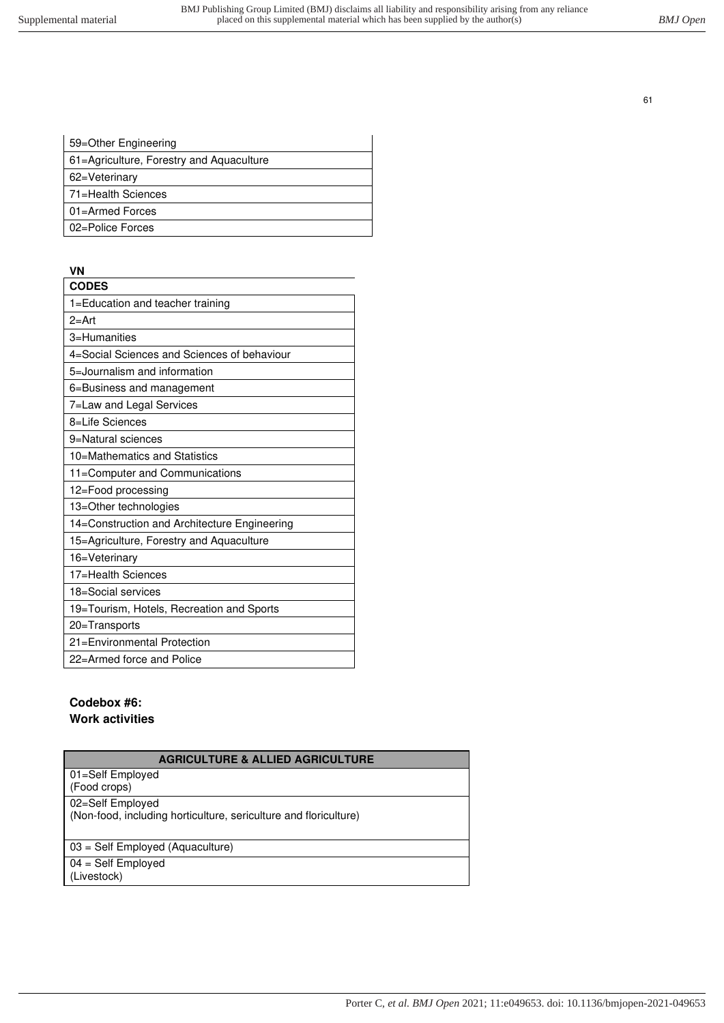| 59=Other Engineering                     |
|------------------------------------------|
| 61=Agriculture, Forestry and Aquaculture |
| 62=Veterinary                            |
| 71=Health Sciences                       |
| 01=Armed Forces                          |
| 02=Police Forces                         |
|                                          |

### **VN**

| <b>CODES</b>                                 |
|----------------------------------------------|
| 1=Education and teacher training             |
| $2 = Art$                                    |
| 3=Humanities                                 |
| 4=Social Sciences and Sciences of behaviour  |
| 5=Journalism and information                 |
| 6=Business and management                    |
| 7=Law and Legal Services                     |
| 8=Life Sciences                              |
| 9=Natural sciences                           |
| 10=Mathematics and Statistics                |
| 11=Computer and Communications               |
| 12=Food processing                           |
| 13=Other technologies                        |
| 14=Construction and Architecture Engineering |
| 15=Agriculture, Forestry and Aquaculture     |
| 16=Veterinary                                |
| 17=Health Sciences                           |
| 18=Social services                           |
| 19=Tourism, Hotels, Recreation and Sports    |
| 20=Transports                                |
| 21=Environmental Protection                  |
| 22=Armed force and Police                    |

### **Codebox #6: Work activities**

| <b>AGRICULTURE &amp; ALLIED AGRICULTURE</b>                      |
|------------------------------------------------------------------|
| 01=Self Employed<br>(Food crops)                                 |
| 02=Self Employed                                                 |
| (Non-food, including horticulture, sericulture and floriculture) |
| 03 = Self Employed (Aquaculture)                                 |
| $04 = Self$ Employed                                             |
| (Livestock)                                                      |